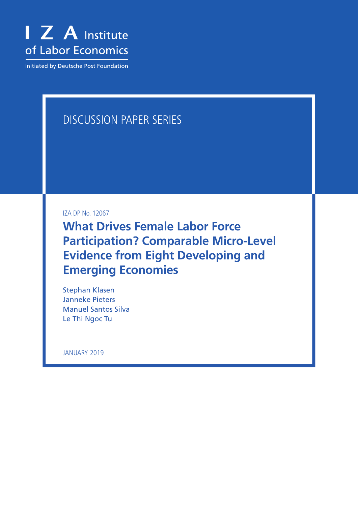

**Initiated by Deutsche Post Foundation** 

# DISCUSSION PAPER SERIES

IZA DP No. 12067

**What Drives Female Labor Force Participation? Comparable Micro-Level Evidence from Eight Developing and Emerging Economies**

Stephan Klasen Janneke Pieters Manuel Santos Silva Le Thi Ngoc Tu

JANUARY 2019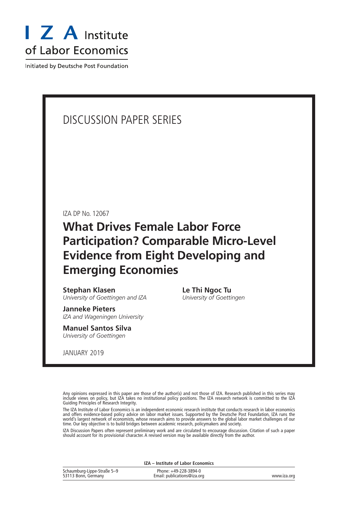

Initiated by Deutsche Post Foundation

# DISCUSSION PAPER SERIES

IZA DP No. 12067

# **What Drives Female Labor Force Participation? Comparable Micro-Level Evidence from Eight Developing and Emerging Economies**

**Stephan Klasen** *University of Goettingen and IZA*

**Janneke Pieters** *IZA and Wageningen University*

**Manuel Santos Silva** *University of Goettingen*

JANUARY 2019

**Le Thi Ngoc Tu** *University of Goettingen*

Any opinions expressed in this paper are those of the author(s) and not those of IZA. Research published in this series may include views on policy, but IZA takes no institutional policy positions. The IZA research network is committed to the IZA Guiding Principles of Research Integrity.

The IZA Institute of Labor Economics is an independent economic research institute that conducts research in labor economics and offers evidence-based policy advice on labor market issues. Supported by the Deutsche Post Foundation, IZA runs the world's largest network of economists, whose research aims to provide answers to the global labor market challenges of our time. Our key objective is to build bridges between academic research, policymakers and society.

IZA Discussion Papers often represent preliminary work and are circulated to encourage discussion. Citation of such a paper should account for its provisional character. A revised version may be available directly from the author.

**IZA – Institute of Labor Economics**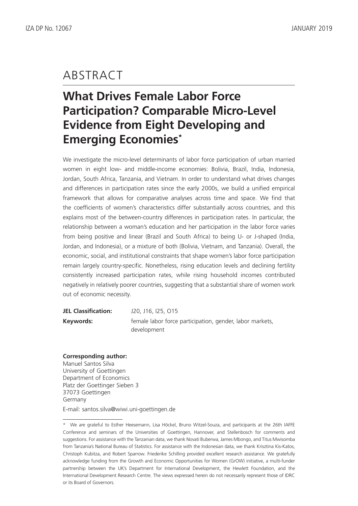# ABSTRACT

# **What Drives Female Labor Force Participation? Comparable Micro-Level Evidence from Eight Developing and Emerging Economies\***

We investigate the micro-level determinants of labor force participation of urban married women in eight low- and middle-income economies: Bolivia, Brazil, India, Indonesia, Jordan, South Africa, Tanzania, and Vietnam. In order to understand what drives changes and differences in participation rates since the early 2000s, we build a unified empirical framework that allows for comparative analyses across time and space. We find that the coefficients of women's characteristics differ substantially across countries, and this explains most of the between-country differences in participation rates. In particular, the relationship between a woman's education and her participation in the labor force varies from being positive and linear (Brazil and South Africa) to being U- or J-shaped (India, Jordan, and Indonesia), or a mixture of both (Bolivia, Vietnam, and Tanzania). Overall, the economic, social, and institutional constraints that shape women's labor force participation remain largely country-specific. Nonetheless, rising education levels and declining fertility consistently increased participation rates, while rising household incomes contributed negatively in relatively poorer countries, suggesting that a substantial share of women work out of economic necessity.

| <b>JEL Classification:</b> | J20, J16, I25, O15                                       |
|----------------------------|----------------------------------------------------------|
| Keywords:                  | female labor force participation, gender, labor markets, |
|                            | development                                              |

#### **Corresponding author:**

Manuel Santos Silva University of Goettingen Department of Economics Platz der Goettinger Sieben 3 37073 Goettingen Germany E-mail: santos.silva@wiwi.uni-goettingen.de

<sup>\*</sup> We are grateful to Esther Heesemann, Lisa Höckel, Bruno Witzel-Souza, and participants at the 26th IAFFE Conference and seminars of the Universities of Goettingen, Hannover, and Stellenbosch for comments and suggestions. For assistance with the Tanzanian data, we thank Novati Buberwa, James Mbongo, and Titus Mwisomba from Tanzania's National Bureau of Statistics. For assistance with the Indonesian data, we thank Krisztina Kis-Katos, Christoph Kubitza, and Robert Sparrow. Friederike Schilling provided excellent research assistance. We gratefully acknowledge funding from the Growth and Economic Opportunities for Women (GrOW) initiative, a multi-funder partnership between the UK's Department for International Development, the Hewlett Foundation, and the International Development Research Centre. The views expressed herein do not necessarily represent those of IDRC or its Board of Governors.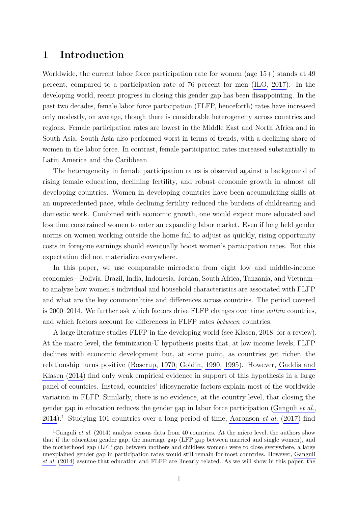## <span id="page-3-0"></span>**1 Introduction**

Worldwide, the current labor force participation rate for women (age 15+) stands at 49 percent, compared to a participation rate of 76 percent for men [\(ILO, 2017\)](#page-39-0). In the developing world, recent progress in closing this gender gap has been disappointing. In the past two decades, female labor force participation (FLFP, henceforth) rates have increased only modestly, on average, though there is considerable heterogeneity across countries and regions. Female participation rates are lowest in the Middle East and North Africa and in South Asia. South Asia also performed worst in terms of trends, with a declining share of women in the labor force. In contrast, female participation rates increased substantially in Latin America and the Caribbean.

The heterogeneity in female participation rates is observed against a background of rising female education, declining fertility, and robust economic growth in almost all developing countries. Women in developing countries have been accumulating skills at an unprecedented pace, while declining fertility reduced the burdens of childrearing and domestic work. Combined with economic growth, one would expect more educated and less time constrained women to enter an expanding labor market. Even if long held gender norms on women working outside the home fail to adjust as quickly, rising opportunity costs in foregone earnings should eventually boost women's participation rates. But this expectation did not materialize everywhere.

In this paper, we use comparable microdata from eight low and middle-income economies—Bolivia, Brazil, India, Indonesia, Jordan, South Africa, Tanzania, and Vietnam to analyze how women's individual and household characteristics are associated with FLFP and what are the key commonalities and differences across countries. The period covered is 2000–2014. We further ask which factors drive FLFP changes over time *within* countries, and which factors account for differences in FLFP rates *between* countries.

A large literature studies FLFP in the developing world (see [Klasen, 2018,](#page-39-1) for a review). At the macro level, the feminization-U hypothesis posits that, at low income levels, FLFP declines with economic development but, at some point, as countries get richer, the relationship turns positive [\(Boserup, 1970;](#page-38-0) [Goldin, 1990,](#page-39-2) [1995\)](#page-39-3). However, [Gaddis and](#page-39-4) [Klasen](#page-39-4) [\(2014\)](#page-39-4) find only weak empirical evidence in support of this hypothesis in a large panel of countries. Instead, countries' idiosyncratic factors explain most of the worldwide variation in FLFP. Similarly, there is no evidence, at the country level, that closing the gender gap in education reduces the gender gap in labor force participation [\(Ganguli](#page-39-5) *et al.*, [2014\)](#page-39-5).<sup>1</sup> Studying 101 countries over a long period of time, [Aaronson](#page-38-1) *et al.* [\(2017\)](#page-38-1) find

<sup>&</sup>lt;sup>1</sup>[Ganguli](#page-39-5) *et al.* [\(2014\)](#page-39-5) analyze census data from 40 countries. At the micro level, the authors show that if the education gender gap, the marriage gap (LFP gap between married and single women), and the motherhood gap (LFP gap between mothers and childless women) were to close everywhere, a large unexplained gender gap in participation rates would still remain for most countries. However, [Ganguli](#page-39-5) *[et al.](#page-39-5)* [\(2014\)](#page-39-5) assume that education and FLFP are linearly related. As we will show in this paper, the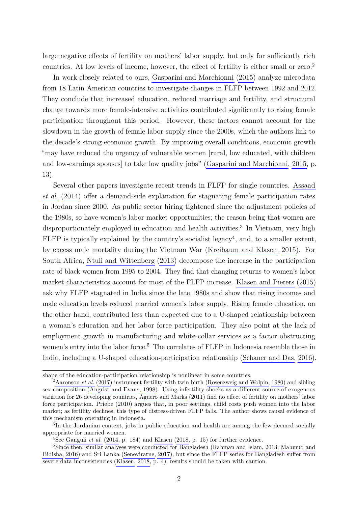large negative effects of fertility on mothers' labor supply, but only for sufficiently rich countries. At low levels of income, however, the effect of fertility is either small or zero.<sup>2</sup>

In work closely related to ours, [Gasparini and Marchionni](#page-39-6) [\(2015\)](#page-39-6) analyze microdata from 18 Latin American countries to investigate changes in FLFP between 1992 and 2012. They conclude that increased education, reduced marriage and fertility, and structural change towards more female-intensive activities contributed significantly to rising female participation throughout this period. However, these factors cannot account for the slowdown in the growth of female labor supply since the 2000s, which the authors link to the decade's strong economic growth. By improving overall conditions, economic growth "may have reduced the urgency of vulnerable women [rural, low educated, with children and low-earnings spouses] to take low quality jobs" [\(Gasparini and Marchionni, 2015,](#page-39-6) p. 13).

Several other papers investigate recent trends in FLFP for single countries. [Assaad](#page-38-2) *[et al.](#page-38-2)* [\(2014\)](#page-38-2) offer a demand-side explanation for stagnating female participation rates in Jordan since 2000. As public sector hiring tightened since the adjustment policies of the 1980s, so have women's labor market opportunities; the reason being that women are disproportionately employed in education and health activities.<sup>3</sup> In Vietnam, very high  $FLFP$  is typically explained by the country's socialist legacy<sup>4</sup>, and, to a smaller extent, by excess male mortality during the Vietnam War [\(Kreibaum and Klasen, 2015\)](#page-39-7). For South Africa, [Ntuli and Wittenberg](#page-40-0) [\(2013\)](#page-40-0) decompose the increase in the participation rate of black women from 1995 to 2004. They find that changing returns to women's labor market characteristics account for most of the FLFP increase. [Klasen and Pieters](#page-39-8) [\(2015\)](#page-39-8) ask why FLFP stagnated in India since the late 1980s and show that rising incomes and male education levels reduced married women's labor supply. Rising female education, on the other hand, contributed less than expected due to a U-shaped relationship between a woman's education and her labor force participation. They also point at the lack of employment growth in manufacturing and white-collar services as a factor obstructing women's entry into the labor force.<sup>5</sup> The correlates of FLFP in Indonesia resemble those in India, including a U-shaped education-participation relationship [\(Schaner and Das, 2016\)](#page-40-1).

shape of the education-participation relationship is nonlinear in some countries.

<sup>2</sup>[Aaronson](#page-38-1) *et al.* [\(2017\)](#page-38-1) instrument fertility with twin birth [\(Rosenzweig and Wolpin, 1980\)](#page-40-2) and sibling sex composition [\(Angrist and Evans, 1998\)](#page-38-3). Using infertility shocks as a different source of exogenous variation for 26 developing countries, [Agüero and Marks](#page-38-4) [\(2011\)](#page-38-4) find no effect of fertility on mothers' labor force participation. [Priebe](#page-40-3) [\(2010\)](#page-40-3) argues that, in poor settings, child costs push women into the labor market; as fertility declines, this type of distress-driven FLFP falls. The author shows causal evidence of this mechanism operating in Indonesia.

<sup>&</sup>lt;sup>3</sup>In the Jordanian context, jobs in public education and health are among the few deemed socially appropriate for married women.

<sup>4</sup>See [Ganguli](#page-39-5) *et al.* [\(2014,](#page-39-5) p. 184) and [Klasen](#page-39-1) [\(2018,](#page-39-1) p. 15) for further evidence.

<sup>&</sup>lt;sup>5</sup>Since then, similar analyses were conducted for Bangladesh [\(Rahman and Islam, 2013;](#page-40-4) [Mahmud and](#page-40-5) [Bidisha, 2016\)](#page-40-5) and Sri Lanka [\(Seneviratne, 2017\)](#page-40-6), but since the FLFP series for Bangladesh suffer from severe data inconsistencies [\(Klasen, 2018,](#page-39-1) p. 4), results should be taken with caution.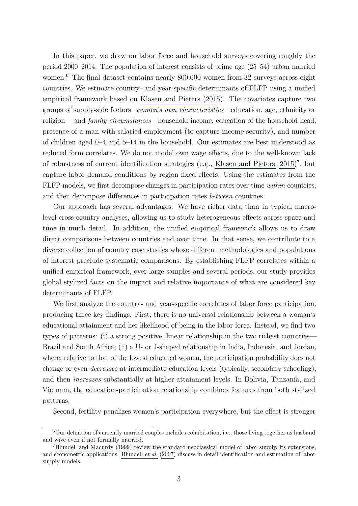In this paper, we draw on labor force and household surveys covering roughly the period 2000–2014. The population of interest consists of prime age (25–54) urban married women.<sup>6</sup> The final dataset contains nearly 800,000 women from 32 surveys across eight countries. We estimate country- and year-specific determinants of FLFP using a unified empirical framework based on [Klasen and Pieters](#page-39-8) [\(2015\)](#page-39-8). The covariates capture two groups of supply-side factors: *women's own characteristics*—education, age, ethnicity or religion— and *family circumstances*—household income, education of the household head, presence of a man with salaried employment (to capture income security), and number of children aged 0–4 and 5–14 in the household. Our estimates are best understood as reduced form correlates. We do not model own wage effects, due to the well-known lack of robustness of current identification strategies (e.g., Klasen and Pieters,  $2015$ )<sup>7</sup>, but capture labor demand conditions by region fixed effects. Using the estimates from the FLFP models, we first decompose changes in participation rates over time *within* countries, and then decompose differences in participation rates *between* countries.

Our approach has several advantages. We have richer data than in typical macrolevel cross-country analyses, allowing us to study heterogeneous effects across space and time in much detail. In addition, the unified empirical framework allows us to draw direct comparisons between countries and over time. In that sense, we contribute to a diverse collection of country case studies whose different methodologies and populations of interest preclude systematic comparisons. By establishing FLFP correlates within a unified empirical framework, over large samples and several periods, our study provides global stylized facts on the impact and relative importance of what are considered key determinants of FLFP.

We first analyze the country- and year-specific correlates of labor force participation, producing three key findings. First, there is no universal relationship between a woman's educational attainment and her likelihood of being in the labor force. Instead, we find two types of patterns: (i) a strong positive, linear relationship in the two richest countries— Brazil and South Africa; (ii) a U- or J-shaped relationship in India, Indonesia, and Jordan, where, relative to that of the lowest educated women, the participation probability does not change or even *decreases* at intermediate education levels (typically, secondary schooling), and then *increases* substantially at higher attainment levels. In Bolivia, Tanzania, and Vietnam, the education-participation relationship combines features from both stylized patterns.

Second, fertility penalizes women's participation everywhere, but the effect is stronger

<sup>6</sup>Our definition of currently married couples includes cohabitation, i.e., those living together as husband and wive even if not formally married.

<sup>7</sup>[Blundell and Macurdy](#page-38-5) [\(1999\)](#page-38-5) review the standard neoclassical model of labor supply, its extensions, and econometric applications. [Blundell](#page-38-6) *et al.* [\(2007\)](#page-38-6) discuss in detail identification and estimation of labor supply models.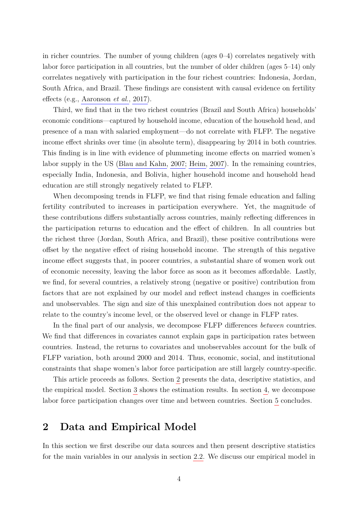in richer countries. The number of young children (ages 0–4) correlates negatively with labor force participation in all countries, but the number of older children (ages 5–14) only correlates negatively with participation in the four richest countries: Indonesia, Jordan, South Africa, and Brazil. These findings are consistent with causal evidence on fertility effects (e.g., [Aaronson](#page-38-1) *et al.*, [2017\)](#page-38-1).

Third, we find that in the two richest countries (Brazil and South Africa) households' economic conditions—captured by household income, education of the household head, and presence of a man with salaried employment—do not correlate with FLFP. The negative income effect shrinks over time (in absolute term), disappearing by 2014 in both countries. This finding is in line with evidence of plummeting income effects on married women's labor supply in the US [\(Blau and Kahn, 2007;](#page-38-7) [Heim, 2007\)](#page-39-9). In the remaining countries, especially India, Indonesia, and Bolivia, higher household income and household head education are still strongly negatively related to FLFP.

When decomposing trends in FLFP, we find that rising female education and falling fertility contributed to increases in participation everywhere. Yet, the magnitude of these contributions differs substantially across countries, mainly reflecting differences in the participation returns to education and the effect of children. In all countries but the richest three (Jordan, South Africa, and Brazil), these positive contributions were offset by the negative effect of rising household income. The strength of this negative income effect suggests that, in poorer countries, a substantial share of women work out of economic necessity, leaving the labor force as soon as it becomes affordable. Lastly, we find, for several countries, a relatively strong (negative or positive) contribution from factors that are not explained by our model and reflect instead changes in coefficients and unobservables. The sign and size of this unexplained contribution does not appear to relate to the country's income level, or the observed level or change in FLFP rates.

In the final part of our analysis, we decompose FLFP differences *between* countries. We find that differences in covariates cannot explain gaps in participation rates between countries. Instead, the returns to covariates and unobservables account for the bulk of FLFP variation, both around 2000 and 2014. Thus, economic, social, and institutional constraints that shape women's labor force participation are still largely country-specific.

This article proceeds as follows. Section [2](#page-6-0) presents the data, descriptive statistics, and the empirical model. Section [3](#page-17-0) shows the estimation results. In section [4,](#page-27-0) we decompose labor force participation changes over time and between countries. Section [5](#page-36-0) concludes.

## <span id="page-6-0"></span>**2 Data and Empirical Model**

In this section we first describe our data sources and then present descriptive statistics for the main variables in our analysis in section [2.2.](#page-9-0) We discuss our empirical model in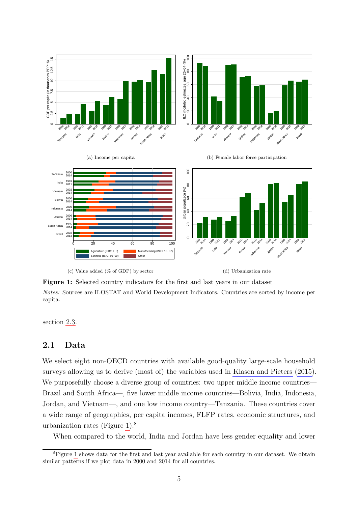<span id="page-7-0"></span>

**Figure 1:** Selected country indicators for the first and last years in our dataset *Notes:* Sources are ILOSTAT and World Development Indicators. Countries are sorted by income per capita.

section [2.3.](#page-15-0)

### **2.1 Data**

We select eight non-OECD countries with available good-quality large-scale household surveys allowing us to derive (most of) the variables used in [Klasen and Pieters](#page-39-8) [\(2015\)](#page-39-8). We purposefully choose a diverse group of countries: two upper middle income countries— Brazil and South Africa—, five lower middle income countries—Bolivia, India, Indonesia, Jordan, and Vietnam—, and one low income country—Tanzania. These countries cover a wide range of geographies, per capita incomes, FLFP rates, economic structures, and urbanization rates (Figure [1\)](#page-7-0).<sup>8</sup>

When compared to the world, India and Jordan have less gender equality and lower

<sup>&</sup>lt;sup>8</sup>Figure [1](#page-7-0) shows data for the first and last year available for each country in our dataset. We obtain similar patterns if we plot data in 2000 and 2014 for all countries.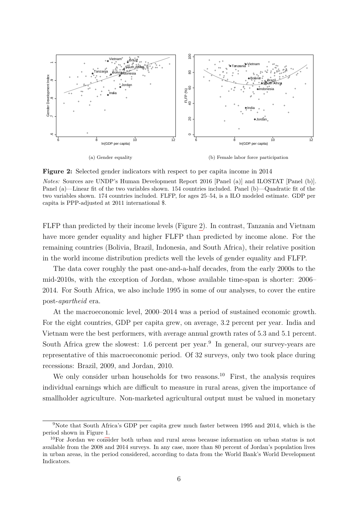<span id="page-8-0"></span>

**Figure 2:** Selected gender indicators with respect to per capita income in 2014

*Notes:* Sources are UNDP's Human Development Report 2016 [Panel (a)] and ILOSTAT [Panel (b)]. Panel (a)—Linear fit of the two variables shown. 154 countries included. Panel (b)—Quadratic fit of the two variables shown. 174 countries included. FLFP, for ages 25–54, is a ILO modeled estimate. GDP per capita is PPP-adjusted at 2011 international \$.

FLFP than predicted by their income levels (Figure [2\)](#page-8-0). In contrast, Tanzania and Vietnam have more gender equality and higher FLFP than predicted by income alone. For the remaining countries (Bolivia, Brazil, Indonesia, and South Africa), their relative position in the world income distribution predicts well the levels of gender equality and FLFP.

The data cover roughly the past one-and-a-half decades, from the early 2000s to the mid-2010s, with the exception of Jordan, whose available time-span is shorter: 2006– 2014. For South Africa, we also include 1995 in some of our analyses, to cover the entire post-*apartheid* era.

At the macroeconomic level, 2000–2014 was a period of sustained economic growth. For the eight countries, GDP per capita grew, on average, 3.2 percent per year. India and Vietnam were the best performers, with average annual growth rates of 5.3 and 5.1 percent. South Africa grew the slowest: 1.6 percent per year.<sup>9</sup> In general, our survey-years are representative of this macroeconomic period. Of 32 surveys, only two took place during recessions: Brazil, 2009, and Jordan, 2010.

We only consider urban households for two reasons.<sup>10</sup> First, the analysis requires individual earnings which are difficult to measure in rural areas, given the importance of smallholder agriculture. Non-marketed agricultural output must be valued in monetary

<sup>9</sup>Note that South Africa's GDP per capita grew much faster between 1995 and 2014, which is the period shown in Figure [1.](#page-7-0)

<sup>10</sup>For Jordan we consider both urban and rural areas because information on urban status is not available from the 2008 and 2014 surveys. In any case, more than 80 percent of Jordan's population lives in urban areas, in the period considered, according to data from the World Bank's World Development Indicators.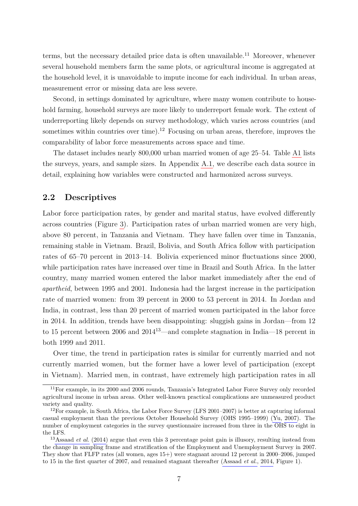terms, but the necessary detailed price data is often unavailable.<sup>11</sup> Moreover, whenever several household members farm the same plots, or agricultural income is aggregated at the household level, it is unavoidable to impute income for each individual. In urban areas, measurement error or missing data are less severe.

Second, in settings dominated by agriculture, where many women contribute to household farming, household surveys are more likely to underreport female work. The extent of underreporting likely depends on survey methodology, which varies across countries (and sometimes within countries over time).<sup>12</sup> Focusing on urban areas, therefore, improves the comparability of labor force measurements across space and time.

The dataset includes nearly 800,000 urban married women of age 25–54. Table [A1](#page-52-0) lists the surveys, years, and sample sizes. In Appendix [A.1,](#page-3-0) we describe each data source in detail, explaining how variables were constructed and harmonized across surveys.

### <span id="page-9-0"></span>**2.2 Descriptives**

Labor force participation rates, by gender and marital status, have evolved differently across countries (Figure [3\)](#page-10-0). Participation rates of urban married women are very high, above 80 percent, in Tanzania and Vietnam. They have fallen over time in Tanzania, remaining stable in Vietnam. Brazil, Bolivia, and South Africa follow with participation rates of 65–70 percent in 2013–14. Bolivia experienced minor fluctuations since 2000, while participation rates have increased over time in Brazil and South Africa. In the latter country, many married women entered the labor market immediately after the end of *apartheid*, between 1995 and 2001. Indonesia had the largest increase in the participation rate of married women: from 39 percent in 2000 to 53 percent in 2014. In Jordan and India, in contrast, less than 20 percent of married women participated in the labor force in 2014. In addition, trends have been disappointing: sluggish gains in Jordan—from 12 to 15 percent between 2006 and 2014<sup>13</sup>—and complete stagnation in India—18 percent in both 1999 and 2011.

Over time, the trend in participation rates is similar for currently married and not currently married women, but the former have a lower level of participation (except in Vietnam). Married men, in contrast, have extremely high participation rates in all

<sup>&</sup>lt;sup>11</sup>For example, in its 2000 and 2006 rounds, Tanzania's Integrated Labor Force Survey only recorded agricultural income in urban areas. Other well-known practical complications are unmeasured product variety and quality.

 $12$ For example, in South Africa, the Labor Force Survey (LFS 2001–2007) is better at capturing informal casual employment than the previous October Household Survey (OHS 1995–1999) [\(Yu, 2007\)](#page-41-0). The number of employment categories in the survey questionnaire increased from three in the OHS to eight in the LFS.

<sup>&</sup>lt;sup>13</sup>[Assaad](#page-38-2) *et al.* [\(2014\)](#page-38-2) argue that even this 3 percentage point gain is illusory, resulting instead from the change in sampling frame and stratification of the Employment and Unemployment Survey in 2007. They show that FLFP rates (all women, ages 15+) were stagnant around 12 percent in 2000–2006, jumped to 15 in the first quarter of 2007, and remained stagnant thereafter [\(Assaad](#page-38-2) *et al.*, [2014,](#page-38-2) Figure 1).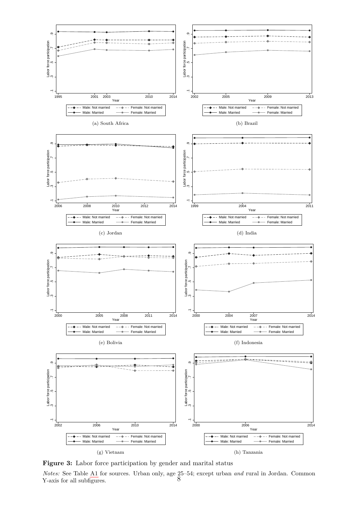<span id="page-10-0"></span>

**Figure 3:** Labor force participation by gender and marital status

*Notes:* See Table [A1](#page-52-0) for sources. Urban only, age 25–54; except urban *and* rural in Jordan. Common Y-axis for all subfigures.  $8^{\circ}$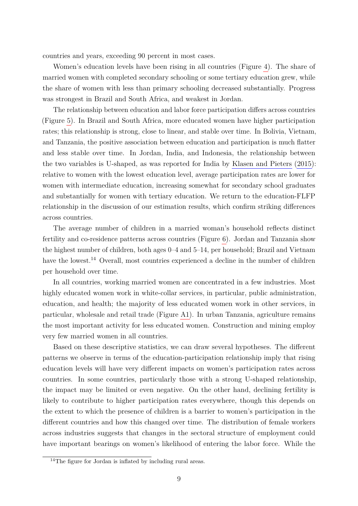countries and years, exceeding 90 percent in most cases.

Women's education levels have been rising in all countries (Figure [4\)](#page-12-0). The share of married women with completed secondary schooling or some tertiary education grew, while the share of women with less than primary schooling decreased substantially. Progress was strongest in Brazil and South Africa, and weakest in Jordan.

The relationship between education and labor force participation differs across countries (Figure [5\)](#page-13-0). In Brazil and South Africa, more educated women have higher participation rates; this relationship is strong, close to linear, and stable over time. In Bolivia, Vietnam, and Tanzania, the positive association between education and participation is much flatter and less stable over time. In Jordan, India, and Indonesia, the relationship between the two variables is U-shaped, as was reported for India by [Klasen and Pieters](#page-39-8) [\(2015\)](#page-39-8): relative to women with the lowest education level, average participation rates are lower for women with intermediate education, increasing somewhat for secondary school graduates and substantially for women with tertiary education. We return to the education-FLFP relationship in the discussion of our estimation results, which confirm striking differences across countries.

The average number of children in a married woman's household reflects distinct fertility and co-residence patterns across countries (Figure [6\)](#page-14-0). Jordan and Tanzania show the highest number of children, both ages 0–4 and 5–14, per household; Brazil and Vietnam have the lowest.<sup>14</sup> Overall, most countries experienced a decline in the number of children per household over time.

In all countries, working married women are concentrated in a few industries. Most highly educated women work in white-collar services, in particular, public administration, education, and health; the majority of less educated women work in other services, in particular, wholesale and retail trade (Figure [A1\)](#page-53-0). In urban Tanzania, agriculture remains the most important activity for less educated women. Construction and mining employ very few married women in all countries.

Based on these descriptive statistics, we can draw several hypotheses. The different patterns we observe in terms of the education-participation relationship imply that rising education levels will have very different impacts on women's participation rates across countries. In some countries, particularly those with a strong U-shaped relationship, the impact may be limited or even negative. On the other hand, declining fertility is likely to contribute to higher participation rates everywhere, though this depends on the extent to which the presence of children is a barrier to women's participation in the different countries and how this changed over time. The distribution of female workers across industries suggests that changes in the sectoral structure of employment could have important bearings on women's likelihood of entering the labor force. While the

<sup>&</sup>lt;sup>14</sup>The figure for Jordan is inflated by including rural areas.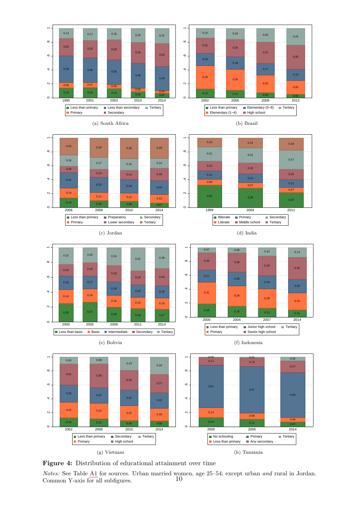<span id="page-12-0"></span>



















(f) Indonesia





*Notes:* See Table [A1](#page-52-0) for sources. Urban married women, age 25–54; except urban *and* rural in Jordan. Common Y-axis for all subfigures.  $10$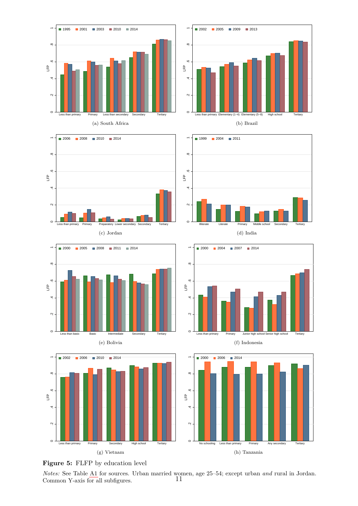<span id="page-13-0"></span>

(a) South Africa









(b) Brazil



(d) India



#### (f) Indonesia





*Notes:* See Table [A1](#page-52-0) for sources. Urban married women, age 25–54; except urban *and* rural in Jordan.<br>Common Y-axis for all subfigures  $11$ Common Y-axis for all subfigures.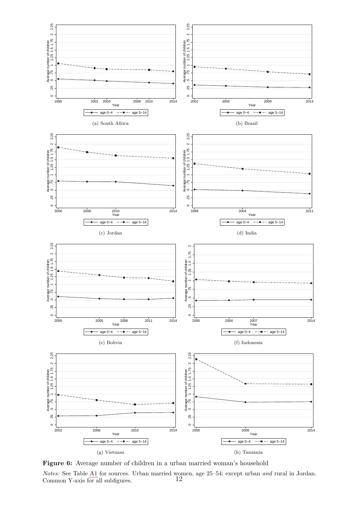<span id="page-14-0"></span>

Figure 6: Average number of children in a urban married woman's household *Notes:* See Table [A1](#page-52-0) for sources. Urban married women, age 25–54; except urban *and* rural in Jordan. Common Y-axis for all subfigures. 12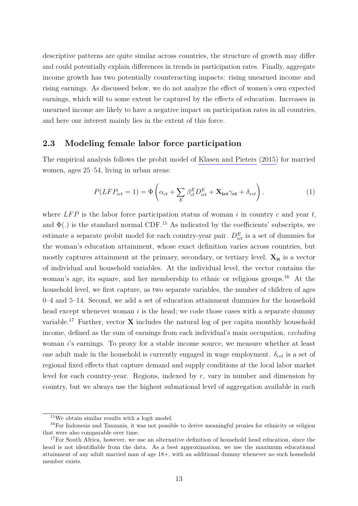descriptive patterns are quite similar across countries, the structure of growth may differ and could potentially explain differences in trends in participation rates. Finally, aggregate income growth has two potentially counteracting impacts: rising unearned income and rising earnings. As discussed below, we do not analyze the effect of women's own expected earnings, which will to some extent be captured by the effects of education. Increases in unearned income are likely to have a negative impact on participation rates in all countries, and here our interest mainly lies in the extent of this force.

## <span id="page-15-0"></span>**2.3 Modeling female labor force participation**

The empirical analysis follows the probit model of [Klasen and Pieters](#page-39-8) [\(2015\)](#page-39-8) for married women, ages 25–54, living in urban areas:

$$
P(LFP_{ict} = 1) = \Phi\left(\alpha_{ct} + \sum_{E} \beta_{ct}^{E} D_{ict}^{E} + \mathbf{X}_{ict}\gamma_{ct} + \delta_{rct}\right),
$$
\n(1)

where  $LFP$  is the labor force participation status of woman *i* in country *c* and year *t*, and  $\Phi(.)$  is the standard normal CDF.<sup>15</sup> As indicated by the coefficients' subscripts, we estimate a separate probit model for each country-year pair.  $D_{ict}^E$  is a set of dummies for the woman's education attainment, whose exact definition varies across countries, but mostly captures attainment at the primary, secondary, or tertiary level.  $X_{it}$  is a vector of individual and household variables. At the individual level, the vector contains the woman's age, its square, and her membership to ethnic or religious groups.<sup>16</sup> At the household level, we first capture, as two separate variables, the number of children of ages 0–4 and 5–14. Second, we add a set of education attainment dummies for the household head except whenever woman *i* is the head; we code those cases with a separate dummy variable.<sup>17</sup> Further, vector  $\bf{X}$  includes the natural log of per capita monthly household income, defined as the sum of earnings from each individual's main occupation, *excluding* woman *i*'s earnings. To proxy for a stable income source, we measure whether at least one adult male in the household is currently engaged in wage employment.  $\delta_{rct}$  is a set of regional fixed effects that capture demand and supply conditions at the local labor market level for each country-year. Regions, indexed by *r*, vary in number and dimension by country, but we always use the highest subnational level of aggregation available in each

<sup>15</sup>We obtain similar results with a logit model.

<sup>16</sup>For Indonesia and Tanzania, it was not possible to derive meaningful proxies for ethnicity or religion that were also comparable over time.

<sup>&</sup>lt;sup>17</sup>For South Africa, however, we use an alternative definition of household head education, since the head is not identifiable from the data. As a best approximation, we use the maximum educational attainment of any adult married man of age 18+, with an additional dummy whenever no such household member exists.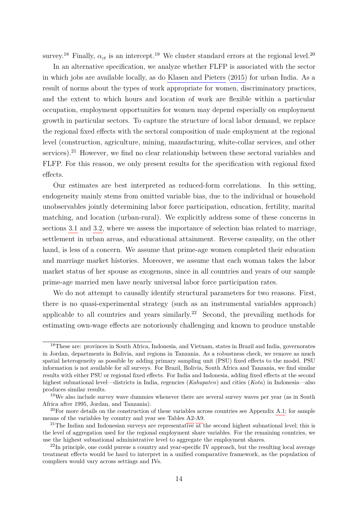survey.<sup>18</sup> Finally,  $\alpha_{ct}$  is an intercept.<sup>19</sup> We cluster standard errors at the regional level.<sup>20</sup>

In an alternative specification, we analyze whether FLFP is associated with the sector in which jobs are available locally, as do [Klasen and Pieters](#page-39-8) [\(2015\)](#page-39-8) for urban India. As a result of norms about the types of work appropriate for women, discriminatory practices, and the extent to which hours and location of work are flexible within a particular occupation, employment opportunities for women may depend especially on employment growth in particular sectors. To capture the structure of local labor demand, we replace the regional fixed effects with the sectoral composition of male employment at the regional level (construction, agriculture, mining, manufacturing, white-collar services, and other services).<sup>21</sup> However, we find no clear relationship between these sectoral variables and FLFP. For this reason, we only present results for the specification with regional fixed effects.

Our estimates are best interpreted as reduced-form correlations. In this setting, endogeneity mainly stems from omitted variable bias, due to the individual or household unobservables jointly determining labor force participation, education, fertility, marital matching, and location (urban-rural). We explicitly address some of these concerns in sections [3.1](#page-21-0) and [3.2,](#page-26-0) where we assess the importance of selection bias related to marriage, settlement in urban areas, and educational attainment. Reverse causality, on the other hand, is less of a concern. We assume that prime-age women completed their education and marriage market histories. Moreover, we assume that each woman takes the labor market status of her spouse as exogenous, since in all countries and years of our sample prime-age married men have nearly universal labor force participation rates.

We do not attempt to causally identify structural parameters for two reasons. First, there is no quasi-experimental strategy (such as an instrumental variables approach) applicable to all countries and years similarly.<sup>22</sup> Second, the prevailing methods for estimating own-wage effects are notoriously challenging and known to produce unstable

<sup>18</sup>These are: provinces in South Africa, Indonesia, and Vietnam, states in Brazil and India, governorates in Jordan, departments in Bolivia, and regions in Tanzania. As a robustness check, we remove as much spatial heterogeneity as possible by adding primary sampling unit (PSU) fixed effects to the model. PSU information is not available for all surveys. For Brazil, Bolivia, South Africa and Tanzania, we find similar results with either PSU or regional fixed effects. For India and Indonesia, adding fixed effects at the second highest subnational level—districts in India, regencies (*Kabupaten*) and cities (*Kota*) in Indonesia—also produces similar results.

<sup>&</sup>lt;sup>19</sup>We also include survey wave dummies whenever there are several survey waves per year (as in South Africa after 1995, Jordan, and Tanzania).

<sup>&</sup>lt;sup>20</sup>For more details on the construction of these variables across countries see Appendix [A.1;](#page-3-0) for sample means of the variables by country and year see Tables [A2-](#page-54-0)[A9.](#page-57-0)

 $21$ The Indian and Indonesian surveys are representative at the second highest subnational level; this is the level of aggregation used for the regional employment share variables. For the remaining countries, we use the highest subnational administrative level to aggregate the employment shares.

<sup>&</sup>lt;sup>22</sup>In principle, one could pursue a country and year-specific IV approach, but the resulting local average treatment effects would be hard to interpret in a unified comparative framework, as the population of compliers would vary across settings and IVs.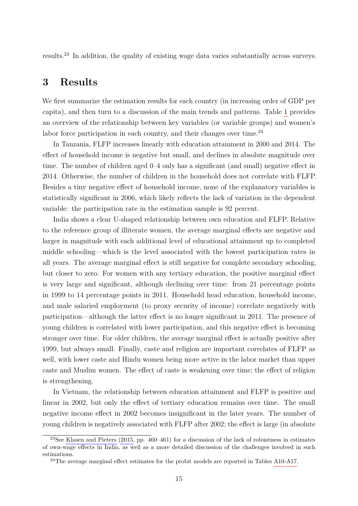results.<sup>23</sup> In addition, the quality of existing wage data varies substantially across surveys.

## <span id="page-17-0"></span>**3 Results**

We first summarize the estimation results for each country (in increasing order of GDP per capita), and then turn to a discussion of the main trends and patterns. Table [1](#page-19-0) provides an overview of the relationship between key variables (or variable groups) and women's labor force participation in each country, and their changes over time. $^{24}$ 

In Tanzania, FLFP increases linearly with education attainment in 2000 and 2014. The effect of household income is negative but small, and declines in absolute magnitude over time. The number of children aged 0–4 only has a significant (and small) negative effect in 2014. Otherwise, the number of children in the household does not correlate with FLFP. Besides a tiny negative effect of household income, none of the explanatory variables is statistically significant in 2006, which likely reflects the lack of variation in the dependent variable: the participation rate in the estimation sample is 92 percent.

India shows a clear U-shaped relationship between own education and FLFP. Relative to the reference group of illiterate women, the average marginal effects are negative and larger in magnitude with each additional level of educational attainment up to completed middle schooling—which is the level associated with the lowest participation rates in all years. The average marginal effect is still negative for complete secondary schooling, but closer to zero. For women with any tertiary education, the positive marginal effect is very large and significant, although declining over time: from 21 percentage points in 1999 to 14 percentage points in 2011. Household head education, household income, and male salaried employment (to proxy security of income) correlate negatively with participation—although the latter effect is no longer significant in 2011. The presence of young children is correlated with lower participation, and this negative effect is becoming stronger over time. For older children, the average marginal effect is actually positive after 1999, but always small. Finally, caste and religion are important correlates of FLFP as well, with lower caste and Hindu women being more active in the labor market than upper caste and Muslim women. The effect of caste is weakening over time; the effect of religion is strengthening.

In Vietnam, the relationship between education attainment and FLFP is positive and linear in 2002, but only the effect of tertiary education remains over time. The small negative income effect in 2002 becomes insignificant in the later years. The number of young children is negatively associated with FLFP after 2002; the effect is large (in absolute

<sup>&</sup>lt;sup>23</sup>See [Klasen and Pieters](#page-39-8) [\(2015,](#page-39-8) pp. 460–461) for a discussion of the lack of robustness in estimates of own-wage effects in India, as well as a more detailed discussion of the challenges involved in such estimations.

 $^{24}$ The average marginal effect estimates for the probit models are reported in Tables [A10-](#page-58-0)[A17.](#page-65-0)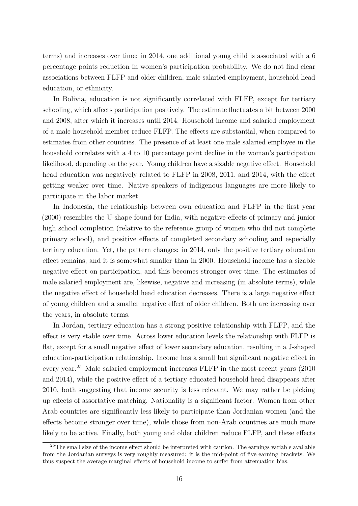terms) and increases over time: in 2014, one additional young child is associated with a 6 percentage points reduction in women's participation probability. We do not find clear associations between FLFP and older children, male salaried employment, household head education, or ethnicity.

In Bolivia, education is not significantly correlated with FLFP, except for tertiary schooling, which affects participation positively. The estimate fluctuates a bit between 2000 and 2008, after which it increases until 2014. Household income and salaried employment of a male household member reduce FLFP. The effects are substantial, when compared to estimates from other countries. The presence of at least one male salaried employee in the household correlates with a 4 to 10 percentage point decline in the woman's participation likelihood, depending on the year. Young children have a sizable negative effect. Household head education was negatively related to FLFP in 2008, 2011, and 2014, with the effect getting weaker over time. Native speakers of indigenous languages are more likely to participate in the labor market.

In Indonesia, the relationship between own education and FLFP in the first year (2000) resembles the U-shape found for India, with negative effects of primary and junior high school completion (relative to the reference group of women who did not complete primary school), and positive effects of completed secondary schooling and especially tertiary education. Yet, the pattern changes: in 2014, only the positive tertiary education effect remains, and it is somewhat smaller than in 2000. Household income has a sizable negative effect on participation, and this becomes stronger over time. The estimates of male salaried employment are, likewise, negative and increasing (in absolute terms), while the negative effect of household head education decreases. There is a large negative effect of young children and a smaller negative effect of older children. Both are increasing over the years, in absolute terms.

In Jordan, tertiary education has a strong positive relationship with FLFP, and the effect is very stable over time. Across lower education levels the relationship with FLFP is flat, except for a small negative effect of lower secondary education, resulting in a J-shaped education-participation relationship. Income has a small but significant negative effect in every year.<sup>25</sup> Male salaried employment increases FLFP in the most recent years (2010 and 2014), while the positive effect of a tertiary educated household head disappears after 2010, both suggesting that income security is less relevant. We may rather be picking up effects of assortative matching. Nationality is a significant factor. Women from other Arab countries are significantly less likely to participate than Jordanian women (and the effects become stronger over time), while those from non-Arab countries are much more likely to be active. Finally, both young and older children reduce FLFP, and these effects

<sup>&</sup>lt;sup>25</sup>The small size of the income effect should be interpreted with caution. The earnings variable available from the Jordanian surveys is very roughly measured: it is the mid-point of five earning brackets. We thus suspect the average marginal effects of household income to suffer from attenuation bias.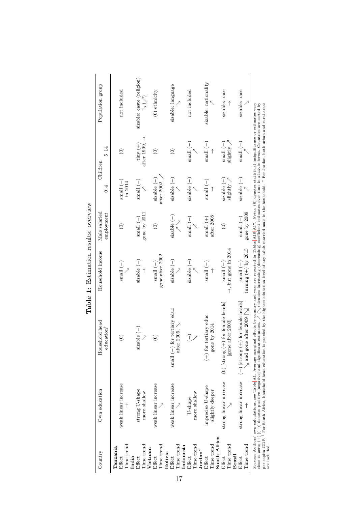<span id="page-19-0"></span>

| Country                              | Own education                        | Household head<br>education <sup>1</sup>                                                                                                                                                                                                                                                                                                                                                                                                                                                                                                                                                                                             | Household income                                     | Male salaried<br>employment                | $0 - 4$                            | $5 - 14$<br>Children                              | Population group                                       |
|--------------------------------------|--------------------------------------|--------------------------------------------------------------------------------------------------------------------------------------------------------------------------------------------------------------------------------------------------------------------------------------------------------------------------------------------------------------------------------------------------------------------------------------------------------------------------------------------------------------------------------------------------------------------------------------------------------------------------------------|------------------------------------------------------|--------------------------------------------|------------------------------------|---------------------------------------------------|--------------------------------------------------------|
| Time trend<br>Tanzania<br>Effect     | weak linear increase                 | $\widehat{\mathbf{e}}$                                                                                                                                                                                                                                                                                                                                                                                                                                                                                                                                                                                                               | small $(-)$                                          | $\widehat{\in}$                            | $\sum_{i=1}^{n}$<br>in 2014        | $\widehat{\in}$                                   | not included                                           |
| Time trend<br>India<br>Effect        | strong U-shape<br>more shallow       | sizable $(-)$                                                                                                                                                                                                                                                                                                                                                                                                                                                                                                                                                                                                                        | sizable $(-)$                                        | gone by 2011<br>small $(-)$                | $\sum_{i=1}^{n}$                   | $\rightarrow$ 4.600 $\rightarrow$<br>$\tan y (+)$ | sizable: caste (religion)<br>$\searrow$ ( $\nearrow$ ) |
| Time trend<br>Vietnam<br>Effect      | weak linear increase                 | $\widehat{c}$                                                                                                                                                                                                                                                                                                                                                                                                                                                                                                                                                                                                                        | gone after 2002<br>small $(-)$                       | $\widehat{\in}$                            | $after~2002,$ $\,$<br>$size$ $(-)$ | $\widehat{\in}$                                   | $(0)$ ethnicity                                        |
| Time trend<br>Bolivia<br>Effect      | weak linear increase                 | small $(-)$ for tertiary educ<br>after 2005, $\searrow$                                                                                                                                                                                                                                                                                                                                                                                                                                                                                                                                                                              | sizable $(-)$                                        | $size$ ble $(-)$<br>$\bigwedge^{\nearrow}$ | $size$ $(-)$                       | $\widehat{\circ}$                                 | sizable: language                                      |
| Time trend<br>Indonesia<br>Effect    | more shallow<br>U-shape              | I                                                                                                                                                                                                                                                                                                                                                                                                                                                                                                                                                                                                                                    | sizable $(-)$                                        | small $(-)$                                | $size$ ble $(-)$                   | $\binom{(-)}{(-)}$                                | not included                                           |
| Time trend<br>$Jordan^*$<br>Effect   | imprecise U-shape<br>slightly deeper | $(+)$ for tertiary educ<br>gone by $2014$                                                                                                                                                                                                                                                                                                                                                                                                                                                                                                                                                                                            | small $(-)$                                          | after 2008<br>small $(+)$                  | $\sum_{i=1}^{n}$                   | $\sum_{i=1}^{n}$                                  | sizable: nationality                                   |
| South Africa<br>Time trend<br>Effect | strong linear increase               | $(0)$ [strong $(+)$ for female heads]<br>[gone after 2003]                                                                                                                                                                                                                                                                                                                                                                                                                                                                                                                                                                           | $\rightarrow$ , but gone in 2014<br>$\sum_{i=1}^{n}$ | $\widehat{\in}$                            | $size$ ble $(-)$<br>slightly       | $\binom{-}{-}$<br>$slightly$ ,                    | sizable: race                                          |
| Time trend<br>Brazil<br>Effect       |                                      | strong linear increase $(-)$ [strong $(+)$ for female heads]<br>after $2009$ $\left[\sqrt{}{}\right]$<br>$_\mathrm{N}$ and gone                                                                                                                                                                                                                                                                                                                                                                                                                                                                                                      | turning $(+)$ by 2013<br>small $(-)$                 | gone by 2009<br>small $(-)$                | sizable $(-)$                      | small $(-)$                                       | sizable: race                                          |
| are included.                        |                                      | per capita GDP. <sup>†</sup> For South Africa, household head education is proxied by the highest education level of any adult married male in the household. * For Jordan, both urban and rural areas<br>close to zero; $(+)$ $[(-)]$ denotes positive [negative] and significant estimates. $\nearrow$ ( $\searrow$ ) denotes increasing (decreasing) coefficient estimates over time in absolute terms. Countries are sorted by<br>Sources: Authors' own calculations, see Table A1. Average marginal effects by country and year are reported in Tables A10-A17. Notes: (0) denotes statistical insignificance or estimates very |                                                      |                                            |                                    |                                                   |                                                        |

Table 1: Estimation results: overview **Table 1:** Estimation results: overview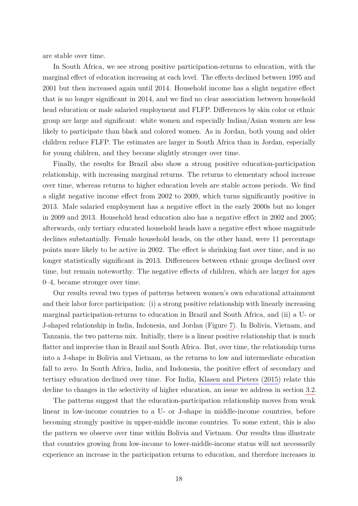are stable over time.

In South Africa, we see strong positive participation-returns to education, with the marginal effect of education increasing at each level. The effects declined between 1995 and 2001 but then increased again until 2014. Household income has a slight negative effect that is no longer significant in 2014, and we find no clear association between household head education or male salaried employment and FLFP. Differences by skin color or ethnic group are large and significant: white women and especially Indian/Asian women are less likely to participate than black and colored women. As in Jordan, both young and older children reduce FLFP. The estimates are larger in South Africa than in Jordan, especially for young children, and they become slightly stronger over time.

Finally, the results for Brazil also show a strong positive education-participation relationship, with increasing marginal returns. The returns to elementary school increase over time, whereas returns to higher education levels are stable across periods. We find a slight negative income effect from 2002 to 2009, which turns significantly positive in 2013. Male salaried employment has a negative effect in the early 2000s but no longer in 2009 and 2013. Household head education also has a negative effect in 2002 and 2005; afterwards, only tertiary educated household heads have a negative effect whose magnitude declines substantially. Female household heads, on the other hand, were 11 percentage points more likely to be active in 2002. The effect is shrinking fast over time, and is no longer statistically significant in 2013. Differences between ethnic groups declined over time, but remain noteworthy. The negative effects of children, which are larger for ages 0–4, became stronger over time.

Our results reveal two types of patterns between women's own educational attainment and their labor force participation: (i) a strong positive relationship with linearly increasing marginal participation-returns to education in Brazil and South Africa, and (ii) a U- or J-shaped relationship in India, Indonesia, and Jordan (Figure [7\)](#page-22-0). In Bolivia, Vietnam, and Tanzania, the two patterns mix. Initially, there is a linear positive relationship that is much flatter and imprecise than in Brazil and South Africa. But, over time, the relationship turns into a J-shape in Bolivia and Vietnam, as the returns to low and intermediate education fall to zero. In South Africa, India, and Indonesia, the positive effect of secondary and tertiary education declined over time. For India, [Klasen and Pieters](#page-39-8) [\(2015\)](#page-39-8) relate this decline to changes in the selectivity of higher education, an issue we address in section [3.2.](#page-26-0)

The patterns suggest that the education-participation relationship moves from weak linear in low-income countries to a U- or J-shape in middle-income countries, before becoming strongly positive in upper-middle income countries. To some extent, this is also the pattern we observe over time within Bolivia and Vietnam. Our results thus illustrate that countries growing from low-income to lower-middle-income status will not necessarily experience an increase in the participation returns to education, and therefore increases in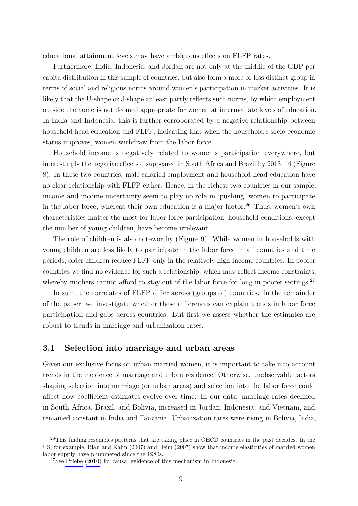educational attainment levels may have ambiguous effects on FLFP rates.

Furthermore, India, Indonesia, and Jordan are not only at the middle of the GDP per capita distribution in this sample of countries, but also form a more or less distinct group in terms of social and religious norms around women's participation in market activities. It is likely that the U-shape or J-shape at least partly reflects such norms, by which employment outside the home is not deemed appropriate for women at intermediate levels of education. In India and Indonesia, this is further corroborated by a negative relationship between household head education and FLFP, indicating that when the household's socio-economic status improves, women withdraw from the labor force.

Household income is negatively related to women's participation everywhere, but interestingly the negative effects disappeared in South Africa and Brazil by 2013–14 (Figure [8\)](#page-23-0). In these two countries, male salaried employment and household head education have no clear relationship with FLFP either. Hence, in the richest two countries in our sample, income and income uncertainty seem to play no role in 'pushing' women to participate in the labor force, whereas their own education is a major factor.<sup>26</sup> Thus, women's own characteristics matter the most for labor force participation; household conditions, except the number of young children, have become irrelevant.

The role of children is also noteworthy (Figure [9\)](#page-24-0). While women in households with young children are less likely to participate in the labor force in all countries and time periods, older children reduce FLFP only in the relatively high-income countries. In poorer countries we find no evidence for such a relationship, which may reflect income constraints, whereby mothers cannot afford to stay out of the labor force for long in poorer settings.<sup>27</sup>

In sum, the correlates of FLFP differ across (groups of) countries. In the remainder of the paper, we investigate whether these differences can explain trends in labor force participation and gaps across countries. But first we assess whether the estimates are robust to trends in marriage and urbanization rates.

## <span id="page-21-0"></span>**3.1 Selection into marriage and urban areas**

Given our exclusive focus on urban married women, it is important to take into account trends in the incidence of marriage and urban residence. Otherwise, unobservable factors shaping selection into marriage (or urban areas) and selection into the labor force could affect how coefficient estimates evolve over time. In our data, marriage rates declined in South Africa, Brazil, and Bolivia, increased in Jordan, Indonesia, and Vietnam, and remained constant in India and Tanzania. Urbanization rates were rising in Bolivia, India,

<sup>&</sup>lt;sup>26</sup>This finding resembles patterns that are taking place in OECD countries in the past decades. In the US, for example, [Blau and Kahn](#page-38-7) [\(2007\)](#page-38-7) and [Heim](#page-39-9) [\(2007\)](#page-39-9) show that income elasticities of married women labor supply have plummeted since the 1980s.

 $27$ See [Priebe](#page-40-3) [\(2010\)](#page-40-3) for causal evidence of this mechanism in Indonesia.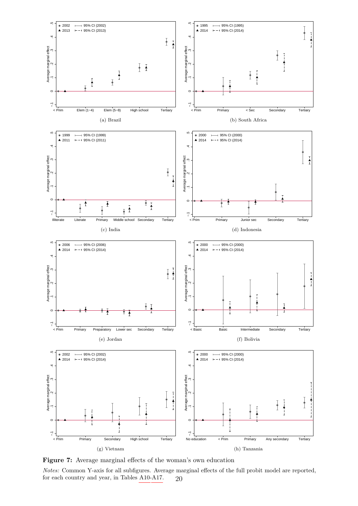<span id="page-22-0"></span>

**Figure 7:** Average marginal effects of the woman's own education

*Notes:* Common Y-axis for all subfigures. Average marginal effects of the full probit model are reported, for each country and year, in Tables [A10-](#page-58-0)[A17.](#page-65-0)  $20$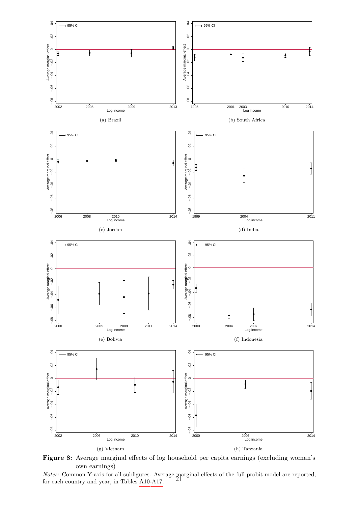<span id="page-23-0"></span>

Figure 8: Average marginal effects of log household per capita earnings (excluding woman's own earnings)

*Notes:* Common Y-axis for all subfigures. Average marginal effects of the full probit model are reported,  $f_{\text{on}}$  and continuously reported,  $f_{\text{on}}$  and continuously reported, for each country and year, in Tables [A10-](#page-58-0)[A17.](#page-65-0)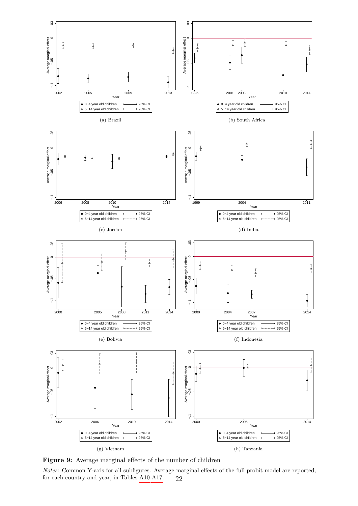<span id="page-24-0"></span>

**Figure 9:** Average marginal effects of the number of children

*Notes:* Common Y-axis for all subfigures. Average marginal effects of the full probit model are reported, for each country and year, in Tables [A10-](#page-58-0)[A17.](#page-65-0) 22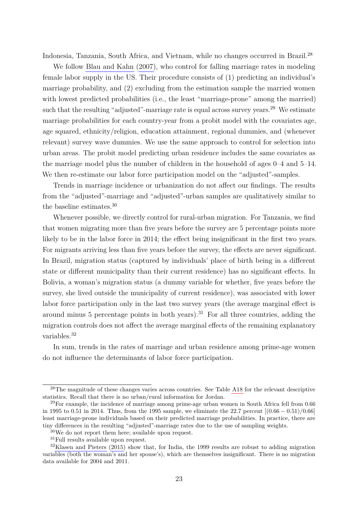Indonesia, Tanzania, South Africa, and Vietnam, while no changes occurred in Brazil.<sup>28</sup>

We follow [Blau and Kahn](#page-38-7) [\(2007\)](#page-38-7), who control for falling marriage rates in modeling female labor supply in the US. Their procedure consists of (1) predicting an individual's marriage probability, and (2) excluding from the estimation sample the married women with lowest predicted probabilities (i.e., the least "marriage-prone" among the married) such that the resulting "adjusted"-marriage rate is equal across survey years.<sup>29</sup> We estimate marriage probabilities for each country-year from a probit model with the covariates age, age squared, ethnicity/religion, education attainment, regional dummies, and (whenever relevant) survey wave dummies. We use the same approach to control for selection into urban areas. The probit model predicting urban residence includes the same covariates as the marriage model plus the number of children in the household of ages 0–4 and 5–14. We then re-estimate our labor force participation model on the "adjusted"-samples.

Trends in marriage incidence or urbanization do not affect our findings. The results from the "adjusted"-marriage and "adjusted"-urban samples are qualitatively similar to the baseline estimates.<sup>30</sup>

Whenever possible, we directly control for rural-urban migration. For Tanzania, we find that women migrating more than five years before the survey are 5 percentage points more likely to be in the labor force in 2014; the effect being insignificant in the first two years. For migrants arriving less than five years before the survey, the effects are never significant. In Brazil, migration status (captured by individuals' place of birth being in a different state or different municipality than their current residence) has no significant effects. In Bolivia, a woman's migration status (a dummy variable for whether, five years before the survey, she lived outside the municipality of current residence), was associated with lower labor force participation only in the last two survey years (the average marginal effect is around minus 5 percentage points in both years).<sup>31</sup> For all three countries, adding the migration controls does not affect the average marginal effects of the remaining explanatory variables.<sup>32</sup>

In sum, trends in the rates of marriage and urban residence among prime-age women do not influence the determinants of labor force participation.

<sup>&</sup>lt;sup>28</sup>The magnitude of these changes varies across countries. See Table [A18](#page-66-0) for the relevant descriptive statistics. Recall that there is no urban/rural information for Jordan.

 $^{29}$ For example, the incidence of marriage among prime-age urban women in South Africa fell from 0.66 in 1995 to 0.51 in 2014. Thus, from the 1995 sample, we eliminate the 22.7 percent [(0*.*66 − 0*.*51)*/*0*.*66] least marriage-prone individuals based on their predicted marriage probabilities. In practice, there are tiny differences in the resulting "adjusted"-marriage rates due to the use of sampling weights.

<sup>30</sup>We do not report them here; available upon request.

<sup>31</sup>Full results available upon request.

<sup>&</sup>lt;sup>32</sup>[Klasen and Pieters](#page-39-8) [\(2015\)](#page-39-8) show that, for India, the 1999 results are robust to adding migration variables (both the woman's and her spouse's), which are themselves insignificant. There is no migration data available for 2004 and 2011.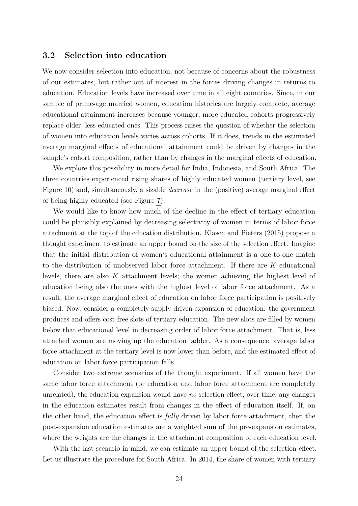### <span id="page-26-0"></span>**3.2 Selection into education**

We now consider selection into education, not because of concerns about the robustness of our estimates, but rather out of interest in the forces driving changes in returns to education. Education levels have increased over time in all eight countries. Since, in our sample of prime-age married women, education histories are largely complete, average educational attainment increases because younger, more educated cohorts progressively replace older, less educated ones. This process raises the question of whether the selection of women into education levels varies across cohorts. If it does, trends in the estimated average marginal effects of educational attainment could be driven by changes in the sample's cohort composition, rather than by changes in the marginal effects of education.

We explore this possibility in more detail for India, Indonesia, and South Africa. The three countries experienced rising shares of highly educated women (tertiary level, see Figure [10\)](#page-28-0) and, simultaneously, a sizable *decrease* in the (positive) average marginal effect of being highly educated (see Figure [7\)](#page-22-0).

We would like to know how much of the decline in the effect of tertiary education could be plausibly explained by decreasing selectivity of women in terms of labor force attachment at the top of the education distribution. [Klasen and Pieters](#page-39-8) [\(2015\)](#page-39-8) propose a thought experiment to estimate an upper bound on the size of the selection effect. Imagine that the initial distribution of women's educational attainment is a one-to-one match to the distribution of unobserved labor force attachment. If there are *K* educational levels, there are also *K* attachment levels; the women achieving the highest level of education being also the ones with the highest level of labor force attachment. As a result, the average marginal effect of education on labor force participation is positively biased. Now, consider a completely supply-driven expansion of education: the government produces and offers cost-free slots of tertiary education. The new slots are filled by women below that educational level in decreasing order of labor force attachment. That is, less attached women are moving up the education ladder. As a consequence, average labor force attachment at the tertiary level is now lower than before, and the estimated effect of education on labor force participation falls.

Consider two extreme scenarios of the thought experiment. If all women have the same labor force attachment (or education and labor force attachment are completely unrelated), the education expansion would have *no* selection effect; over time, any changes in the education estimates result from changes in the effect of education itself. If, on the other hand, the education effect is *fully* driven by labor force attachment, then the post-expansion education estimates are a weighted sum of the pre-expansion estimates, where the weights are the changes in the attachment composition of each education level.

With the last scenario in mind, we can estimate an upper bound of the selection effect. Let us illustrate the procedure for South Africa. In 2014, the share of women with tertiary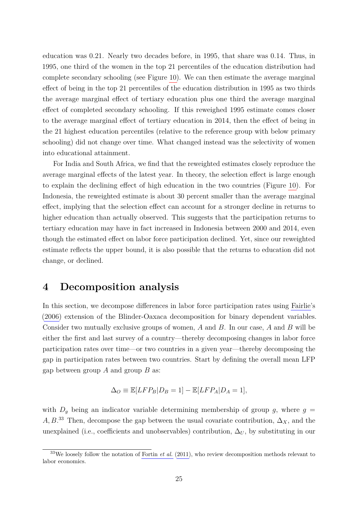education was 0.21. Nearly two decades before, in 1995, that share was 0.14. Thus, in 1995, one third of the women in the top 21 percentiles of the education distribution had complete secondary schooling (see Figure [10\)](#page-28-0). We can then estimate the average marginal effect of being in the top 21 percentiles of the education distribution in 1995 as two thirds the average marginal effect of tertiary education plus one third the average marginal effect of completed secondary schooling. If this reweighed 1995 estimate comes closer to the average marginal effect of tertiary education in 2014, then the effect of being in the 21 highest education percentiles (relative to the reference group with below primary schooling) did not change over time. What changed instead was the selectivity of women into educational attainment.

For India and South Africa, we find that the reweighted estimates closely reproduce the average marginal effects of the latest year. In theory, the selection effect is large enough to explain the declining effect of high education in the two countries (Figure [10\)](#page-28-0). For Indonesia, the reweighted estimate is about 30 percent smaller than the average marginal effect, implying that the selection effect can account for a stronger decline in returns to higher education than actually observed. This suggests that the participation returns to tertiary education may have in fact increased in Indonesia between 2000 and 2014, even though the estimated effect on labor force participation declined. Yet, since our reweighted estimate reflects the upper bound, it is also possible that the returns to education did not change, or declined.

## <span id="page-27-0"></span>**4 Decomposition analysis**

In this section, we decompose differences in labor force participation rates using [Fairlie'](#page-38-8)s [\(2006\)](#page-38-8) extension of the Blinder-Oaxaca decomposition for binary dependent variables. Consider two mutually exclusive groups of women, *A* and *B*. In our case, *A* and *B* will be either the first and last survey of a country—thereby decomposing changes in labor force participation rates over time—or two countries in a given year—thereby decomposing the gap in participation rates between two countries. Start by defining the overall mean LFP gap between group *A* and group *B* as:

$$
\Delta_O \equiv \mathbb{E}[LFP_B|D_B=1] - \mathbb{E}[LFP_A|D_A=1],
$$

with  $D_g$  being an indicator variable determining membership of group  $g$ , where  $g =$  $A, B$ <sup>33</sup> Then, decompose the gap between the usual covariate contribution,  $\Delta_X$ , and the unexplained (i.e., coefficients and unobservables) contribution,  $\Delta_U$ , by substituting in our

<sup>33</sup>We loosely follow the notation of [Fortin](#page-39-10) *et al.* [\(2011\)](#page-39-10), who review decomposition methods relevant to labor economics.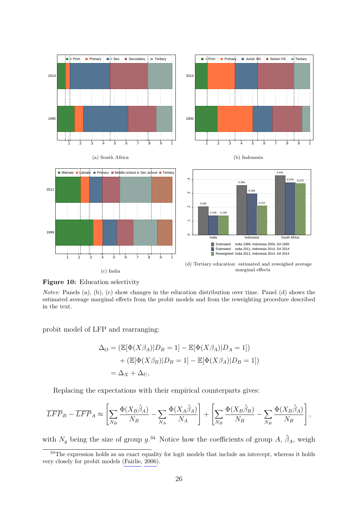<span id="page-28-0"></span>

**Figure 10:** Education selectivity

*Notes:* Panels (a), (b), (c) show changes in the education distribution over time. Panel (d) shows the estimated average marginal effects from the probit models and from the reweighting procedure described in the text.

probit model of LFP and rearranging:

$$
\Delta_O = (\mathbb{E}[\Phi(X\beta_A)|D_B = 1] - \mathbb{E}[\Phi(X\beta_A)|D_A = 1])
$$
  
+ (\mathbb{E}[\Phi(X\beta\_B)|D\_B = 1] - \mathbb{E}[\Phi(X\beta\_A)|D\_B = 1])  
= \Delta\_X + \Delta\_U,

Replacing the expectations with their empirical counterparts gives:

$$
\overline{LFP}_B - \overline{LFP}_A \approx \left[ \sum_{N_B} \frac{\Phi(X_B \hat{\beta}_A)}{N_B} - \sum_{N_A} \frac{\Phi(X_A \hat{\beta}_A)}{N_A} \right] + \left[ \sum_{N_B} \frac{\Phi(X_B \hat{\beta}_B)}{N_B} - \sum_{N_B} \frac{\Phi(X_B \hat{\beta}_A)}{N_B} \right],
$$

with  $N_g$  being the size of group  $g^{34}$ . Notice how the coefficients of group A,  $\hat{\beta}_A$ , weigh

<sup>&</sup>lt;sup>34</sup>The expression holds as an exact equality for logit models that include an intercept, whereas it holds very closely for probit models [\(Fairlie, 2006\)](#page-38-8).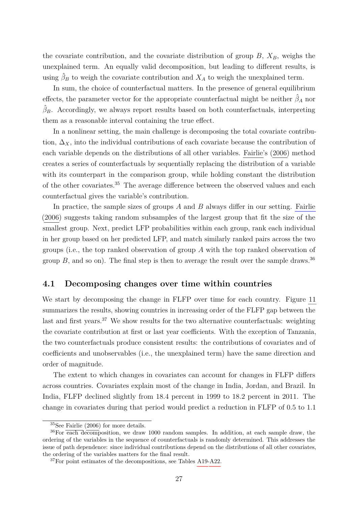the covariate contribution, and the covariate distribution of group  $B$ ,  $X_B$ , weighs the unexplained term. An equally valid decomposition, but leading to different results, is using  $\hat{\beta}_B$  to weigh the covariate contribution and  $X_A$  to weigh the unexplained term.

In sum, the choice of counterfactual matters. In the presence of general equilibrium effects, the parameter vector for the appropriate counterfactual might be neither  $\hat{\beta}_A$  nor  $\hat{\beta}_B$ . Accordingly, we always report results based on both counterfactuals, interpreting them as a reasonable interval containing the true effect.

In a nonlinear setting, the main challenge is decomposing the total covariate contribution,  $\Delta_X$ , into the individual contributions of each covariate because the contribution of each variable depends on the distributions of all other variables. [Fairlie'](#page-38-8)s [\(2006\)](#page-38-8) method creates a series of counterfactuals by sequentially replacing the distribution of a variable with its counterpart in the comparison group, while holding constant the distribution of the other covariates.<sup>35</sup> The average difference between the observed values and each counterfactual gives the variable's contribution.

In practice, the sample sizes of groups *A* and *B* always differ in our setting. [Fairlie](#page-38-8) [\(2006\)](#page-38-8) suggests taking random subsamples of the largest group that fit the size of the smallest group. Next, predict LFP probabilities within each group, rank each individual in her group based on her predicted LFP, and match similarly ranked pairs across the two groups (i.e., the top ranked observation of group *A* with the top ranked observation of group  $B$ , and so on). The final step is then to average the result over the sample draws.<sup>36</sup>

### **4.1 Decomposing changes over time within countries**

We start by decomposing the change in FLFP over time for each country. Figure [11](#page-30-0) summarizes the results, showing countries in increasing order of the FLFP gap between the last and first years.<sup>37</sup> We show results for the two alternative counterfactuals: weighting the covariate contribution at first or last year coefficients. With the exception of Tanzania, the two counterfactuals produce consistent results: the contributions of covariates and of coefficients and unobservables (i.e., the unexplained term) have the same direction and order of magnitude.

The extent to which changes in covariates can account for changes in FLFP differs across countries. Covariates explain most of the change in India, Jordan, and Brazil. In India, FLFP declined slightly from 18.4 percent in 1999 to 18.2 percent in 2011. The change in covariates during that period would predict a reduction in FLFP of 0.5 to 1.1

<sup>35</sup>See [Fairlie](#page-38-8) [\(2006\)](#page-38-8) for more details.

<sup>36</sup>For each decomposition, we draw 1000 random samples. In addition, at each sample draw, the ordering of the variables in the sequence of counterfactuals is randomly determined. This addresses the issue of path dependence: since individual contributions depend on the distributions of all other covariates, the ordering of the variables matters for the final result.

<sup>37</sup>For point estimates of the decompositions, see Tables [A19-](#page-67-0)[A22.](#page-68-0)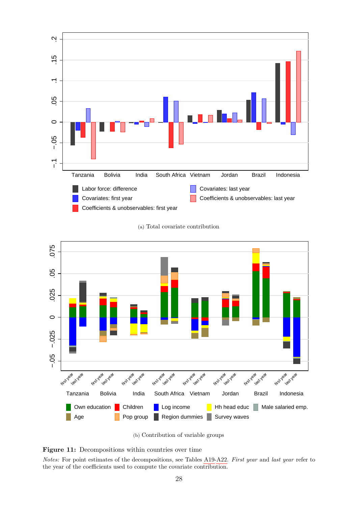<span id="page-30-0"></span>

(a) Total covariate contribution



(b) Contribution of variable groups

#### Figure 11: Decompositions within countries over time

*Notes:* For point estimates of the decompositions, see Tables [A19-](#page-67-0)[A22.](#page-68-0) *First year* and *last year* refer to the year of the coefficients used to compute the covariate contribution.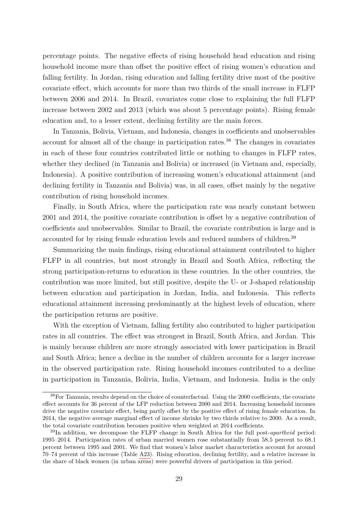percentage points. The negative effects of rising household head education and rising household income more than offset the positive effect of rising women's education and falling fertility. In Jordan, rising education and falling fertility drive most of the positive covariate effect, which accounts for more than two thirds of the small increase in FLFP between 2006 and 2014. In Brazil, covariates come close to explaining the full FLFP increase between 2002 and 2013 (which was about 5 percentage points). Rising female education and, to a lesser extent, declining fertility are the main forces.

In Tanzania, Bolivia, Vietnam, and Indonesia, changes in coefficients and unobservables account for almost all of the change in participation rates.<sup>38</sup> The changes in covariates in each of these four countries contributed little or nothing to changes in FLFP rates, whether they declined (in Tanzania and Bolivia) or increased (in Vietnam and, especially, Indonesia). A positive contribution of increasing women's educational attainment (and declining fertility in Tanzania and Bolivia) was, in all cases, offset mainly by the negative contribution of rising household incomes.

Finally, in South Africa, where the participation rate was nearly constant between 2001 and 2014, the positive covariate contribution is offset by a negative contribution of coefficients and unobservables. Similar to Brazil, the covariate contribution is large and is accounted for by rising female education levels and reduced numbers of children.<sup>39</sup>

Summarizing the main findings, rising educational attainment contributed to higher FLFP in all countries, but most strongly in Brazil and South Africa, reflecting the strong participation-returns to education in these countries. In the other countries, the contribution was more limited, but still positive, despite the U- or J-shaped relationship between education and participation in Jordan, India, and Indonesia. This reflects educational attainment increasing predominantly at the highest levels of education, where the participation returns are positive.

With the exception of Vietnam, falling fertility also contributed to higher participation rates in all countries. The effect was strongest in Brazil, South Africa, and Jordan. This is mainly because children are more strongly associated with lower participation in Brazil and South Africa; hence a decline in the number of children accounts for a larger increase in the observed participation rate. Rising household incomes contributed to a decline in participation in Tanzania, Bolivia, India, Vietnam, and Indonesia. India is the only

<sup>38</sup>For Tanzania, results depend on the choice of counterfactual. Using the 2000 coefficients, the covariate effect accounts for 36 percent of the LFP reduction between 2000 and 2014. Increasing household incomes drive the negative covariate effect, being partly offset by the positive effect of rising female education. In 2014, the negative average marginal effect of income shrinks by two thirds relative to 2000. As a result, the total covariate contribution becomes positive when weighted at 2014 coefficients.

<sup>39</sup>In addition, we decompose the FLFP change in South Africa for the full post-*apartheid* period: 1995–2014. Participation rates of urban married women rose substantially from 58.5 percent to 68.1 percent between 1995 and 2001. We find that women's labor market characteristics account for around 70–74 percent of this increase (Table [A23\)](#page-69-0). Rising education, declining fertility, and a relative increase in the share of black women (in urban areas) were powerful drivers of participation in this period.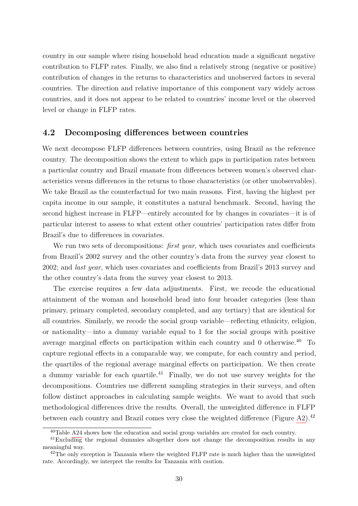country in our sample where rising household head education made a significant negative contribution to FLFP rates. Finally, we also find a relatively strong (negative or positive) contribution of changes in the returns to characteristics and unobserved factors in several countries. The direction and relative importance of this component vary widely across countries, and it does not appear to be related to countries' income level or the observed level or change in FLFP rates.

### **4.2 Decomposing differences between countries**

We next decompose FLFP differences between countries, using Brazil as the reference country. The decomposition shows the extent to which gaps in participation rates between a particular country and Brazil emanate from differences between women's observed characteristics versus differences in the returns to those characteristics (or other unobservables). We take Brazil as the counterfactual for two main reasons. First, having the highest per capita income in our sample, it constitutes a natural benchmark. Second, having the second highest increase in FLFP—entirely accounted for by changes in covariates—it is of particular interest to assess to what extent other countries' participation rates differ from Brazil's due to differences in covariates.

We run two sets of decompositions: *first year*, which uses covariates and coefficients from Brazil's 2002 survey and the other country's data from the survey year closest to 2002; and *last year*, which uses covariates and coefficients from Brazil's 2013 survey and the other country's data from the survey year closest to 2013.

The exercise requires a few data adjustments. First, we recode the educational attainment of the woman and household head into four broader categories (less than primary, primary completed, secondary completed, and any tertiary) that are identical for all countries. Similarly, we recode the social group variable—reflecting ethnicity, religion, or nationality—into a dummy variable equal to 1 for the social groups with positive average marginal effects on participation within each country and 0 otherwise.<sup>40</sup> To capture regional effects in a comparable way, we compute, for each country and period, the quartiles of the regional average marginal effects on participation. We then create a dummy variable for each quartile.<sup>41</sup> Finally, we do not use survey weights for the decompositions. Countries use different sampling strategies in their surveys, and often follow distinct approaches in calculating sample weights. We want to avoid that such methodological differences drive the results. Overall, the unweighted difference in FLFP between each country and Brazil comes very close the weighted difference (Figure [A2\)](#page-62-0).<sup>42</sup>

<sup>40</sup>Table [A24](#page-70-0) shows how the education and social group variables are created for each country.

<sup>41</sup>Excluding the regional dummies altogether does not change the decomposition results in any meaningful way.

 $^{42}$ The only exception is Tanzania where the weighted FLFP rate is much higher than the unweighted rate. Accordingly, we interpret the results for Tanzania with caution.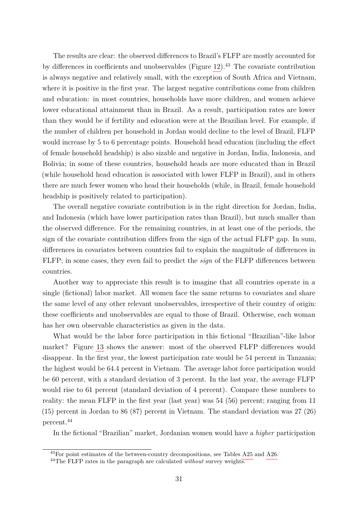The results are clear: the observed differences to Brazil's FLFP are mostly accounted for by differences in coefficients and unobservables (Figure  $12$ ).<sup>43</sup> The covariate contribution is always negative and relatively small, with the exception of South Africa and Vietnam, where it is positive in the first year. The largest negative contributions come from children and education: in most countries, households have more children, and women achieve lower educational attainment than in Brazil. As a result, participation rates are lower than they would be if fertility and education were at the Brazilian level. For example, if the number of children per household in Jordan would decline to the level of Brazil, FLFP would increase by 5 to 6 percentage points. Household head education (including the effect of female household headship) is also sizable and negative in Jordan, India, Indonesia, and Bolivia; in some of these countries, household heads are more educated than in Brazil (while household head education is associated with lower FLFP in Brazil), and in others there are much fewer women who head their households (while, in Brazil, female household headship is positively related to participation).

The overall negative covariate contribution is in the right direction for Jordan, India, and Indonesia (which have lower participation rates than Brazil), but much smaller than the observed difference. For the remaining countries, in at least one of the periods, the sign of the covariate contribution differs from the sign of the actual FLFP gap. In sum, differences in covariates between countries fail to explain the magnitude of differences in FLFP; in some cases, they even fail to predict the *sign* of the FLFP differences between countries.

Another way to appreciate this result is to imagine that all countries operate in a single (fictional) labor market. All women face the same returns to covariates and share the same level of any other relevant unobservables, irrespective of their country of origin: these coefficients and unobservables are equal to those of Brazil. Otherwise, each woman has her own observable characteristics as given in the data.

What would be the labor force participation in this fictional "Brazilian"-like labor market? Figure [13](#page-35-0) shows the answer: most of the observed FLFP differences would disappear. In the first year, the lowest participation rate would be 54 percent in Tanzania; the highest would be 64.4 percent in Vietnam. The average labor force participation would be 60 percent, with a standard deviation of 3 percent. In the last year, the average FLFP would rise to 61 percent (standard deviation of 4 percent). Compare these numbers to reality: the mean FLFP in the first year (last year) was 54 (56) percent; ranging from 11 (15) percent in Jordan to 86 (87) percent in Vietnam. The standard deviation was 27 (26) percent.<sup>44</sup>

In the fictional "Brazilian" market, Jordanian women would have a *higher* participation

<sup>43</sup>For point estimates of the between-country decompositions, see Tables [A25](#page-71-0) and [A26.](#page-72-0)

<sup>44</sup>The FLFP rates in the paragraph are calculated *without* survey weights.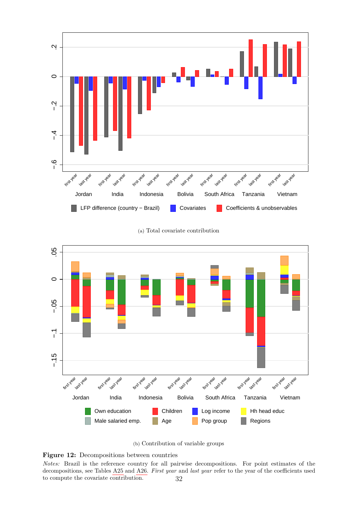<span id="page-34-0"></span>

(a) Total covariate contribution



(b) Contribution of variable groups

**Figure 12:** Decompositions between countries

*Notes:* Brazil is the reference country for all pairwise decompositions. For point estimates of the decompositions, see Tables [A25](#page-71-0) and [A26.](#page-72-0) *First year* and *last year* refer to the year of the coefficients used to compute the covariate contribution.  $32$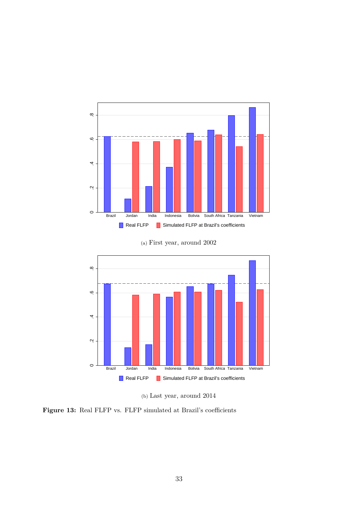<span id="page-35-0"></span>



(a) First year, around 2002



Brazil Jordan India Indonesia Bolivia South Africa Tanzania Vietnam Real FLFP Simulated FLFP at Brazil's coefficients

**Figure 13:** Real FLFP vs. FLFP simulated at Brazil's coefficients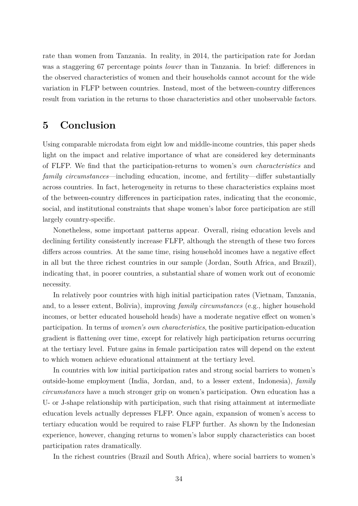rate than women from Tanzania. In reality, in 2014, the participation rate for Jordan was a staggering 67 percentage points *lower* than in Tanzania. In brief: differences in the observed characteristics of women and their households cannot account for the wide variation in FLFP between countries. Instead, most of the between-country differences result from variation in the returns to those characteristics and other unobservable factors.

### **5 Conclusion**

Using comparable microdata from eight low and middle-income countries, this paper sheds light on the impact and relative importance of what are considered key determinants of FLFP. We find that the participation-returns to women's *own characteristics* and *family circumstances*—including education, income, and fertility—differ substantially across countries. In fact, heterogeneity in returns to these characteristics explains most of the between-country differences in participation rates, indicating that the economic, social, and institutional constraints that shape women's labor force participation are still largely country-specific.

Nonetheless, some important patterns appear. Overall, rising education levels and declining fertility consistently increase FLFP, although the strength of these two forces differs across countries. At the same time, rising household incomes have a negative effect in all but the three richest countries in our sample (Jordan, South Africa, and Brazil), indicating that, in poorer countries, a substantial share of women work out of economic necessity.

In relatively poor countries with high initial participation rates (Vietnam, Tanzania, and, to a lesser extent, Bolivia), improving *family circumstances* (e.g., higher household incomes, or better educated household heads) have a moderate negative effect on women's participation. In terms of *women's own characteristics*, the positive participation-education gradient is flattening over time, except for relatively high participation returns occurring at the tertiary level. Future gains in female participation rates will depend on the extent to which women achieve educational attainment at the tertiary level.

In countries with low initial participation rates and strong social barriers to women's outside-home employment (India, Jordan, and, to a lesser extent, Indonesia), *family circumstances* have a much stronger grip on women's participation. Own education has a U- or J-shape relationship with participation, such that rising attainment at intermediate education levels actually depresses FLFP. Once again, expansion of women's access to tertiary education would be required to raise FLFP further. As shown by the Indonesian experience, however, changing returns to women's labor supply characteristics can boost participation rates dramatically.

In the richest countries (Brazil and South Africa), where social barriers to women's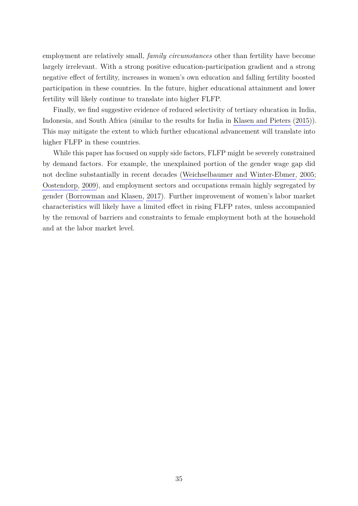employment are relatively small, *family circumstances* other than fertility have become largely irrelevant. With a strong positive education-participation gradient and a strong negative effect of fertility, increases in women's own education and falling fertility boosted participation in these countries. In the future, higher educational attainment and lower fertility will likely continue to translate into higher FLFP.

Finally, we find suggestive evidence of reduced selectivity of tertiary education in India, Indonesia, and South Africa (similar to the results for India in [Klasen and Pieters](#page-39-0) [\(2015\)](#page-39-0)). This may mitigate the extent to which further educational advancement will translate into higher FLFP in these countries.

While this paper has focused on supply side factors, FLFP might be severely constrained by demand factors. For example, the unexplained portion of the gender wage gap did not decline substantially in recent decades [\(Weichselbaumer and Winter-Ebmer, 2005;](#page-40-0) [Oostendorp, 2009\)](#page-40-1), and employment sectors and occupations remain highly segregated by gender [\(Borrowman and Klasen, 2017\)](#page-38-0). Further improvement of women's labor market characteristics will likely have a limited effect in rising FLFP rates, unless accompanied by the removal of barriers and constraints to female employment both at the household and at the labor market level.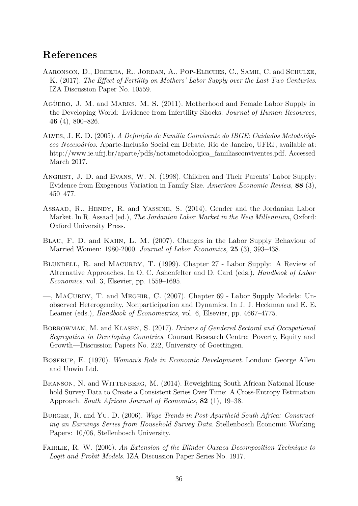## **References**

- Aaronson, D., Dehejia, R., Jordan, A., Pop-Eleches, C., Samii, C. and Schulze, K. (2017). *The Effect of Fertility on Mothers' Labor Supply over the Last Two Centuries*. IZA Discussion Paper No. 10559.
- Agüero, J. M. and Marks, M. S. (2011). Motherhood and Female Labor Supply in the Developing World: Evidence from Infertility Shocks. *Journal of Human Resources*, **46** (4), 800–826.
- <span id="page-38-2"></span>Alves, J. E. D. (2005). *A Definição de Família Convivente do IBGE: Cuidados Metodológicos Necessários*. Aparte-Inclusão Social em Debate, Rio de Janeiro, UFRJ, available at: [http://www.ie.ufrj.br/aparte/pdfs/notametodologica\\_familiasconviventes.pdf.](http://www.ie.ufrj.br/aparte/pdfs/notametodologica_familiasconviventes.pdf) Accessed March 2017.
- Angrist, J. D. and Evans, W. N. (1998). Children and Their Parents' Labor Supply: Evidence from Exogenous Variation in Family Size. *American Economic Review*, **88** (3), 450–477.
- <span id="page-38-4"></span>ASSAAD, R., HENDY, R. and YASSINE, S. (2014). Gender and the Jordanian Labor Market. In R. Assaad (ed.), *The Jordanian Labor Market in the New Millennium*, Oxford: Oxford University Press.
- Blau, F. D. and Kahn, L. M. (2007). Changes in the Labor Supply Behaviour of Married Women: 1980-2000. *Journal of Labor Economics*, **25** (3), 393–438.
- BLUNDELL, R. and MACURDY, T. (1999). Chapter 27 Labor Supply: A Review of Alternative Approaches. In O. C. Ashenfelter and D. Card (eds.), *Handbook of Labor Economics*, vol. 3, Elsevier, pp. 1559–1695.
- —, MACURDY, T. and MEGHIR, C. (2007). Chapter 69 Labor Supply Models: Unobserved Heterogeneity, Nonparticipation and Dynamics. In J. J. Heckman and E. E. Leamer (eds.), *Handbook of Econometrics*, vol. 6, Elsevier, pp. 4667–4775.
- <span id="page-38-0"></span>Borrowman, M. and Klasen, S. (2017). *Drivers of Gendered Sectoral and Occupational Segregation in Developing Countries*. Courant Research Centre: Poverty, Equity and Growth—Discussion Papers No. 222, University of Goettingen.
- Boserup, E. (1970). *Woman's Role in Economic Development*. London: George Allen and Unwin Ltd.
- <span id="page-38-3"></span>BRANSON, N. and WITTENBERG, M. (2014). Reweighting South African National Household Survey Data to Create a Consistent Series Over Time: A Cross-Entropy Estimation Approach. *South African Journal of Economics*, **82** (1), 19–38.
- <span id="page-38-1"></span>Burger, R. and Yu, D. (2006). *Wage Trends in Post-Apartheid South Africa: Constructing an Earnings Series from Household Survey Data*. Stellenbosch Economic Working Papers: 10/06, Stellenbosch University.
- Fairlie, R. W. (2006). *An Extension of the Blinder-Oaxaca Decomposition Technique to Logit and Probit Models*. IZA Discussion Paper Series No. 1917.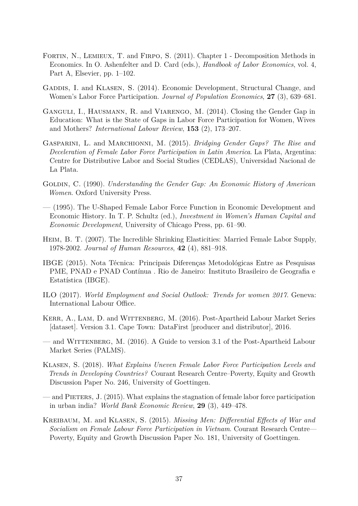- FORTIN, N., LEMIEUX, T. and FIRPO, S. (2011). Chapter 1 Decomposition Methods in Economics. In O. Ashenfelter and D. Card (eds.), *Handbook of Labor Economics*, vol. 4, Part A, Elsevier, pp. 1–102.
- GADDIS, I. and KLASEN, S. (2014). Economic Development, Structural Change, and Women's Labor Force Participation. *Journal of Population Economics*, **27** (3), 639–681.
- Ganguli, I., Hausmann, R. and Viarengo, M. (2014). Closing the Gender Gap in Education: What is the State of Gaps in Labor Force Participation for Women, Wives and Mothers? *International Labour Review*, **153** (2), 173–207.
- Gasparini, L. and Marchionni, M. (2015). *Bridging Gender Gaps? The Rise and Deceleration of Female Labor Force Participation in Latin America*. La Plata, Argentina: Centre for Distributive Labor and Social Studies (CEDLAS), Universidad Nacional de La Plata.
- Goldin, C. (1990). *Understanding the Gender Gap: An Economic History of American Women*. Oxford University Press.
- (1995). The U-Shaped Female Labor Force Function in Economic Development and Economic History. In T. P. Schultz (ed.), *Investment in Women's Human Capital and Economic Development*, University of Chicago Press, pp. 61–90.
- Heim, B. T. (2007). The Incredible Shrinking Elasticities: Married Female Labor Supply, 1978-2002. *Journal of Human Resources*, **42** (4), 881–918.
- <span id="page-39-3"></span>IBGE (2015). Nota Técnica: Principais Diferenças Metodológicas Entre as Pesquisas PME, PNAD e PNAD Contínua . Rio de Janeiro: Instituto Brasileiro de Geografia e Estatística (IBGE).
- ILO (2017). *World Employment and Social Outlook: Trends for women 2017*. Geneva: International Labour Office.
- <span id="page-39-1"></span>KERR, A., LAM, D. and WITTENBERG, M. (2016). Post-Apartheid Labour Market Series [dataset]. Version 3.1. Cape Town: DataFirst [producer and distributor], 2016.
- <span id="page-39-2"></span>— and Wittenberg, M. (2016). A Guide to version 3.1 of the Post-Apartheid Labour Market Series (PALMS).
- Klasen, S. (2018). *What Explains Uneven Female Labor Force Participation Levels and Trends in Developing Countries?* Courant Research Centre–Poverty, Equity and Growth Discussion Paper No. 246, University of Goettingen.
- <span id="page-39-0"></span>— and Pieters, J. (2015). What explains the stagnation of female labor force participation in urban india? *World Bank Economic Review*, **29** (3), 449–478.
- Kreibaum, M. and Klasen, S. (2015). *Missing Men: Differential Effects of War and Socialism on Female Labour Force Participation in Vietnam*. Courant Research Centre— Poverty, Equity and Growth Discussion Paper No. 181, University of Goettingen.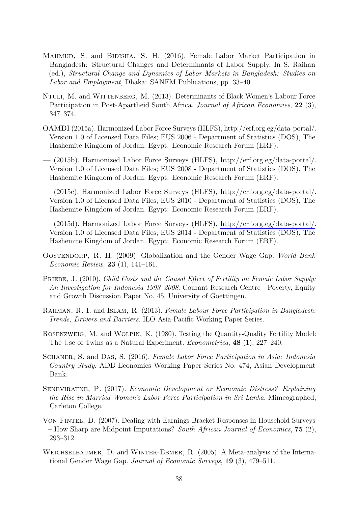- MAHMUD, S. and BIDISHA, S. H. (2016). Female Labor Market Participation in Bangladesh: Structural Changes and Determinants of Labor Supply. In S. Raihan (ed.), *Structural Change and Dynamics of Labor Markets in Bangladesh: Studies on Labor and Employment*, Dhaka: SANEM Publications, pp. 33–40.
- NTULI, M. and WITTENBERG, M. (2013). Determinants of Black Women's Labour Force Participation in Post-Apartheid South Africa. *Journal of African Economies*, **22** (3), 347–374.
- <span id="page-40-3"></span>OAMDI (2015a). Harmonized Labor Force Surveys (HLFS), [http://erf.org.eg/data-portal/.](http://erf.org.eg/data-portal/) Version 1.0 of Licensed Data Files; EUS 2006 - Department of Statistics (DOS), The Hashemite Kingdom of Jordan. Egypt: Economic Research Forum (ERF).
- <span id="page-40-4"></span>— (2015b). Harmonized Labor Force Surveys (HLFS), [http://erf.org.eg/data-portal/.](http://erf.org.eg/data-portal/) Version 1.0 of Licensed Data Files; EUS 2008 - Department of Statistics (DOS), The Hashemite Kingdom of Jordan. Egypt: Economic Research Forum (ERF).
- <span id="page-40-5"></span>— (2015c). Harmonized Labor Force Surveys (HLFS), [http://erf.org.eg/data-portal/.](http://erf.org.eg/data-portal/) Version 1.0 of Licensed Data Files; EUS 2010 - Department of Statistics (DOS), The Hashemite Kingdom of Jordan. Egypt: Economic Research Forum (ERF).
- <span id="page-40-6"></span>— (2015d). Harmonized Labor Force Surveys (HLFS), [http://erf.org.eg/data-portal/.](http://erf.org.eg/data-portal/) Version 1.0 of Licensed Data Files; EUS 2014 - Department of Statistics (DOS), The Hashemite Kingdom of Jordan. Egypt: Economic Research Forum (ERF).
- <span id="page-40-1"></span>Oostendorp, R. H. (2009). Globalization and the Gender Wage Gap. *World Bank Economic Review*, **23** (1), 141–161.
- PRIEBE, J. (2010). *Child Costs and the Causal Effect of Fertility on Female Labor Supply: An Investigation for Indonesia 1993–2008*. Courant Research Centre—Poverty, Equity and Growth Discussion Paper No. 45, University of Goettingen.
- Rahman, R. I. and Islam, R. (2013). *Female Labour Force Participation in Bangladesh: Trends, Drivers and Barriers*. ILO Asia-Pacific Working Paper Series.
- Rosenzweig, M. and Wolpin, K. (1980). Testing the Quantity-Quality Fertility Model: The Use of Twins as a Natural Experiment. *Econometrica*, **48** (1), 227–240.
- Schaner, S. and Das, S. (2016). *Female Labor Force Participation in Asia: Indonesia Country Study*. ADB Economics Working Paper Series No. 474, Asian Development Bank.
- Seneviratne, P. (2017). *Economic Development or Economic Distress? Explaining the Rise in Married Women's Labor Force Participation in Sri Lanka*. Mimeographed, Carleton College.
- <span id="page-40-2"></span>Von Fintel, D. (2007). Dealing with Earnings Bracket Responses in Household Surveys – How Sharp are Midpoint Imputations? *South African Journal of Economics*, **75** (2), 293–312.
- <span id="page-40-0"></span>Weichselbaumer, D. and Winter-Ebmer, R. (2005). A Meta-analysis of the International Gender Wage Gap. *Journal of Economic Surveys*, **19** (3), 479–511.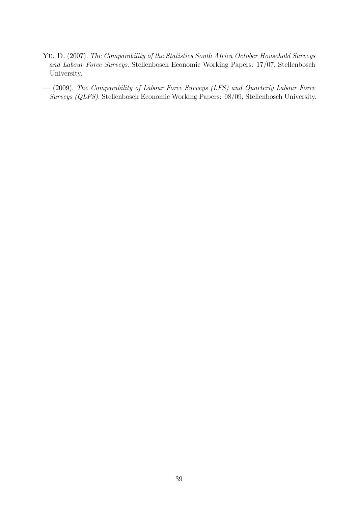- <span id="page-41-0"></span>Yu, D. (2007). *The Comparability of the Statistics South Africa October Household Surveys and Labour Force Surveys*. Stellenbosch Economic Working Papers: 17/07, Stellenbosch University.
- <span id="page-41-1"></span>— (2009). *The Comparability of Labour Force Surveys (LFS) and Quarterly Labour Force Surveys (QLFS)*. Stellenbosch Economic Working Papers: 08/09, Stellenbosch University.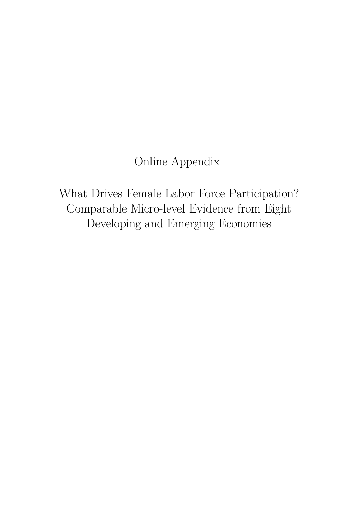# Online Appendix

What Drives Female Labor Force Participation? Comparable Micro-level Evidence from Eight Developing and Emerging Economies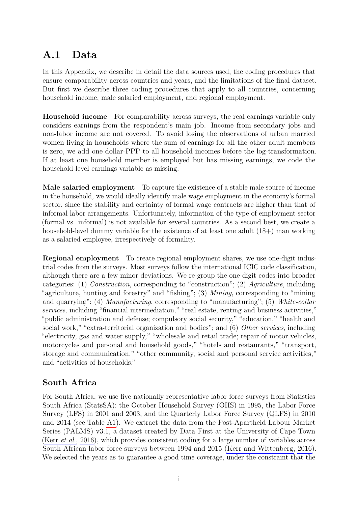## **A.1 Data**

In this Appendix, we describe in detail the data sources used, the coding procedures that ensure comparability across countries and years, and the limitations of the final dataset. But first we describe three coding procedures that apply to all countries, concerning household income, male salaried employment, and regional employment.

**Household income** For comparability across surveys, the real earnings variable only considers earnings from the respondent's main job. Income from secondary jobs and non-labor income are not covered. To avoid losing the observations of urban married women living in households where the sum of earnings for all the other adult members is zero, we add one dollar-PPP to all household incomes before the log-transformation. If at least one household member is employed but has missing earnings, we code the household-level earnings variable as missing.

**Male salaried employment** To capture the existence of a stable male source of income in the household, we would ideally identify male wage employment in the economy's formal sector, since the stability and certainty of formal wage contracts are higher than that of informal labor arrangements. Unfortunately, information of the type of employment sector (formal vs. informal) is not available for several countries. As a second best, we create a household-level dummy variable for the existence of at least one adult  $(18+)$  man working as a salaried employee, irrespectively of formality.

**Regional employment** To create regional employment shares, we use one-digit industrial codes from the surveys. Most surveys follow the international ICIC code classification, although there are a few minor deviations. We re-group the one-digit codes into broader categories: (1) *Construction*, corresponding to "construction"; (2) *Agriculture*, including "agriculture, hunting and forestry" and "fishing"; (3) *Mining*, corresponding to "mining and quarrying"; (4) *Manufacturing*, corresponding to "manufacturing"; (5) *White-collar services*, including "financial intermediation," "real estate, renting and business activities," "public administration and defense; compulsory social security," "education," "health and social work," "extra-territorial organization and bodies"; and (6) *Other services*, including "electricity, gas and water supply," "wholesale and retail trade; repair of motor vehicles, motorcycles and personal and household goods," "hotels and restaurants," "transport, storage and communication," "other community, social and personal service activities," and "activities of households."

### **South Africa**

For South Africa, we use five nationally representative labor force surveys from Statistics South Africa (StatsSA): the October Household Survey (OHS) in 1995, the Labor Force Survey (LFS) in 2001 and 2003, and the Quarterly Labor Force Survey (QLFS) in 2010 and 2014 (see Table [A1\)](#page-52-0). We extract the data from the Post-Apartheid Labour Market Series (PALMS) v3.1, a dataset created by Data First at the University of Cape Town (Kerr *[et al.](#page-39-1)*, [2016\)](#page-39-1), which provides consistent coding for a large number of variables across South African labor force surveys between 1994 and 2015 [\(Kerr and Wittenberg, 2016\)](#page-39-2). We selected the years as to guarantee a good time coverage, under the constraint that the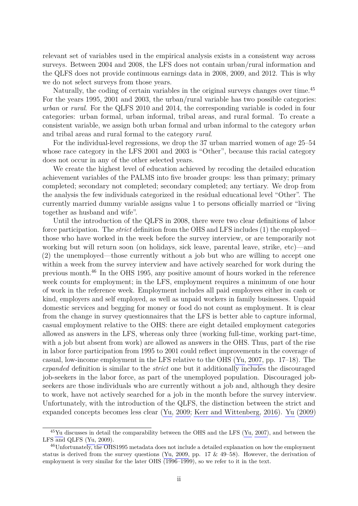relevant set of variables used in the empirical analysis exists in a consistent way across surveys. Between 2004 and 2008, the LFS does not contain urban/rural information and the QLFS does not provide continuous earnings data in 2008, 2009, and 2012. This is why we do not select surveys from those years.

Naturally, the coding of certain variables in the original surveys changes over time.<sup>45</sup> For the years 1995, 2001 and 2003, the urban/rural variable has two possible categories: *urban* or *rural*. For the QLFS 2010 and 2014, the corresponding variable is coded in four categories: urban formal, urban informal, tribal areas, and rural formal. To create a consistent variable, we assign both urban formal and urban informal to the category *urban* and tribal areas and rural formal to the category *rural*.

For the individual-level regressions, we drop the 37 urban married women of age 25–54 whose race category in the LFS 2001 and 2003 is "Other", because this racial category does not occur in any of the other selected years.

We create the highest level of education achieved by recoding the detailed education achievement variables of the PALMS into five broader groups: less than primary; primary completed; secondary not completed; secondary completed; any tertiary. We drop from the analysis the few individuals categorized in the residual educational level "Other". The currently married dummy variable assigns value 1 to persons officially married or "living together as husband and wife".

Until the introduction of the QLFS in 2008, there were two clear definitions of labor force participation. The *strict* definition from the OHS and LFS includes (1) the employed those who have worked in the week before the survey interview, or are temporarily not working but will return soon (on holidays, sick leave, parental leave, strike, etc)—and (2) the unemployed—those currently without a job but who are willing to accept one within a week from the survey interview and have actively searched for work during the previous month.<sup>46</sup> In the OHS 1995, any positive amount of hours worked in the reference week counts for employment; in the LFS, employment requires a minimum of one hour of work in the reference week. Employment includes all paid employees either in cash or kind, employers and self employed, as well as unpaid workers in family businesses. Unpaid domestic services and begging for money or food do not count as employment. It is clear from the change in survey questionnaires that the LFS is better able to capture informal, casual employment relative to the OHS: there are eight detailed employment categories allowed as answers in the LFS, whereas only three (working full-time, working part-time, with a job but absent from work) are allowed as answers in the OHS. Thus, part of the rise in labor force participation from 1995 to 2001 could reflect improvements in the coverage of casual, low-income employment in the LFS relative to the OHS [\(Yu, 2007,](#page-41-0) pp. 17–18). The *expanded* definition is similar to the *strict* one but it additionally includes the discouraged job-seekers in the labor force, as part of the unemployed population. Discouraged jobseekers are those individuals who are currently without a job and, although they desire to work, have not actively searched for a job in the month before the survey interview. Unfortunately, with the introduction of the QLFS, the distinction between the strict and expanded concepts becomes less clear [\(Yu, 2009;](#page-41-1) [Kerr and Wittenberg, 2016\)](#page-39-2). [Yu](#page-41-1) [\(2009\)](#page-41-1)

<sup>45</sup>[Yu](#page-41-0) discusses in detail the comparability between the OHS and the LFS [\(Yu, 2007\)](#page-41-0), and between the LFS and QLFS [\(Yu, 2009\)](#page-41-1).

<sup>46</sup>Unfortunately, the OHS1995 metadata does not include a detailed explanation on how the employment status is derived from the survey questions [\(Yu, 2009,](#page-41-1) pp. 17 & 49–58). However, the derivation of employment is very similar for the later OHS (1996–1999), so we refer to it in the text.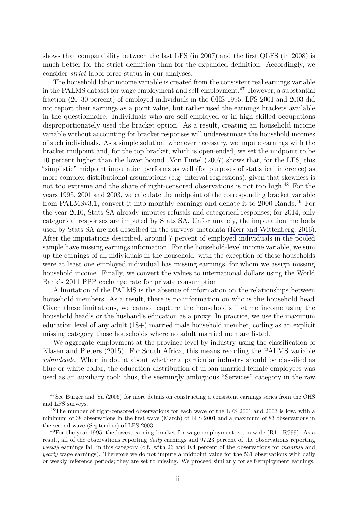shows that comparability between the last LFS (in 2007) and the first QLFS (in 2008) is much better for the strict definition than for the expanded definition. Accordingly, we consider *strict* labor force status in our analyses.

The household labor income variable is created from the consistent real earnings variable in the PALMS dataset for wage employment and self-employment.<sup>47</sup> However, a substantial fraction (20–30 percent) of employed individuals in the OHS 1995, LFS 2001 and 2003 did not report their earnings as a point value, but rather used the earnings brackets available in the questionnaire. Individuals who are self-employed or in high skilled occupations disproportionately used the bracket option. As a result, creating an household income variable without accounting for bracket responses will underestimate the household incomes of such individuals. As a simple solution, whenever necessary, we impute earnings with the bracket midpoint and, for the top bracket, which is open-ended, we set the midpoint to be 10 percent higher than the lower bound. [Von Fintel](#page-40-2) [\(2007\)](#page-40-2) shows that, for the LFS, this "simplistic" midpoint imputation performs as well (for purposes of statistical inference) as more complex distributional assumptions (e.g. interval regressions), given that skewness is not too extreme and the share of right-censored observations is not too high.<sup>48</sup> For the years 1995, 2001 and 2003, we calculate the midpoint of the corresponding bracket variable from PALMSv3.1, convert it into monthly earnings and deflate it to 2000 Rands.<sup>49</sup> For the year 2010, Stats SA already imputes refusals and categorical responses; for 2014, only categorical responses are imputed by Stats SA. Unfortunately, the imputation methods used by Stats SA are not described in the surveys' metadata [\(Kerr and Wittenberg, 2016\)](#page-39-2). After the imputations described, around 7 percent of employed individuals in the pooled sample have missing earnings information. For the household-level income variable, we sum up the earnings of all individuals in the household, with the exception of those households were at least one employed individual has missing earnings, for whom we assign missing household income. Finally, we convert the values to international dollars using the World Bank's 2011 PPP exchange rate for private consumption.

A limitation of the PALMS is the absence of information on the relationships between household members. As a result, there is no information on who is the household head. Given these limitations, we cannot capture the household's lifetime income using the household head's or the husband's education as a proxy. In practice, we use the maximum education level of any adult (18+) married male household member, coding as an explicit missing category those households where no adult married men are listed.

We aggregate employment at the province level by industry using the classification of [Klasen and Pieters](#page-39-0) [\(2015\)](#page-39-0). For South Africa, this means recoding the PALMS variable *jobindcode*. When in doubt about whether a particular industry should be classified as blue or white collar, the education distribution of urban married female employees was used as an auxiliary tool: thus, the seemingly ambiguous "Services" category in the raw

<sup>&</sup>lt;sup>47</sup>See [Burger and Yu](#page-38-1) [\(2006\)](#page-38-1) for more details on constructing a consistent earnings series from the OHS and LFS surveys.

<sup>&</sup>lt;sup>48</sup>The number of right-censored observations for each wave of the LFS 2001 and 2003 is low, with a minimum of 38 observations in the first wave (March) of LFS 2001 and a maximum of 83 observations in the second wave (September) of LFS 2003.

<sup>49</sup>For the year 1995, the lowest earning bracket for wage employment is too wide (R1 - R999). As a result, all of the observations reporting *daily* earnings and 97.23 percent of the observations reporting *weekly* earnings fall in this category (c.f. with 26 and 0.4 percent of the observations for *monthly* and *yearly* wage earnings). Therefore we do not impute a midpoint value for the 531 observations with daily or weekly reference periods; they are set to missing. We proceed similarly for self-employment earnings.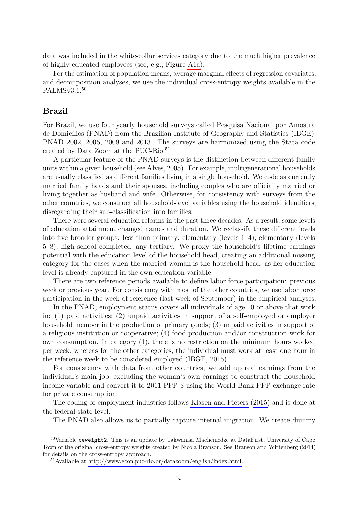data was included in the white-collar services category due to the much higher prevalence of highly educated employees (see, e.g., Figure [A1a\)](#page-53-0).

For the estimation of population means, average marginal effects of regression covariates, and decomposition analyses, we use the individual cross-entropy weights available in the PALMSv3.1.<sup>50</sup>

#### **Brazil**

For Brazil, we use four yearly household surveys called Pesquisa Nacional por Amostra de Domicílios (PNAD) from the Brazilian Institute of Geography and Statistics (IBGE): PNAD 2002, 2005, 2009 and 2013. The surveys are harmonized using the Stata code created by Data Zoom at the PUC-Rio.<sup>51</sup>

A particular feature of the PNAD surveys is the distinction between different family units within a given household (see [Alves, 2005\)](#page-38-2). For example, multigenerational households are usually classified as different families living in a single household. We code as currently married family heads and their spouses, including couples who are officially married or living together as husband and wife. Otherwise, for consistency with surveys from the other countries, we construct all household-level variables using the household identifiers, disregarding their sub-classification into families.

There were several education reforms in the past three decades. As a result, some levels of education attainment changed names and duration. We reclassify these different levels into five broader groups: less than primary; elementary (levels 1–4); elementary (levels 5–8); high school completed; any tertiary. We proxy the household's lifetime earnings potential with the education level of the household head, creating an additional missing category for the cases when the married woman is the household head, as her education level is already captured in the own education variable.

There are two reference periods available to define labor force participation: previous week or previous year. For consistency with most of the other countries, we use labor force participation in the week of reference (last week of September) in the empirical analyses.

In the PNAD, employment status covers all individuals of age 10 or above that work in: (1) paid activities; (2) unpaid activities in support of a self-employed or employer household member in the production of primary goods; (3) unpaid activities in support of a religious institution or cooperative; (4) food production and/or construction work for own consumption. In category (1), there is no restriction on the minimum hours worked per week, whereas for the other categories, the individual must work at least one hour in the reference week to be considered employed [\(IBGE, 2015\)](#page-39-3).

For consistency with data from other countries, we add up real earnings from the individual's main job, excluding the woman's own earnings to construct the household income variable and convert it to 2011 PPP-\$ using the World Bank PPP exchange rate for private consumption.

The coding of employment industries follows [Klasen and Pieters](#page-39-0) [\(2015\)](#page-39-0) and is done at the federal state level.

The PNAD also allows us to partially capture internal migration. We create dummy

<sup>50</sup>Variable ceweight2. This is an update by Takwanisa Machemedze at DataFirst, University of Cape Town of the original cross-entropy weights created by Nicola Branson. See [Branson and Wittenberg](#page-38-3) [\(2014\)](#page-38-3) for details on the cross-entropy approach.

<sup>51</sup>Available at [http://www.econ.puc-rio.br/datazoom/english/index.html.](http://www.econ.puc-rio.br/datazoom/english/index.html)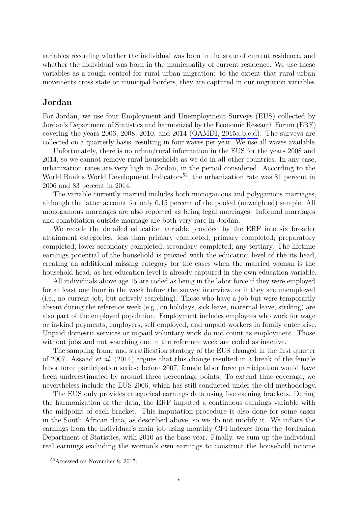variables recording whether the individual was born in the state of current residence, and whether the individual was born in the municipality of current residence. We use these variables as a rough control for rural-urban migration: to the extent that rural-urban movements cross state or municipal borders, they are captured in our migration variables.

#### **Jordan**

For Jordan, we use four Employment and Unemployment Surveys (EUS) collected by Jordan's Department of Statistics and harmonized by the Economic Research Forum (ERF) covering the years 2006, 2008, 2010, and 2014 [\(OAMDI, 2015a,](#page-40-3)[b,](#page-40-4)[c,](#page-40-5)[d\)](#page-40-6). The surveys are collected on a quarterly basis, resulting in four waves per year. We use all waves available.

Unfortunately, there is no urban/rural information in the EUS for the years 2008 and 2014, so we cannot remove rural households as we do in all other countries. In any case, urbanization rates are very high in Jordan, in the period considered. According to the World Bank's World Development Indicators<sup>52</sup>, the urbanization rate was 81 percent in 2006 and 83 percent in 2014.

The variable currently married includes both monogamous and polygamous marriages, although the latter account for only 0.15 percent of the pooled (unweighted) sample. All monogamous marriages are also reported as being legal marriages. Informal marriages and cohabitation outside marriage are both very rare in Jordan.

We recode the detailed education variable provided by the ERF into six broader attainment categories: less than primary completed; primary completed; preparatory completed; lower secondary completed; secondary completed; any tertiary. The lifetime earnings potential of the household is proxied with the education level of the its head, creating an additional missing category for the cases when the married woman is the household head, as her education level is already captured in the own education variable.

All individuals above age 15 are coded as being in the labor force if they were employed for at least one hour in the week before the survey interview, or if they are unemployed (i.e., no current job, but actively searching). Those who have a job but were temporarily absent during the reference week (e.g., on holidays, sick leave, maternal leave, striking) are also part of the employed population. Employment includes employees who work for wage or in-kind payments, employers, self employed, and unpaid workers in family enterprise. Unpaid domestic services or unpaid voluntary work do not count as employment. Those without jobs and not searching one in the reference week are coded as inactive.

The sampling frame and stratification strategy of the EUS changed in the first quarter of 2007. [Assaad](#page-38-4) *et al.* [\(2014\)](#page-38-4) argues that this change resulted in a break of the female labor force participation series: before 2007, female labor force participation would have been underestimated by around three percentage points. To extend time coverage, we nevertheless include the EUS 2006, which has still conducted under the old methodology.

The EUS only provides categorical earnings data using five earning brackets. During the harmonization of the data, the ERF imputed a continuous earnings variable with the midpoint of each bracket. This imputation procedure is also done for some cases in the South African data, as described above, so we do not modify it. We inflate the earnings from the individual's main job using monthly CPI indexes from the Jordanian Department of Statistics, with 2010 as the base-year. Finally, we sum up the individual real earnings excluding the woman's own earnings to construct the household income

<sup>52</sup>Accessed on November 8, 2017.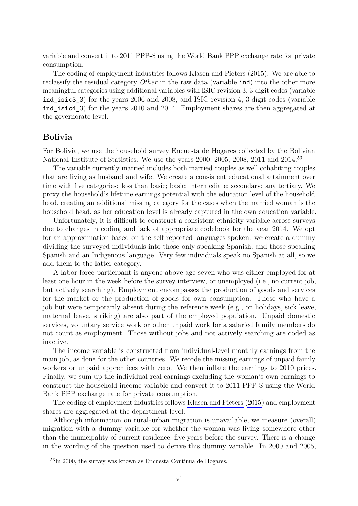variable and convert it to 2011 PPP-\$ using the World Bank PPP exchange rate for private consumption.

The coding of employment industries follows [Klasen and Pieters](#page-39-0) [\(2015\)](#page-39-0). We are able to reclassify the residual category *Other* in the raw data (variable ind) into the other more meaningful categories using additional variables with ISIC revision 3, 3-digit codes (variable ind isic3 3) for the years 2006 and 2008, and ISIC revision 4, 3-digit codes (variable ind isic4 3) for the years 2010 and 2014. Employment shares are then aggregated at the governorate level.

#### **Bolivia**

For Bolivia, we use the household survey Encuesta de Hogares collected by the Bolivian National Institute of Statistics. We use the years 2000, 2005, 2008, 2011 and 2014.<sup>53</sup>

The variable currently married includes both married couples as well cohabiting couples that are living as husband and wife. We create a consistent educational attainment over time with five categories: less than basic; basic; intermediate; secondary; any tertiary. We proxy the household's lifetime earnings potential with the education level of the household head, creating an additional missing category for the cases when the married woman is the household head, as her education level is already captured in the own education variable.

Unfortunately, it is difficult to construct a consistent ethnicity variable across surveys due to changes in coding and lack of appropriate codebook for the year 2014. We opt for an approximation based on the self-reported languages spoken: we create a dummy dividing the surveyed individuals into those only speaking Spanish, and those speaking Spanish and an Indigenous language. Very few individuals speak no Spanish at all, so we add them to the latter category.

A labor force participant is anyone above age seven who was either employed for at least one hour in the week before the survey interview, or unemployed (i.e., no current job, but actively searching). Employment encompasses the production of goods and services for the market or the production of goods for own consumption. Those who have a job but were temporarily absent during the reference week (e.g., on holidays, sick leave, maternal leave, striking) are also part of the employed population. Unpaid domestic services, voluntary service work or other unpaid work for a salaried family members do not count as employment. Those without jobs and not actively searching are coded as inactive.

The income variable is constructed from individual-level monthly earnings from the main job, as done for the other countries. We recode the missing earnings of unpaid family workers or unpaid apprentices with zero. We then inflate the earnings to 2010 prices. Finally, we sum up the individual real earnings excluding the woman's own earnings to construct the household income variable and convert it to 2011 PPP-\$ using the World Bank PPP exchange rate for private consumption.

The coding of employment industries follows [Klasen and Pieters](#page-39-0) [\(2015\)](#page-39-0) and employment shares are aggregated at the department level.

Although information on rural-urban migration is unavailable, we measure (overall) migration with a dummy variable for whether the woman was living somewhere other than the municipality of current residence, five years before the survey. There is a change in the wording of the question used to derive this dummy variable. In 2000 and 2005,

<sup>53</sup>In 2000, the survey was known as Encuesta Continua de Hogares.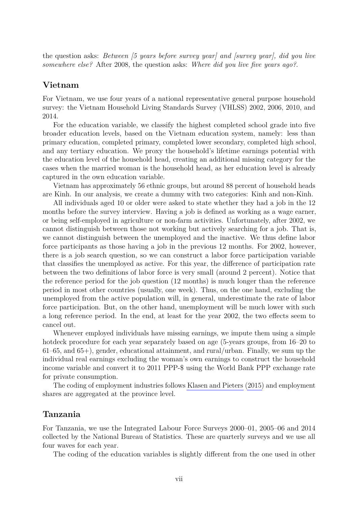the question asks: *Between [5 years before survey year] and [survey year], did you live somewhere else?* After 2008, the question asks: *Where did you live five years ago?*.

#### **Vietnam**

For Vietnam, we use four years of a national representative general purpose household survey: the Vietnam Household Living Standards Survey (VHLSS) 2002, 2006, 2010, and 2014.

For the education variable, we classify the highest completed school grade into five broader education levels, based on the Vietnam education system, namely: less than primary education, completed primary, completed lower secondary, completed high school, and any tertiary education. We proxy the household's lifetime earnings potential with the education level of the household head, creating an additional missing category for the cases when the married woman is the household head, as her education level is already captured in the own education variable.

Vietnam has approximately 56 ethnic groups, but around 88 percent of household heads are Kinh. In our analysis, we create a dummy with two categories: Kinh and non-Kinh.

All individuals aged 10 or older were asked to state whether they had a job in the 12 months before the survey interview. Having a job is defined as working as a wage earner, or being self-employed in agriculture or non-farm activities. Unfortunately, after 2002, we cannot distinguish between those not working but actively searching for a job. That is, we cannot distinguish between the unemployed and the inactive. We thus define labor force participants as those having a job in the previous 12 months. For 2002, however, there is a job search question, so we can construct a labor force participation variable that classifies the unemployed as active. For this year, the difference of participation rate between the two definitions of labor force is very small (around 2 percent). Notice that the reference period for the job question (12 months) is much longer than the reference period in most other countries (usually, one week). Thus, on the one hand, excluding the unemployed from the active population will, in general, underestimate the rate of labor force participation. But, on the other hand, unemployment will be much lower with such a long reference period. In the end, at least for the year 2002, the two effects seem to cancel out.

Whenever employed individuals have missing earnings, we impute them using a simple hotdeck procedure for each year separately based on age (5-years groups, from 16–20 to 61–65, and 65+), gender, educational attainment, and rural/urban. Finally, we sum up the individual real earnings excluding the woman's own earnings to construct the household income variable and convert it to 2011 PPP-\$ using the World Bank PPP exchange rate for private consumption.

The coding of employment industries follows [Klasen and Pieters](#page-39-0) [\(2015\)](#page-39-0) and employment shares are aggregated at the province level.

#### **Tanzania**

For Tanzania, we use the Integrated Labour Force Surveys 2000–01, 2005–06 and 2014 collected by the National Bureau of Statistics. These are quarterly surveys and we use all four waves for each year.

The coding of the education variables is slightly different from the one used in other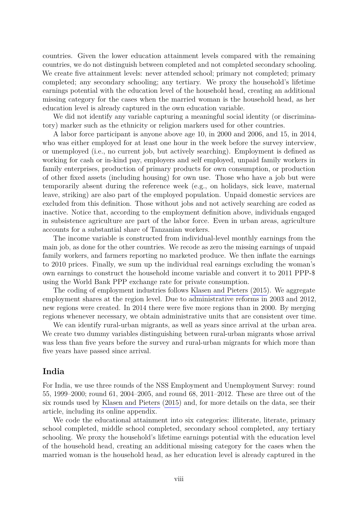countries. Given the lower education attainment levels compared with the remaining countries, we do not distinguish between completed and not completed secondary schooling. We create five attainment levels: never attended school; primary not completed; primary completed; any secondary schooling; any tertiary. We proxy the household's lifetime earnings potential with the education level of the household head, creating an additional missing category for the cases when the married woman is the household head, as her education level is already captured in the own education variable.

We did not identify any variable capturing a meaningful social identity (or discriminatory) marker such as the ethnicity or religion markers used for other countries.

A labor force participant is anyone above age 10, in 2000 and 2006, and 15, in 2014, who was either employed for at least one hour in the week before the survey interview, or unemployed (i.e., no current job, but actively searching). Employment is defined as working for cash or in-kind pay, employers and self employed, unpaid family workers in family enterprises, production of primary products for own consumption, or production of other fixed assets (including housing) for own use. Those who have a job but were temporarily absent during the reference week (e.g., on holidays, sick leave, maternal leave, striking) are also part of the employed population. Unpaid domestic services are excluded from this definition. Those without jobs and not actively searching are coded as inactive. Notice that, according to the employment definition above, individuals engaged in subsistence agriculture are part of the labor force. Even in urban areas, agriculture accounts for a substantial share of Tanzanian workers.

The income variable is constructed from individual-level monthly earnings from the main job, as done for the other countries. We recode as zero the missing earnings of unpaid family workers, and farmers reporting no marketed produce. We then inflate the earnings to 2010 prices. Finally, we sum up the individual real earnings excluding the woman's own earnings to construct the household income variable and convert it to 2011 PPP-\$ using the World Bank PPP exchange rate for private consumption.

The coding of employment industries follows [Klasen and Pieters](#page-39-0) [\(2015\)](#page-39-0). We aggregate employment shares at the region level. Due to administrative reforms in 2003 and 2012, new regions were created. In 2014 there were five more regions than in 2000. By merging regions whenever necessary, we obtain administrative units that are consistent over time.

We can identify rural-urban migrants, as well as years since arrival at the urban area. We create two dummy variables distinguishing between rural-urban migrants whose arrival was less than five years before the survey and rural-urban migrants for which more than five years have passed since arrival.

#### **India**

For India, we use three rounds of the NSS Employment and Unemployment Survey: round 55, 1999–2000; round 61, 2004–2005, and round 68, 2011–2012. These are three out of the six rounds used by [Klasen and Pieters](#page-39-0) [\(2015\)](#page-39-0) and, for more details on the data, see their article, including its online appendix.

We code the educational attainment into six categories: illiterate, literate, primary school completed, middle school completed, secondary school completed, any tertiary schooling. We proxy the household's lifetime earnings potential with the education level of the household head, creating an additional missing category for the cases when the married woman is the household head, as her education level is already captured in the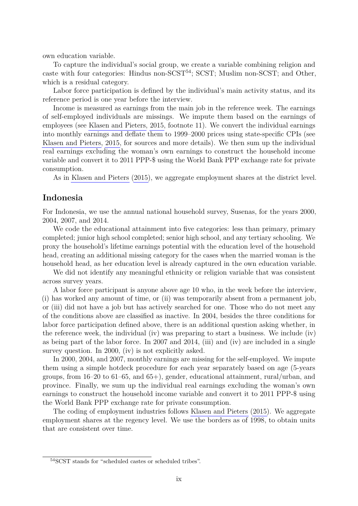own education variable.

To capture the individual's social group, we create a variable combining religion and caste with four categories: Hindus non- $SCST^{54}$ ;  $SCST$ ; Muslim non- $SCST$ ; and Other, which is a residual category.

Labor force participation is defined by the individual's main activity status, and its reference period is one year before the interview.

Income is measured as earnings from the main job in the reference week. The earnings of self-employed individuals are missings. We impute them based on the earnings of employees (see [Klasen and Pieters, 2015,](#page-39-0) footnote 11). We convert the individual earnings into monthly earnings and deflate them to 1999–2000 prices using state-specific CPIs (see [Klasen and Pieters, 2015,](#page-39-0) for sources and more details). We then sum up the individual real earnings excluding the woman's own earnings to construct the household income variable and convert it to 2011 PPP-\$ using the World Bank PPP exchange rate for private consumption.

As in [Klasen and Pieters](#page-39-0) [\(2015\)](#page-39-0), we aggregate employment shares at the district level.

#### **Indonesia**

For Indonesia, we use the annual national household survey, Susenas, for the years 2000, 2004, 2007, and 2014.

We code the educational attainment into five categories: less than primary, primary completed; junior high school completed; senior high school, and any tertiary schooling. We proxy the household's lifetime earnings potential with the education level of the household head, creating an additional missing category for the cases when the married woman is the household head, as her education level is already captured in the own education variable.

We did not identify any meaningful ethnicity or religion variable that was consistent across survey years.

A labor force participant is anyone above age 10 who, in the week before the interview, (i) has worked any amount of time, or (ii) was temporarily absent from a permanent job, or (iii) did not have a job but has actively searched for one. Those who do not meet any of the conditions above are classified as inactive. In 2004, besides the three conditions for labor force participation defined above, there is an additional question asking whether, in the reference week, the individual (iv) was preparing to start a business. We include (iv) as being part of the labor force. In 2007 and 2014, (iii) and (iv) are included in a single survey question. In 2000, (iv) is not explicitly asked.

In 2000, 2004, and 2007, monthly earnings are missing for the self-employed. We impute them using a simple hotdeck procedure for each year separately based on age (5-years groups, from  $16-20$  to  $61-65$ , and  $65+$ ), gender, educational attainment, rural/urban, and province. Finally, we sum up the individual real earnings excluding the woman's own earnings to construct the household income variable and convert it to 2011 PPP-\$ using the World Bank PPP exchange rate for private consumption.

The coding of employment industries follows [Klasen and Pieters](#page-39-0) [\(2015\)](#page-39-0). We aggregate employment shares at the regency level. We use the borders as of 1998, to obtain units that are consistent over time.

<sup>54</sup>SCST stands for "scheduled castes or scheduled tribes".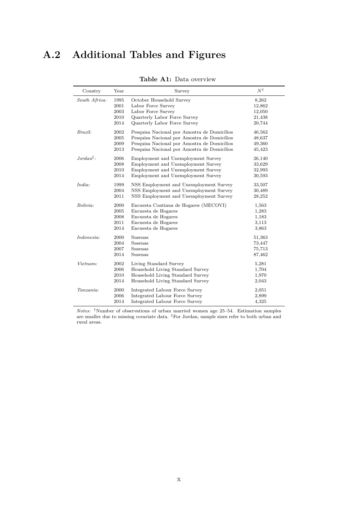## <span id="page-52-0"></span>**A.2 Additional Tables and Figures**

| Country       | Year | Survey                                      | Νt     |
|---------------|------|---------------------------------------------|--------|
| South Africa: | 1995 | October Household Survey                    | 8,262  |
|               | 2001 | Labor Force Survey                          | 12,862 |
|               | 2003 | Labor Force Survey                          | 12,050 |
|               | 2010 | Quarterly Labor Force Survey                | 21,438 |
|               | 2014 | Quarterly Labor Force Survey                | 20,744 |
| Brazil:       | 2002 | Pesquisa Nacional por Amostra de Domicílios | 46,562 |
|               | 2005 | Pesquisa Nacional por Amostra de Domicílios | 48,637 |
|               | 2009 | Pesquisa Nacional por Amostra de Domicílios | 49,360 |
|               | 2013 | Pesquisa Nacional por Amostra de Domicílios | 45,423 |
| $Jordan†$ :   | 2006 | Employment and Unemployment Survey          | 26,140 |
|               | 2008 | Employment and Unemployment Survey          | 33,629 |
|               | 2010 | Employment and Unemployment Survey          | 32,993 |
|               | 2014 | Employment and Unemployment Survey          | 30,593 |
| India:        | 1999 | NSS Employment and Unemployment Survey      | 33,507 |
|               | 2004 | NSS Employment and Unemployment Survey      | 30,489 |
|               | 2011 | NSS Employment and Unemployment Survey      | 28,252 |
| Bolivia:      | 2000 | Encuesta Continua de Hogares (MECOVI)       | 1,563  |
|               | 2005 | Encuesta de Hogares                         | 1,283  |
|               | 2008 | Encuesta de Hogares                         | 1,183  |
|               | 2011 | Encuesta de Hogares                         | 3,113  |
|               | 2014 | Encuesta de Hogares                         | 3,863  |
| Indonesia:    | 2000 | Susenas                                     | 51,363 |
|               | 2004 | Susenas                                     | 73,447 |
|               | 2007 | Susenas                                     | 75,713 |
|               | 2014 | Susenas                                     | 87,462 |
| Vietnam:      | 2002 | Living Standard Survey                      | 5,281  |
|               | 2006 | Household Living Standard Survey            | 1,704  |
|               | 2010 | Household Living Standard Survey            | 1,970  |
|               | 2014 | Household Living Standard Survey            | 2,043  |
| Tanzania:     | 2000 | Integrated Labour Force Survey              | 2,051  |
|               | 2006 | Integrated Labour Force Survey              | 2,899  |
|               | 2014 | Integrated Labour Force Survey              | 4,325  |

**Table A1:** Data overview

*Notes:* †Number of observations of urban married women age 25–54. Estimation samples are smaller due to missing covariate data. <sup>‡</sup>For Jordan, sample sizes refer to both urban and rural areas.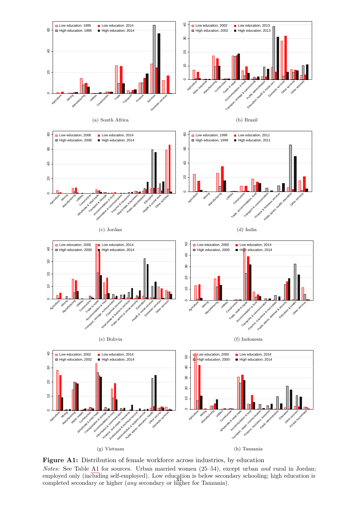<span id="page-53-0"></span>

*Notes:* See Table [A1](#page-52-0) for sources. Urban married women (25–54), except urban *and* rural in Jordan; employed only (including self-employed). Low education is below secondary schooling; high education is completed secondary or higher (*any* secondary or higher for Tanzania).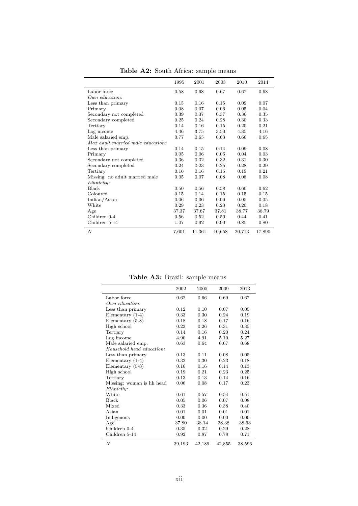|                                   | 1995  | 2001   | 2003   | 2010   | 2014   |  |
|-----------------------------------|-------|--------|--------|--------|--------|--|
| Labor force                       | 0.58  | 0.68   | 0.67   | 0.67   | 0.68   |  |
| Our equation:                     |       |        |        |        |        |  |
| Less than primary                 | 0.15  | 0.16   | 0.15   | 0.09   | 0.07   |  |
| Primary                           | 0.08  | 0.07   | 0.06   | 0.05   | 0.04   |  |
| Secondary not completed           | 0.39  | 0.37   | 0.37   | 0.36   | 0.35   |  |
| Secondary completed               | 0.25  | 0.24   | 0.28   | 0.30   | 0.33   |  |
| Tertiary                          | 0.14  | 0.16   | 0.15   | 0.20   | 0.21   |  |
| Log income                        | 4.46  | 3.75   | 3.50   | 4.35   | 4.16   |  |
| Male salaried emp.                | 0.77  | 0.65   | 0.63   | 0.66   | 0.65   |  |
| Max adult married male education: |       |        |        |        |        |  |
| Less than primary                 | 0.14  | 0.15   | 0.14   | 0.09   | 0.08   |  |
| Primary                           | 0.05  | 0.06   | 0.06   | 0.04   | 0.03   |  |
| Secondary not completed           | 0.36  | 0.32   | 0.32   | 0.31   | 0.30   |  |
| Secondary completed               | 0.24  | 0.23   | 0.25   | 0.28   | 0.29   |  |
| Tertiary                          | 0.16  | 0.16   | 0.15   | 0.19   | 0.21   |  |
| Missing: no adult married male    | 0.05  | 0.07   | 0.08   | 0.08   | 0.08   |  |
| Ethnicity:                        |       |        |        |        |        |  |
| <b>Black</b>                      | 0.50  | 0.56   | 0.58   | 0.60   | 0.62   |  |
| Coloured                          | 0.15  | 0.14   | 0.15   | 0.15   | 0.15   |  |
| Indian/Asian                      | 0.06  | 0.06   | 0.06   | 0.05   | 0.05   |  |
| White                             | 0.29  | 0.23   | 0.20   | 0.20   | 0.18   |  |
| Age                               | 37.37 | 37.67  | 37.81  | 38.77  | 38.79  |  |
| Children 0-4                      | 0.56  | 0.52   | 0.50   | 0.44   | 0.41   |  |
| Children 5-14                     | 1.07  | 0.92   | 0.90   | 0.85   | 0.80   |  |
| $\boldsymbol{N}$                  | 7,601 | 11,361 | 10,658 | 20,713 | 17,890 |  |

Table A2: South Africa: sample means

**Table A3:** Brazil: sample means

|                           | 2002   | 2005   | 2009   | 2013   |
|---------------------------|--------|--------|--------|--------|
| Labor force               | 0.62   | 0.66   | 0.69   | 0.67   |
| Our equation:             |        |        |        |        |
| Less than primary         | 0.12   | 0.10   | 0.07   | 0.05   |
| Elementary $(1-4)$        | 0.33   | 0.30   | 0.24   | 0.19   |
| Elementary $(5-8)$        | 0.18   | 0.18   | 0.17   | 0.16   |
| High school               | 0.23   | 0.26   | 0.31   | 0.35   |
| Tertiary                  | 0.14   | 0.16   | 0.20   | 0.24   |
| Log income                | 4.90   | 4.91   | 5.10   | 5.27   |
| Male salaried emp.        | 0.63   | 0.64   | 0.67   | 0.68   |
| Household head education: |        |        |        |        |
| Less than primary         | 0.13   | 0.11   | 0.08   | 0.05   |
| Elementary $(1-4)$        | 0.32   | 0.30   | 0.23   | 0.18   |
| Elementary $(5-8)$        | 0.16   | 0.16   | 0.14   | 0.13   |
| High school               | 0.19   | 0.21   | 0.23   | 0.25   |
| Tertiary                  | 0.13   | 0.13   | 0.14   | 0.16   |
| Missing: woman is hh head | 0.06   | 0.08   | 0.17   | 0.23   |
| Ethnicity:                |        |        |        |        |
| White                     | 0.61   | 0.57   | 0.54   | 0.51   |
| Black                     | 0.05   | 0.06   | 0.07   | 0.08   |
| Mixed                     | 0.33   | 0.36   | 0.38   | 0.40   |
| Asian                     | 0.01   | 0.01   | 0.01   | 0.01   |
| Indigenous                | 0.00   | 0.00   | 0.00   | 0.00   |
| Age                       | 37.80  | 38.14  | 38.38  | 38.63  |
| Children 0-4              | 0.35   | 0.32   | 0.29   | 0.28   |
| Children 5-14             | 0.92   | 0.87   | 0.78   | 0.71   |
| $\boldsymbol{N}$          | 39,193 | 42,189 | 42,855 | 38,596 |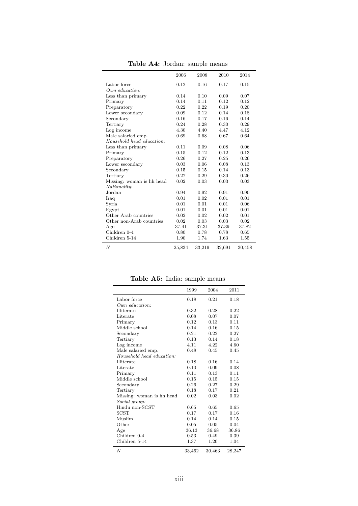|                           |        | л.     |        |        |
|---------------------------|--------|--------|--------|--------|
|                           | 2006   | 2008   | 2010   | 2014   |
| Labor force               | 0.12   | 0.16   | 0.17   | 0.15   |
| Our equation:             |        |        |        |        |
| Less than primary         | 0.14   | 0.10   | 0.09   | 0.07   |
| Primary                   | 0.14   | 0.11   | 0.12   | 0.12   |
| Preparatory               | 0.22   | 0.22   | 0.19   | 0.20   |
| Lower secondary           | 0.09   | 0.12   | 0.14   | 0.18   |
| Secondary                 | 0.16   | 0.17   | 0.16   | 0.14   |
| Tertiary                  | 0.24   | 0.28   | 0.30   | 0.29   |
| Log income                | 4.30   | 4.40   | 4.47   | 4.12   |
| Male salaried emp.        | 0.69   | 0.68   | 0.67   | 0.64   |
| Household head education: |        |        |        |        |
| Less than primary         | 0.11   | 0.09   | 0.08   | 0.06   |
| Primary                   | 0.15   | 0.12   | 0.12   | 0.13   |
| Preparatory               | 0.26   | 0.27   | 0.25   | 0.26   |
| Lower secondary           | 0.03   | 0.06   | 0.08   | 0.13   |
| Secondary                 | 0.15   | 0.15   | 0.14   | 0.13   |
| Tertiary                  | 0.27   | 0.29   | 0.30   | 0.26   |
| Missing: woman is hh head | 0.02   | 0.03   | 0.03   | 0.03   |
| Nationality:<br>Jordan    | 0.94   | 0.92   | 0.91   | 0.90   |
| Iraq                      | 0.01   | 0.02   | 0.01   | 0.01   |
| Syria                     | 0.01   | 0.01   | 0.01   | 0.06   |
| Egypt                     | 0.01   | 0.01   | 0.01   | 0.01   |
| Other Arab countries      | 0.02   | 0.02   | 0.02   | 0.01   |
| Other non-Arab countries  | 0.02   | 0.03   | 0.03   | 0.02   |
| Age                       | 37.41  | 37.31  | 37.39  | 37.82  |
| Children 0-4              | 0.80   | 0.78   | 0.78   | 0.65   |
| Children 5-14             | 1.90   | 1.74   | 1.63   | 1.55   |
| $\boldsymbol{N}$          | 25,834 | 33,219 | 32,691 | 30,458 |

**Table A4:** Jordan: sample means

**Table A5:** India: sample means

|                           | 1999   | 2004   | 2011   |
|---------------------------|--------|--------|--------|
| Labor force               | 0.18   | 0.21   | 0.18   |
| Our equation:             |        |        |        |
| Illiterate                | 0.32   | 0.28   | 0.22   |
| Literate                  | 0.08   | 0.07   | 0.07   |
| Primary                   | 0.12   | 0.13   | 0.11   |
| Middle school             | 0.14   | 0.16   | 0.15   |
| Secondary                 | 0.21   | 0.22   | 0.27   |
| Tertiary                  | 0.13   | 0.14   | 0.18   |
| Log income                | 4.11   | 4.22   | 4.60   |
| Male salaried emp.        | 0.48   | 0.45   | 0.45   |
| Household head education: |        |        |        |
| Illiterate                | 0.18   | 0.16   | 0.14   |
| Literate                  | 0.10   | 0.09   | 0.08   |
| Primary                   | 0.11   | 0.13   | 0.11   |
| Middle school             | 0.15   | 0.15   | 0.15   |
| Secondary                 | 0.26   | 0.27   | 0.29   |
| Tertiary                  | 0.18   | 0.17   | 0.21   |
| Missing: woman is hh head | 0.02   | 0.03   | 0.02   |
| Social group:             |        |        |        |
| Hindu non-SCST            | 0.65   | 0.65   | 0.65   |
| <b>SCST</b>               | 0.17   | 0.17   | 0.16   |
| Muslim                    | 0.14   | 0.14   | 0.15   |
| Other                     | 0.05   | 0.05   | 0.04   |
| Age                       | 36.13  | 36.68  | 36.86  |
| Children 0-4              | 0.53   | 0.49   | 0.39   |
| Children 5-14             | 1.37   | 1.20   | 1.04   |
| $\boldsymbol{N}$          | 33,462 | 30,463 | 28,247 |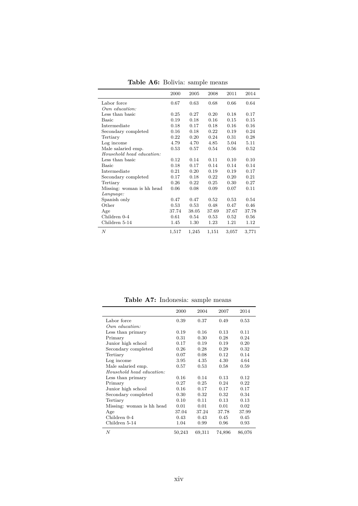|                           | 2000  | 2005  | 2008  | 2011  | 2014  |
|---------------------------|-------|-------|-------|-------|-------|
| Labor force               | 0.67  | 0.63  | 0.68  | 0.66  | 0.64  |
| Our equation:             |       |       |       |       |       |
| Less than basic           | 0.25  | 0.27  | 0.20  | 0.18  | 0.17  |
| Basic                     | 0.19  | 0.18  | 0.16  | 0.15  | 0.15  |
| Intermediate              | 0.18  | 0.17  | 0.18  | 0.16  | 0.16  |
| Secondary completed       | 0.16  | 0.18  | 0.22  | 0.19  | 0.24  |
| Tertiary                  | 0.22  | 0.20  | 0.24  | 0.31  | 0.28  |
| Log income                | 4.79  | 4.70  | 4.85  | 5.04  | 5.11  |
| Male salaried emp.        | 0.53  | 0.57  | 0.54  | 0.56  | 0.52  |
| Household head education: |       |       |       |       |       |
| Less than basic           | 0.12  | 0.14  | 0.11  | 0.10  | 0.10  |
| Basic                     | 0.18  | 0.17  | 0.14  | 0.14  | 0.14  |
| Intermediate              | 0.21  | 0.20  | 0.19  | 0.19  | 0.17  |
| Secondary completed       | 0.17  | 0.18  | 0.22  | 0.20  | 0.21  |
| Tertiary                  | 0.26  | 0.22  | 0.25  | 0.30  | 0.27  |
| Missing: woman is hh head | 0.06  | 0.08  | 0.09  | 0.07  | 0.11  |
| Language:                 |       |       |       |       |       |
| Spanish only              | 0.47  | 0.47  | 0.52  | 0.53  | 0.54  |
| Other                     | 0.53  | 0.53  | 0.48  | 0.47  | 0.46  |
| Age                       | 37.74 | 38.05 | 37.69 | 37.67 | 37.78 |
| Children 0-4              | 0.61  | 0.54  | 0.53  | 0.52  | 0.56  |
| Children 5-14             | 1.45  | 1.30  | 1.23  | 1.21  | 1.12  |
| $\boldsymbol{N}$          | 1,517 | 1,245 | 1,151 | 3,057 | 3,771 |

**Table A6:** Bolivia: sample means

**Table A7:** Indonesia: sample means

|                           | 2000   | 2004   | 2007   | 2014   |
|---------------------------|--------|--------|--------|--------|
| Labor force               | 0.39   | 0.37   | 0.49   | 0.53   |
| $Own$ education:          |        |        |        |        |
| Less than primary         | 0.19   | 0.16   | 0.13   | 0.11   |
| Primary                   | 0.31   | 0.30   | 0.28   | 0.24   |
| Junior high school        | 0.17   | 0.19   | 0.19   | 0.20   |
| Secondary completed       | 0.26   | 0.28   | 0.29   | 0.32   |
| Tertiary                  | 0.07   | 0.08   | 0.12   | 0.14   |
| Log income                | 3.95   | 4.35   | 4.30   | 4.64   |
| Male salaried emp.        | 0.57   | 0.53   | 0.58   | 0.59   |
| Household head education: |        |        |        |        |
| Less than primary         | 0.16   | 0.14   | 0.13   | 0.12   |
| Primary                   | 0.27   | 0.25   | 0.24   | 0.22   |
| Junior high school        | 0.16   | 0.17   | 0.17   | 0.17   |
| Secondary completed       | 0.30   | 0.32   | 0.32   | 0.34   |
| Tertiary                  | 0.10   | 0.11   | 0.13   | 0.13   |
| Missing: woman is hh head | 0.01   | 0.01   | 0.01   | 0.02   |
| Age                       | 37.04  | 37.24  | 37.78  | 37.99  |
| Children 0-4              | 0.43   | 0.43   | 0.45   | 0.45   |
| Children 5-14             | 1.04   | 0.99   | 0.96   | 0.93   |
| $\boldsymbol{N}$          | 50,243 | 69,311 | 74,896 | 86,076 |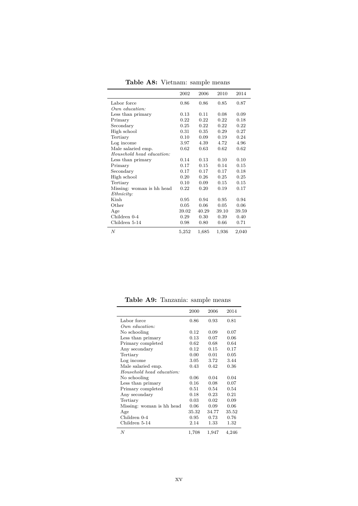|                           | 2002  | 2006  | 2010  | 2014  |
|---------------------------|-------|-------|-------|-------|
| Labor force               | 0.86  | 0.86  | 0.85  | 0.87  |
| $Own$ education:          |       |       |       |       |
| Less than primary         | 0.13  | 0.11  | 0.08  | 0.09  |
| Primary                   | 0.22  | 0.22  | 0.22  | 0.18  |
| Secondary                 | 0.25  | 0.22  | 0.22  | 0.22  |
| High school               | 0.31  | 0.35  | 0.29  | 0.27  |
| Tertiary                  | 0.10  | 0.09  | 0.19  | 0.24  |
| Log income                | 3.97  | 4.39  | 4.72  | 4.96  |
| Male salaried emp.        | 0.62  | 0.63  | 0.62  | 0.62  |
| Household head education: |       |       |       |       |
| Less than primary         | 0.14  | 0.13  | 0.10  | 0.10  |
| Primary                   | 0.17  | 0.15  | 0.14  | 0.15  |
| Secondary                 | 0.17  | 0.17  | 0.17  | 0.18  |
| High school               | 0.20  | 0.26  | 0.25  | 0.25  |
| Tertiary                  | 0.10  | 0.09  | 0.15  | 0.15  |
| Missing: woman is hh head | 0.22  | 0.20  | 0.19  | 0.17  |
| Ethnicity:                |       |       |       |       |
| Kinh                      | 0.95  | 0.94  | 0.95  | 0.94  |
| Other                     | 0.05  | 0.06  | 0.05  | 0.06  |
| Age                       | 39.02 | 40.29 | 39.10 | 39.59 |
| Children 0-4              | 0.29  | 0.30  | 0.39  | 0.40  |
| Children 5-14             | 0.98  | 0.80  | 0.66  | 0.71  |
| N                         | 5,252 | 1,685 | 1,936 | 2,040 |

**Table A8:** Vietnam: sample means

**Table A9:** Tanzania: sample means

|                           | 2000  | 2006  | 2014  |
|---------------------------|-------|-------|-------|
| Labor force               | 0.86  | 0.93  | 0.81  |
| Our equation:             |       |       |       |
| No schooling              | 0.12  | 0.09  | 0.07  |
| Less than primary         | 0.13  | 0.07  | 0.06  |
| Primary completed         | 0.62  | 0.68  | 0.64  |
| Any secondary             | 0.12  | 0.15  | 0.17  |
| Tertiary                  | 0.00  | 0.01  | 0.05  |
| Log income                | 3.05  | 3.72  | 3.44  |
| Male salaried emp.        | 0.43  | 0.42  | 0.36  |
| Household head education: |       |       |       |
| No schooling              | 0.06  | 0.04  | 0.04  |
| Less than primary         | 0.16  | 0.08  | 0.07  |
| Primary completed         | 0.51  | 0.54  | 0.54  |
| Any secondary             | 0.18  | 0.23  | 0.21  |
| Tertiary                  | 0.03  | 0.02  | 0.09  |
| Missing: woman is hh head | 0.06  | 0.09  | 0.06  |
| Age                       | 35.32 | 34.77 | 35.52 |
| Children 0-4              | 0.95  | 0.73  | 0.76  |
| Children 5-14             | 2.14  | 1.33  | 1.32  |
| N                         | 1,708 | 1,947 | 4,246 |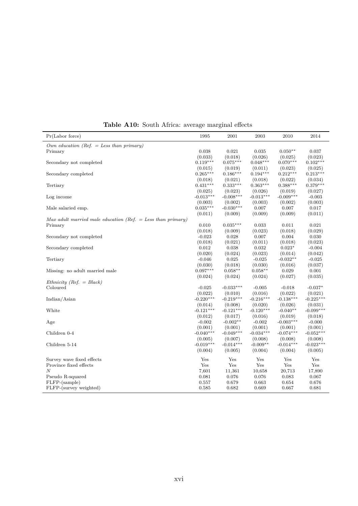| Pr(Labor force)                                               | 1995                | 2001                   | 2003                   | 2010                   | 2014                   |
|---------------------------------------------------------------|---------------------|------------------------|------------------------|------------------------|------------------------|
| Own education (Ref. $=$ Less than primary)                    |                     |                        |                        |                        |                        |
| Primary                                                       | 0.038               | 0.021                  | 0.035                  | $0.050**$              | 0.037                  |
|                                                               | (0.033)             | (0.018)                | (0.026)                | (0.025)                | (0.023)                |
| Secondary not completed                                       | $0.119***$          | $0.075***$             | $0.048***$             | $0.070***$             | $0.102***$             |
|                                                               | (0.015)             | (0.019)                | (0.011)                | (0.023)                | (0.025)                |
| Secondary completed                                           | $0.265***$          | $0.186***$             | $0.194***$             | $0.212***$             | $0.213***$             |
|                                                               | (0.018)             | (0.021)                | (0.018)                | (0.022)                | (0.034)                |
| Tertiary                                                      | $0.431***$          | $0.333***$             | $0.363***$             | $0.388***$             | $0.379***$             |
|                                                               | (0.025)             | (0.023)                | (0.026)                | (0.019)                | (0.027)                |
| Log income                                                    | $-0.013***$         | $-0.008***$            | $-0.013***$            | $-0.009***$            | $-0.003$               |
|                                                               | (0.003)             | (0.002)                | (0.003)                | (0.002)                | (0.003)                |
| Male salaried emp.                                            | $0.035***$          | $-0.030***$            | 0.007                  | 0.007                  | 0.017                  |
|                                                               | (0.011)             | (0.009)                | (0.009)                | (0.009)                | (0.011)                |
| Max adult married male education (Ref. $=$ Less than primary) |                     |                        |                        |                        |                        |
| Primary                                                       | 0.010               | $0.035***$             | 0.033                  | 0.011                  | 0.021                  |
|                                                               | (0.018)             | (0.009)                | (0.023)                | (0.018)                | (0.029)                |
| Secondary not completed                                       | $-0.023$            | 0.028                  | 0.007                  | 0.004                  | 0.030                  |
|                                                               | (0.018)             | (0.021)                | (0.011)                | (0.018)                | (0.023)                |
| Secondary completed                                           | 0.012               | 0.038                  | 0.032                  | $0.023*$               | $-0.004$               |
|                                                               | (0.020)             | (0.024)                | (0.023)                | (0.014)                | (0.042)                |
| Tertiary                                                      | $-0.046$            | 0.025                  | $-0.025$               | $-0.032**$             | $-0.025$               |
|                                                               | (0.030)             | (0.018)                | (0.030)                | (0.016)                | (0.037)                |
| Missing: no adult married male                                | $0.097***$          | $0.058**$              | $0.058**$              | 0.029                  | 0.001                  |
|                                                               | (0.024)             | (0.024)                | (0.024)                | (0.027)                | (0.035)                |
| Ethnicity (Ref. $= Black$ )                                   |                     |                        |                        |                        |                        |
| Coloured                                                      | $-0.025$            | $-0.033***$            | $-0.005$               | $-0.018$               | $-0.037*$              |
|                                                               | (0.022)             | (0.010)                | (0.016)                | (0.022)                | (0.021)                |
| Indian/Asian                                                  | $-0.220***$         | $-0.219***$            | $-0.216***$            | $-0.138***$            | $-0.225***$            |
|                                                               | (0.014)             | (0.008)                | (0.020)                | (0.026)                | (0.031)                |
| White                                                         | $-0.121***$         | $-0.121***$            | $-0.120***$            | $-0.040**$             | $-0.099***$            |
|                                                               | (0.012)             | (0.017)                | (0.016)                | (0.019)<br>$-0.003***$ | (0.018)                |
| Age                                                           | $-0.002$<br>(0.001) | $-0.002**$             | $-0.002$               |                        | $-0.000$               |
| Children 0-4                                                  | $-0.040***$         | (0.001)<br>$-0.049***$ | (0.001)<br>$-0.034***$ | (0.001)<br>$-0.074***$ | (0.001)<br>$-0.052***$ |
|                                                               | (0.005)             | (0.007)                | (0.008)                | (0.008)                | (0.008)                |
| Children 5-14                                                 | $-0.019***$         | $-0.014***$            | $-0.009**$             | $-0.014***$            | $-0.023***$            |
|                                                               | (0.004)             | (0.005)                | (0.004)                | (0.004)                | (0.005)                |
|                                                               |                     |                        |                        |                        |                        |
| Survey wave fixed effects                                     | Yes                 | Yes                    | Yes                    | Yes                    | Yes                    |
| Province fixed effects                                        | Yes                 | $\operatorname{Yes}$   | Yes                    | Yes                    | $\operatorname{Yes}$   |
| $\overline{N}$                                                | 7,601               | 11,361                 | 10,658                 | 20,713                 | 17,890                 |
| Pseudo R-squared                                              | 0.081               | 0.076                  | 0.076                  | 0.083                  | 0.067                  |
| FLFP-(sample)                                                 | 0.557               | 0.679                  | 0.663                  | 0.654                  | 0.676                  |
| FLFP-(survey weighted)                                        | 0.585               | 0.682                  | 0.669                  | 0.667                  | 0.681                  |

**Table A10:** South Africa: average marginal effects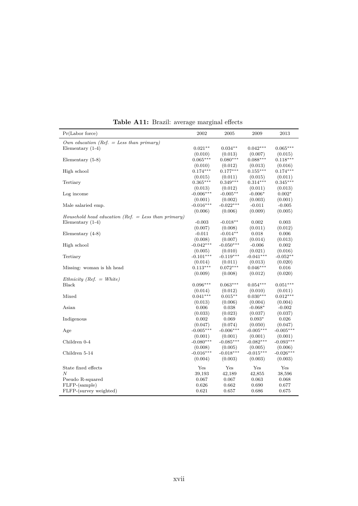|                                                       | ပ                      |                        |                       |                  |
|-------------------------------------------------------|------------------------|------------------------|-----------------------|------------------|
| Pr(Labor force)                                       | 2002                   | 2005                   | 2009                  | 2013             |
| Own education (Ref. $=$ Less than primary)            |                        |                        |                       |                  |
| Elementary $(1-4)$                                    | $0.021**$              | $0.034**$              | $0.042***$            | $0.065***$       |
|                                                       | (0.010)                | (0.013)                | (0.007)               | (0.015)          |
| Elementary $(5-8)$                                    | $0.065***$             | $0.080***$             | $0.088***$            | $0.118***$       |
|                                                       | (0.010)                | (0.012)                | (0.013)               | (0.016)          |
| High school                                           | $0.174***$             | $0.177***$             | $0.155***$            | $0.174***$       |
|                                                       | (0.015)                | (0.011)                | (0.015)               | (0.011)          |
| Tertiary                                              | $0.365***$             | $0.349***$             | $0.314***$            | $0.345***$       |
|                                                       | (0.013)                | (0.012)                | (0.011)               | (0.013)          |
| Log income                                            | $-0.006***$            | $-0.005**$             | $-0.006*$             | $0.002*$         |
|                                                       | (0.001)                | (0.002)                | (0.003)               | (0.001)          |
| Male salaried emp.                                    | $-0.016***$            | $-0.022***$            | $-0.011$              | $-0.005$         |
|                                                       | (0.006)                | (0.006)                | (0.009)               | (0.005)          |
| Household head education (Ref. $=$ Less than primary) |                        |                        |                       |                  |
| Elementary $(1-4)$                                    | $-0.003$               | $-0.018**$             | 0.002                 | 0.003            |
|                                                       | (0.007)                | (0.008)                | (0.011)               | (0.012)          |
| Elementary $(4-8)$                                    | $-0.011$               | $-0.014**$             | 0.018                 | 0.006            |
|                                                       | (0.008)<br>$-0.042***$ | (0.007)<br>$-0.050***$ | (0.014)               | (0.013)          |
| High school                                           |                        |                        | $-0.006$<br>(0.021)   | 0.002<br>(0.016) |
| Tertiary                                              | (0.005)<br>$-0.101***$ | (0.010)<br>$-0.119***$ | $-0.041***$           | $-0.052**$       |
|                                                       | (0.014)                | (0.011)                |                       |                  |
| Missing: woman is hh head                             | $0.113***$             | $0.072***$             | (0.013)<br>$0.046***$ | (0.020)<br>0.016 |
|                                                       | (0.009)                | (0.008)                | (0.012)               | (0.020)          |
| Ethnicity (Ref. $=$ White)                            |                        |                        |                       |                  |
| Black                                                 | $0.096***$             | $0.063***$             | $0.054***$            | $0.051***$       |
|                                                       | (0.014)                | (0.012)                | (0.010)               | (0.011)          |
| Mixed                                                 | $0.041***$             | $0.015**$              | $0.030***$            | $0.012***$       |
|                                                       | (0.013)                | (0.006)                | (0.004)               | (0.004)          |
| Asian                                                 | 0.006                  | 0.038                  | $-0.068*$             | $-0.002$         |
|                                                       | (0.033)                | (0.023)                | (0.037)               | (0.037)          |
| Indigenous                                            | 0.002                  | 0.069                  | $0.093*$              | 0.026            |
|                                                       | (0.047)                | (0.074)                | (0.050)               | (0.047)          |
| Age                                                   | $-0.005***$            | $-0.006***$            | $-0.005***$           | $-0.005***$      |
|                                                       | (0.001)                | (0.001)                | (0.001)               | (0.001)          |
| Children 0-4                                          | $-0.080***$            | $-0.085***$            | $-0.082***$           | $-0.093***$      |
|                                                       | (0.008)                | (0.005)                | (0.005)               | (0.006)          |
| Children 5-14                                         | $-0.016***$            | $-0.018***$            | $-0.015***$           | $-0.026***$      |
|                                                       | (0.004)                | (0.003)                | (0.003)               | (0.003)          |
| State fixed effects                                   | Yes                    | Yes                    | Yes                   | Yes              |
| N                                                     | 39,193                 | 42,189                 | 42,855                | 38,596           |
| Pseudo R-squared                                      | 0.067                  | 0.067                  | 0.063                 | 0.068            |
| FLFP-(sample)                                         | 0.626                  | 0.662                  | 0.690                 | 0.677            |
| FLFP-(survey weighted)                                | 0.621                  | 0.657                  | 0.686                 | 0.675            |
|                                                       |                        |                        |                       |                  |

**Table A11:** Brazil: average marginal effects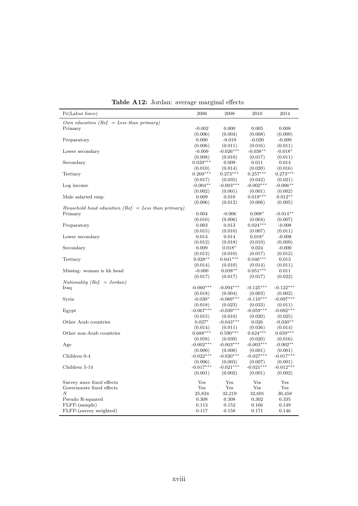|  | <b>Table A12:</b> Jordan: average marginal effects |  |
|--|----------------------------------------------------|--|
|--|----------------------------------------------------|--|

| Pr(Labor force)                                       | 2006                   | 2008                   | 2010                   | 2014                   |
|-------------------------------------------------------|------------------------|------------------------|------------------------|------------------------|
| Own education (Ref. $=$ Less than primary)            |                        |                        |                        |                        |
| Primary                                               | $-0.002$               | 0.000                  | 0.005                  | 0.008                  |
|                                                       | (0.006)                | (0.004)                | (0.008)                | (0.009)                |
| Preparatory                                           | 0.000                  | $-0.019$               | $-0.020$               | $-0.009$               |
|                                                       | (0.006)                | (0.011)                | (0.016)                | (0.011)                |
| Lower secondary                                       | $-0.009$               | $-0.026***$            | $-0.038**$             | $-0.018*$              |
|                                                       | (0.008)                | (0.010)                | (0.017)                | (0.011)                |
| Secondary                                             | $0.029***$             | 0.009                  | 0.011                  | 0.014                  |
|                                                       | (0.010)                | (0.014)                | (0.020)                | (0.016)                |
| Tertiary                                              | $0.269***$             | $0.273***$             | $0.257***$             | $0.273***$             |
|                                                       | (0.017)                | (0.035)                | (0.042)                | (0.021)                |
| Log income                                            | $-0.004**$             | $-0.003***$            | $-0.002***$            | $-0.006**$             |
|                                                       | (0.002)                | (0.001)                | (0.001)                | (0.002)                |
| Male salaried emp.                                    | 0.009                  | 0.010                  | $0.019***$             | $0.012**$              |
|                                                       | (0.006)                | (0.012)                | (0.006)                | (0.005)                |
| Household head education (Ref. $=$ Less than primary) |                        |                        |                        |                        |
| Primary                                               | 0.004                  | $-0.006$               | $0.008*$               | $-0.014**$             |
|                                                       | (0.010)<br>0.003       | (0.006)                | (0.004)<br>$0.024***$  | (0.007)                |
| Preparatory                                           |                        | 0.013                  |                        | $-0.008$               |
| Lower secondary                                       | (0.015)<br>0.014       | (0.010)<br>0.014       | (0.007)<br>$0.018*$    | (0.011)<br>$-0.008$    |
|                                                       | (0.012)                | (0.018)                | (0.010)                | (0.009)                |
| Secondary                                             | 0.009                  | $0.018*$               | 0.024                  | $-0.000$               |
|                                                       | (0.012)                | (0.010)                | (0.017)                | (0.012)                |
| Tertiary                                              | $0.028**$              | $0.041***$             | $0.046***$             | 0.013                  |
|                                                       | (0.014)                | (0.010)                | (0.014)                | (0.011)                |
| Missing: woman is hh head                             | $-0.000$               | $0.038**$              | $0.051***$             | 0.011                  |
|                                                       | (0.017)                | (0.017)                | (0.017)                | (0.022)                |
| Nationality (Ref. = Jordan)                           |                        |                        |                        |                        |
| Iraq                                                  | $-0.060***$            | $-0.094***$            | $-0.125***$            | $-0.122***$            |
|                                                       | (0.018)                | (0.004)                | (0.003)                | (0.002)                |
| Syria                                                 | $-0.030*$              | $-0.069***$            | $-0.110***$            | $-0.097***$            |
|                                                       | (0.018)                | (0.023)                | (0.033)                | (0.011)                |
| Egypt                                                 | $-0.067***$            | $-0.039***$            | $-0.059***$            | $-0.092***$            |
|                                                       | (0.015)                | (0.010)                | (0.020)                | (0.025)                |
| Other Arab countries                                  | $0.027*$               | $-0.043***$            | 0.026                  | $-0.030**$             |
|                                                       | (0.014)                | (0.011)                | (0.036)                | (0.014)                |
| Other non-Arab countries                              | $0.688***$             | $0.590***$             | $0.624***$             | $0.659***$             |
|                                                       | (0.058)                | (0.039)                | (0.020)                | (0.016)                |
| Age                                                   | $-0.002***$            | $-0.003***$            | $-0.003***$            | $-0.002**$             |
| Children 0-4                                          | (0.000)<br>$-0.022***$ | (0.000)<br>$-0.020***$ | (0.001)<br>$-0.027***$ | (0.001)<br>$-0.017***$ |
|                                                       | (0.006)                | (0.003)                | (0.007)                | (0.001)                |
| Children 5-14                                         | $-0.017***$            | $-0.021***$            | $-0.021***$            | $-0.012***$            |
|                                                       | (0.001)                | (0.002)                | (0.001)                | (0.002)                |
|                                                       |                        |                        |                        |                        |
| Survey wave fixed effects                             | Yes                    | Yes                    | Yes                    | Yes                    |
| Governorate fixed effects                             | Yes                    | Yes                    | Yes                    | Yes                    |
| N                                                     | 25,834                 | 33,219                 | 32,691                 | 30,458                 |
| Pseudo R-squared                                      | 0.308                  | 0.308                  | 0.302                  | 0.335                  |
| FLFP-(sample)                                         | 0.113                  | 0.152                  | 0.166                  | 0.149                  |
| FLFP-(survey weighted)                                | 0.117                  | 0.158                  | 0.171                  | 0.146                  |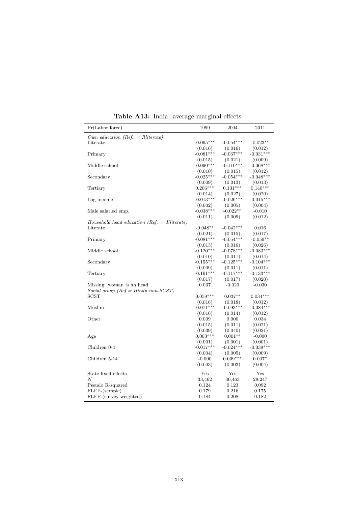| Pr(Labor force)                                | 1999                   | 2004                   | 2011                   |
|------------------------------------------------|------------------------|------------------------|------------------------|
| Own education (Ref. = Illiterate)              |                        |                        |                        |
| Literate                                       | $-0.065***$            | $-0.054***$            | $-0.023**$             |
|                                                | (0.016)                | (0.016)                | (0.012)                |
| Primary                                        | $-0.081***$            | $-0.067***$            | $-0.031***$            |
|                                                | (0.015)                | (0.021)                | (0.009)                |
| Middle school                                  | $-0.090***$            | $-0.110***$            | $-0.068***$            |
|                                                | (0.010)                | (0.015)                | (0.012)                |
| Secondary                                      | $-0.025***$            | $-0.054***$            | $-0.048***$            |
|                                                | (0.009)                | (0.013)                | (0.013)                |
| Tertiary                                       | $0.206***$             | $0.131***$             | $0.140***$             |
|                                                | (0.014)                | (0.027)                | (0.020)                |
| Log income                                     | $-0.013***$            | $-0.026***$            | $-0.015***$            |
|                                                | (0.002)                | (0.005)                | (0.004)                |
| Male salaried emp.                             | $-0.038***$            | $-0.022**$             | $-0.010$               |
|                                                | (0.011)                | (0.009)                | (0.012)                |
| $Household$ head education (Ref. = Illiterate) |                        |                        |                        |
| Literate                                       | $-0.048**$             | $-0.042***$            | 0.016                  |
|                                                | (0.021)                | (0.015)                | (0.017)                |
| Primary                                        | $-0.081***$            | $-0.054***$            | $-0.059**$             |
|                                                | (0.013)                | (0.016)                | (0.026)                |
| Middle school                                  | $-0.120***$            | $-0.078***$            | $-0.083***$            |
|                                                | (0.010)                | (0.011)                | (0.014)                |
| Secondary                                      | $-0.155***$            | $-0.125***$            | $-0.104***$            |
|                                                | (0.009)                | (0.011)                | (0.011)                |
| Tertiary                                       | $-0.161***$            | $-0.117***$            | $-0.133***$            |
|                                                | (0.017)                | (0.017)                | (0.020)                |
| Missing: woman is hh head                      | 0.037                  | $-0.020$               | $-0.030$               |
| Social group (Ref. = Hindu non-SCST)           |                        |                        |                        |
| <b>SCST</b>                                    | $0.059***$             | $0.037**$              | $0.034***$             |
|                                                | (0.016)                | (0.018)                | (0.012)                |
| Muslim                                         | $-0.071***$            | $-0.093***$            | $-0.084***$            |
|                                                | (0.016)                | (0.014)                | (0.012)                |
| Other                                          | 0.009                  | 0.000                  | 0.034                  |
|                                                | (0.015)                | (0.011)                | (0.021)                |
|                                                | (0.039)<br>$0.003***$  | (0.040)<br>$0.001**$   | (0.021)                |
| Age                                            |                        |                        | $-0.000$               |
| Children 0-4                                   | (0.001)<br>$-0.017***$ | (0.001)<br>$-0.024***$ | (0.001)<br>$-0.039***$ |
|                                                |                        |                        |                        |
| Children 5-14                                  | (0.004)<br>$-0.000$    | (0.005)<br>$0.009***$  | (0.009)<br>$0.007*$    |
|                                                | (0.003)                | (0.003)                | (0.004)                |
|                                                |                        |                        |                        |
| State fixed effects                            | Yes                    | Yes                    | Yes                    |
| $\boldsymbol{N}$                               | 33,462                 | 30,463                 | 28,247                 |
| Pseudo R-squared                               | 0.124                  | 0.123                  | 0.092                  |
| FLFP-(sample)                                  | 0.179                  | 0.216                  | 0.175                  |
| FLFP-(survey weighted)                         | 0.184                  | 0.208                  | 0.182                  |
|                                                |                        |                        |                        |

**Table A13:** India: average marginal effects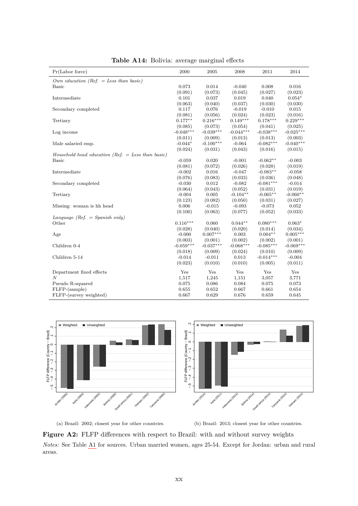| Own education (Ref. = Less than basic)<br>0.073<br>0.014<br><b>Basic</b><br>$-0.040$<br>0.008<br>0.016<br>(0.091)<br>(0.073)<br>(0.045)<br>(0.027)<br>(0.023)<br>Intermediate<br>0.101<br>0.037<br>0.019<br>0.040<br>$0.054*$<br>(0.063)<br>(0.040)<br>(0.037)<br>(0.030)<br>(0.030)<br>Secondary completed<br>0.117<br>0.076<br>$-0.019$<br>$-0.010$<br>0.015<br>(0.081)<br>(0.056)<br>(0.024)<br>(0.023)<br>(0.016)<br>$0.178***$<br>$0.177**$<br>$0.216***$<br>$0.149***$<br>$0.229***$<br>Tertiary<br>(0.085)<br>(0.073)<br>(0.054)<br>(0.041)<br>(0.025)<br>$-0.039***$<br>$-0.038***$<br>$-0.048***$<br>$-0.044***$<br>$-0.025***$<br>Log income<br>(0.011)<br>(0.009)<br>(0.013)<br>(0.013)<br>(0.003)<br>$-0.082***$<br>$-0.100***$<br>$-0.040***$<br>$-0.044*$<br>$-0.064$<br>Male salaried emp.<br>(0.024)<br>(0.031)<br>(0.043)<br>(0.016)<br>(0.015)<br>Household head education (Ref. $=$ Less than basic)<br>$-0.062**$<br><b>Basic</b><br>$-0.059$<br>0.020<br>$-0.001$<br>$-0.003$<br>(0.081)<br>(0.072)<br>(0.026)<br>(0.019)<br>(0.028)<br>$-0.083**$<br>Intermediate<br>$-0.002$<br>0.016<br>$-0.047$<br>$-0.058$<br>(0.076)<br>(0.083)<br>(0.033)<br>(0.036)<br>(0.048)<br>$-0.081***$<br>0.012<br>$-0.082$<br>$-0.014$<br>Secondary completed<br>$-0.030$<br>(0.064)<br>(0.043)<br>(0.052)<br>(0.019)<br>(0.031)<br>0.005<br>$-0.104**$<br>$-0.065**$<br>$-0.060**$<br>Tertiary<br>$-0.004$<br>(0.082)<br>(0.050)<br>(0.123)<br>(0.031)<br>(0.027)<br>0.006<br>$-0.015$<br>$-0.093$<br>$-0.073$<br>0.052<br>Missing: woman is hh head<br>(0.063)<br>(0.052)<br>(0.033)<br>(0.100)<br>(0.077)<br>Language (Ref. $=$ Spanish only)<br>Other<br>$0.116***$<br>$0.080***$<br>0.060<br>$0.044**$<br>$0.063*$<br>(0.040)<br>(0.020)<br>(0.028)<br>(0.014)<br>(0.034)<br>$0.007***$<br>$-0.000$<br>$0.004**$<br>$0.005***$<br>Age<br>0.003<br>(0.003)<br>(0.002)<br>(0.002)<br>(0.001)<br>(0.001)<br>$-0.059***$<br>$-0.037***$<br>$-0.068***$<br>$-0.085***$<br>$-0.069***$<br>Children 0-4<br>(0.018)<br>(0.009)<br>(0.024)<br>(0.010)<br>(0.009)<br>$-0.014***$<br>Children 5-14<br>$-0.014$<br>$-0.011$<br>0.013<br>$-0.004$<br>(0.023)<br>(0.010)<br>(0.010)<br>(0.011)<br>(0.005)<br>Yes<br>Yes<br>Yes<br>Yes<br>Yes<br>Department fixed effects<br>$\boldsymbol{N}$<br>1,517<br>1,245<br>1,151<br>3,057<br>3,771<br>Pseudo R-squared<br>0.075<br>0.086<br>0.084<br>0.075<br>0.073<br>FLFP-(sample)<br>0.655<br>0.652<br>0.667<br>0.661<br>0.654 | Pr(Labor force)        | 2000  | 2005  | 2008  | 2011  | 2014  |
|----------------------------------------------------------------------------------------------------------------------------------------------------------------------------------------------------------------------------------------------------------------------------------------------------------------------------------------------------------------------------------------------------------------------------------------------------------------------------------------------------------------------------------------------------------------------------------------------------------------------------------------------------------------------------------------------------------------------------------------------------------------------------------------------------------------------------------------------------------------------------------------------------------------------------------------------------------------------------------------------------------------------------------------------------------------------------------------------------------------------------------------------------------------------------------------------------------------------------------------------------------------------------------------------------------------------------------------------------------------------------------------------------------------------------------------------------------------------------------------------------------------------------------------------------------------------------------------------------------------------------------------------------------------------------------------------------------------------------------------------------------------------------------------------------------------------------------------------------------------------------------------------------------------------------------------------------------------------------------------------------------------------------------------------------------------------------------------------------------------------------------------------------------------------------------------------------------------------------------------------------------------------------------------------------------------------------------------------------------------------------------------------------------------------------------------------------------------------|------------------------|-------|-------|-------|-------|-------|
|                                                                                                                                                                                                                                                                                                                                                                                                                                                                                                                                                                                                                                                                                                                                                                                                                                                                                                                                                                                                                                                                                                                                                                                                                                                                                                                                                                                                                                                                                                                                                                                                                                                                                                                                                                                                                                                                                                                                                                                                                                                                                                                                                                                                                                                                                                                                                                                                                                                                      |                        |       |       |       |       |       |
|                                                                                                                                                                                                                                                                                                                                                                                                                                                                                                                                                                                                                                                                                                                                                                                                                                                                                                                                                                                                                                                                                                                                                                                                                                                                                                                                                                                                                                                                                                                                                                                                                                                                                                                                                                                                                                                                                                                                                                                                                                                                                                                                                                                                                                                                                                                                                                                                                                                                      |                        |       |       |       |       |       |
|                                                                                                                                                                                                                                                                                                                                                                                                                                                                                                                                                                                                                                                                                                                                                                                                                                                                                                                                                                                                                                                                                                                                                                                                                                                                                                                                                                                                                                                                                                                                                                                                                                                                                                                                                                                                                                                                                                                                                                                                                                                                                                                                                                                                                                                                                                                                                                                                                                                                      |                        |       |       |       |       |       |
|                                                                                                                                                                                                                                                                                                                                                                                                                                                                                                                                                                                                                                                                                                                                                                                                                                                                                                                                                                                                                                                                                                                                                                                                                                                                                                                                                                                                                                                                                                                                                                                                                                                                                                                                                                                                                                                                                                                                                                                                                                                                                                                                                                                                                                                                                                                                                                                                                                                                      |                        |       |       |       |       |       |
|                                                                                                                                                                                                                                                                                                                                                                                                                                                                                                                                                                                                                                                                                                                                                                                                                                                                                                                                                                                                                                                                                                                                                                                                                                                                                                                                                                                                                                                                                                                                                                                                                                                                                                                                                                                                                                                                                                                                                                                                                                                                                                                                                                                                                                                                                                                                                                                                                                                                      |                        |       |       |       |       |       |
|                                                                                                                                                                                                                                                                                                                                                                                                                                                                                                                                                                                                                                                                                                                                                                                                                                                                                                                                                                                                                                                                                                                                                                                                                                                                                                                                                                                                                                                                                                                                                                                                                                                                                                                                                                                                                                                                                                                                                                                                                                                                                                                                                                                                                                                                                                                                                                                                                                                                      |                        |       |       |       |       |       |
|                                                                                                                                                                                                                                                                                                                                                                                                                                                                                                                                                                                                                                                                                                                                                                                                                                                                                                                                                                                                                                                                                                                                                                                                                                                                                                                                                                                                                                                                                                                                                                                                                                                                                                                                                                                                                                                                                                                                                                                                                                                                                                                                                                                                                                                                                                                                                                                                                                                                      |                        |       |       |       |       |       |
|                                                                                                                                                                                                                                                                                                                                                                                                                                                                                                                                                                                                                                                                                                                                                                                                                                                                                                                                                                                                                                                                                                                                                                                                                                                                                                                                                                                                                                                                                                                                                                                                                                                                                                                                                                                                                                                                                                                                                                                                                                                                                                                                                                                                                                                                                                                                                                                                                                                                      |                        |       |       |       |       |       |
|                                                                                                                                                                                                                                                                                                                                                                                                                                                                                                                                                                                                                                                                                                                                                                                                                                                                                                                                                                                                                                                                                                                                                                                                                                                                                                                                                                                                                                                                                                                                                                                                                                                                                                                                                                                                                                                                                                                                                                                                                                                                                                                                                                                                                                                                                                                                                                                                                                                                      |                        |       |       |       |       |       |
|                                                                                                                                                                                                                                                                                                                                                                                                                                                                                                                                                                                                                                                                                                                                                                                                                                                                                                                                                                                                                                                                                                                                                                                                                                                                                                                                                                                                                                                                                                                                                                                                                                                                                                                                                                                                                                                                                                                                                                                                                                                                                                                                                                                                                                                                                                                                                                                                                                                                      |                        |       |       |       |       |       |
|                                                                                                                                                                                                                                                                                                                                                                                                                                                                                                                                                                                                                                                                                                                                                                                                                                                                                                                                                                                                                                                                                                                                                                                                                                                                                                                                                                                                                                                                                                                                                                                                                                                                                                                                                                                                                                                                                                                                                                                                                                                                                                                                                                                                                                                                                                                                                                                                                                                                      |                        |       |       |       |       |       |
|                                                                                                                                                                                                                                                                                                                                                                                                                                                                                                                                                                                                                                                                                                                                                                                                                                                                                                                                                                                                                                                                                                                                                                                                                                                                                                                                                                                                                                                                                                                                                                                                                                                                                                                                                                                                                                                                                                                                                                                                                                                                                                                                                                                                                                                                                                                                                                                                                                                                      |                        |       |       |       |       |       |
|                                                                                                                                                                                                                                                                                                                                                                                                                                                                                                                                                                                                                                                                                                                                                                                                                                                                                                                                                                                                                                                                                                                                                                                                                                                                                                                                                                                                                                                                                                                                                                                                                                                                                                                                                                                                                                                                                                                                                                                                                                                                                                                                                                                                                                                                                                                                                                                                                                                                      |                        |       |       |       |       |       |
|                                                                                                                                                                                                                                                                                                                                                                                                                                                                                                                                                                                                                                                                                                                                                                                                                                                                                                                                                                                                                                                                                                                                                                                                                                                                                                                                                                                                                                                                                                                                                                                                                                                                                                                                                                                                                                                                                                                                                                                                                                                                                                                                                                                                                                                                                                                                                                                                                                                                      |                        |       |       |       |       |       |
|                                                                                                                                                                                                                                                                                                                                                                                                                                                                                                                                                                                                                                                                                                                                                                                                                                                                                                                                                                                                                                                                                                                                                                                                                                                                                                                                                                                                                                                                                                                                                                                                                                                                                                                                                                                                                                                                                                                                                                                                                                                                                                                                                                                                                                                                                                                                                                                                                                                                      |                        |       |       |       |       |       |
|                                                                                                                                                                                                                                                                                                                                                                                                                                                                                                                                                                                                                                                                                                                                                                                                                                                                                                                                                                                                                                                                                                                                                                                                                                                                                                                                                                                                                                                                                                                                                                                                                                                                                                                                                                                                                                                                                                                                                                                                                                                                                                                                                                                                                                                                                                                                                                                                                                                                      |                        |       |       |       |       |       |
|                                                                                                                                                                                                                                                                                                                                                                                                                                                                                                                                                                                                                                                                                                                                                                                                                                                                                                                                                                                                                                                                                                                                                                                                                                                                                                                                                                                                                                                                                                                                                                                                                                                                                                                                                                                                                                                                                                                                                                                                                                                                                                                                                                                                                                                                                                                                                                                                                                                                      |                        |       |       |       |       |       |
|                                                                                                                                                                                                                                                                                                                                                                                                                                                                                                                                                                                                                                                                                                                                                                                                                                                                                                                                                                                                                                                                                                                                                                                                                                                                                                                                                                                                                                                                                                                                                                                                                                                                                                                                                                                                                                                                                                                                                                                                                                                                                                                                                                                                                                                                                                                                                                                                                                                                      |                        |       |       |       |       |       |
|                                                                                                                                                                                                                                                                                                                                                                                                                                                                                                                                                                                                                                                                                                                                                                                                                                                                                                                                                                                                                                                                                                                                                                                                                                                                                                                                                                                                                                                                                                                                                                                                                                                                                                                                                                                                                                                                                                                                                                                                                                                                                                                                                                                                                                                                                                                                                                                                                                                                      |                        |       |       |       |       |       |
|                                                                                                                                                                                                                                                                                                                                                                                                                                                                                                                                                                                                                                                                                                                                                                                                                                                                                                                                                                                                                                                                                                                                                                                                                                                                                                                                                                                                                                                                                                                                                                                                                                                                                                                                                                                                                                                                                                                                                                                                                                                                                                                                                                                                                                                                                                                                                                                                                                                                      |                        |       |       |       |       |       |
|                                                                                                                                                                                                                                                                                                                                                                                                                                                                                                                                                                                                                                                                                                                                                                                                                                                                                                                                                                                                                                                                                                                                                                                                                                                                                                                                                                                                                                                                                                                                                                                                                                                                                                                                                                                                                                                                                                                                                                                                                                                                                                                                                                                                                                                                                                                                                                                                                                                                      |                        |       |       |       |       |       |
|                                                                                                                                                                                                                                                                                                                                                                                                                                                                                                                                                                                                                                                                                                                                                                                                                                                                                                                                                                                                                                                                                                                                                                                                                                                                                                                                                                                                                                                                                                                                                                                                                                                                                                                                                                                                                                                                                                                                                                                                                                                                                                                                                                                                                                                                                                                                                                                                                                                                      |                        |       |       |       |       |       |
|                                                                                                                                                                                                                                                                                                                                                                                                                                                                                                                                                                                                                                                                                                                                                                                                                                                                                                                                                                                                                                                                                                                                                                                                                                                                                                                                                                                                                                                                                                                                                                                                                                                                                                                                                                                                                                                                                                                                                                                                                                                                                                                                                                                                                                                                                                                                                                                                                                                                      |                        |       |       |       |       |       |
|                                                                                                                                                                                                                                                                                                                                                                                                                                                                                                                                                                                                                                                                                                                                                                                                                                                                                                                                                                                                                                                                                                                                                                                                                                                                                                                                                                                                                                                                                                                                                                                                                                                                                                                                                                                                                                                                                                                                                                                                                                                                                                                                                                                                                                                                                                                                                                                                                                                                      |                        |       |       |       |       |       |
|                                                                                                                                                                                                                                                                                                                                                                                                                                                                                                                                                                                                                                                                                                                                                                                                                                                                                                                                                                                                                                                                                                                                                                                                                                                                                                                                                                                                                                                                                                                                                                                                                                                                                                                                                                                                                                                                                                                                                                                                                                                                                                                                                                                                                                                                                                                                                                                                                                                                      |                        |       |       |       |       |       |
|                                                                                                                                                                                                                                                                                                                                                                                                                                                                                                                                                                                                                                                                                                                                                                                                                                                                                                                                                                                                                                                                                                                                                                                                                                                                                                                                                                                                                                                                                                                                                                                                                                                                                                                                                                                                                                                                                                                                                                                                                                                                                                                                                                                                                                                                                                                                                                                                                                                                      |                        |       |       |       |       |       |
|                                                                                                                                                                                                                                                                                                                                                                                                                                                                                                                                                                                                                                                                                                                                                                                                                                                                                                                                                                                                                                                                                                                                                                                                                                                                                                                                                                                                                                                                                                                                                                                                                                                                                                                                                                                                                                                                                                                                                                                                                                                                                                                                                                                                                                                                                                                                                                                                                                                                      |                        |       |       |       |       |       |
|                                                                                                                                                                                                                                                                                                                                                                                                                                                                                                                                                                                                                                                                                                                                                                                                                                                                                                                                                                                                                                                                                                                                                                                                                                                                                                                                                                                                                                                                                                                                                                                                                                                                                                                                                                                                                                                                                                                                                                                                                                                                                                                                                                                                                                                                                                                                                                                                                                                                      |                        |       |       |       |       |       |
|                                                                                                                                                                                                                                                                                                                                                                                                                                                                                                                                                                                                                                                                                                                                                                                                                                                                                                                                                                                                                                                                                                                                                                                                                                                                                                                                                                                                                                                                                                                                                                                                                                                                                                                                                                                                                                                                                                                                                                                                                                                                                                                                                                                                                                                                                                                                                                                                                                                                      |                        |       |       |       |       |       |
|                                                                                                                                                                                                                                                                                                                                                                                                                                                                                                                                                                                                                                                                                                                                                                                                                                                                                                                                                                                                                                                                                                                                                                                                                                                                                                                                                                                                                                                                                                                                                                                                                                                                                                                                                                                                                                                                                                                                                                                                                                                                                                                                                                                                                                                                                                                                                                                                                                                                      |                        |       |       |       |       |       |
|                                                                                                                                                                                                                                                                                                                                                                                                                                                                                                                                                                                                                                                                                                                                                                                                                                                                                                                                                                                                                                                                                                                                                                                                                                                                                                                                                                                                                                                                                                                                                                                                                                                                                                                                                                                                                                                                                                                                                                                                                                                                                                                                                                                                                                                                                                                                                                                                                                                                      |                        |       |       |       |       |       |
|                                                                                                                                                                                                                                                                                                                                                                                                                                                                                                                                                                                                                                                                                                                                                                                                                                                                                                                                                                                                                                                                                                                                                                                                                                                                                                                                                                                                                                                                                                                                                                                                                                                                                                                                                                                                                                                                                                                                                                                                                                                                                                                                                                                                                                                                                                                                                                                                                                                                      |                        |       |       |       |       |       |
|                                                                                                                                                                                                                                                                                                                                                                                                                                                                                                                                                                                                                                                                                                                                                                                                                                                                                                                                                                                                                                                                                                                                                                                                                                                                                                                                                                                                                                                                                                                                                                                                                                                                                                                                                                                                                                                                                                                                                                                                                                                                                                                                                                                                                                                                                                                                                                                                                                                                      |                        |       |       |       |       |       |
|                                                                                                                                                                                                                                                                                                                                                                                                                                                                                                                                                                                                                                                                                                                                                                                                                                                                                                                                                                                                                                                                                                                                                                                                                                                                                                                                                                                                                                                                                                                                                                                                                                                                                                                                                                                                                                                                                                                                                                                                                                                                                                                                                                                                                                                                                                                                                                                                                                                                      |                        |       |       |       |       |       |
|                                                                                                                                                                                                                                                                                                                                                                                                                                                                                                                                                                                                                                                                                                                                                                                                                                                                                                                                                                                                                                                                                                                                                                                                                                                                                                                                                                                                                                                                                                                                                                                                                                                                                                                                                                                                                                                                                                                                                                                                                                                                                                                                                                                                                                                                                                                                                                                                                                                                      |                        |       |       |       |       |       |
|                                                                                                                                                                                                                                                                                                                                                                                                                                                                                                                                                                                                                                                                                                                                                                                                                                                                                                                                                                                                                                                                                                                                                                                                                                                                                                                                                                                                                                                                                                                                                                                                                                                                                                                                                                                                                                                                                                                                                                                                                                                                                                                                                                                                                                                                                                                                                                                                                                                                      |                        |       |       |       |       |       |
|                                                                                                                                                                                                                                                                                                                                                                                                                                                                                                                                                                                                                                                                                                                                                                                                                                                                                                                                                                                                                                                                                                                                                                                                                                                                                                                                                                                                                                                                                                                                                                                                                                                                                                                                                                                                                                                                                                                                                                                                                                                                                                                                                                                                                                                                                                                                                                                                                                                                      |                        |       |       |       |       |       |
|                                                                                                                                                                                                                                                                                                                                                                                                                                                                                                                                                                                                                                                                                                                                                                                                                                                                                                                                                                                                                                                                                                                                                                                                                                                                                                                                                                                                                                                                                                                                                                                                                                                                                                                                                                                                                                                                                                                                                                                                                                                                                                                                                                                                                                                                                                                                                                                                                                                                      | FLFP-(survey weighted) | 0.667 | 0.629 | 0.676 | 0.659 | 0.645 |

**Table A14:** Bolivia: average marginal effects



(a) Brazil: 2002; closest year for other countries.

(b) Brazil: 2013; closest year for other countries.

**Figure A2:** FLFP differences with respect to Brazil: with and without survey weights *Notes:* See Table [A1](#page-52-0) for sources. Urban married women, ages 25-54. Except for Jordan: urban and rural areas.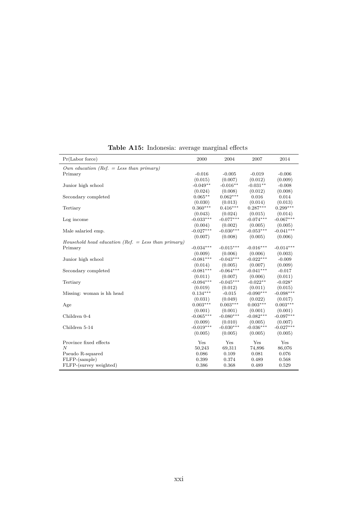| Pr(Labor force)                                       | 2000                   | 2004                   | 2007                   | 2014                   |
|-------------------------------------------------------|------------------------|------------------------|------------------------|------------------------|
| Own education (Ref. = Less than primary)              |                        |                        |                        |                        |
| Primary                                               | $-0.016$               | $-0.005$               | $-0.019$               | $-0.006$               |
|                                                       | (0.015)                | (0.007)                | (0.012)                | (0.009)                |
| Junior high school                                    | $-0.049**$             | $-0.016**$             | $-0.031**$             | $-0.008$               |
|                                                       | (0.024)                | (0.008)                | (0.012)                | (0.008)                |
| Secondary completed                                   | $0.065**$              | $0.062***$             | 0.016                  | 0.014                  |
|                                                       | (0.030)                | (0.013)                | (0.014)                | (0.013)                |
| Tertiary                                              | $0.360***$             | $0.416***$             | $0.287***$             | $0.299***$             |
|                                                       | (0.043)                | (0.024)                | (0.015)                | (0.014)                |
| Log income                                            | $-0.033***$            | $-0.077***$            | $-0.074***$            | $-0.067***$            |
|                                                       | (0.004)                | (0.002)                | (0.005)                | (0.005)                |
| Male salaried emp.                                    | $-0.027***$            | $-0.030***$            | $-0.053***$            | $-0.041***$            |
|                                                       | (0.007)                | (0.008)                | (0.005)                | (0.006)                |
| Household head education (Ref. $=$ Less than primary) |                        |                        |                        |                        |
| Primary                                               | $-0.034***$            | $-0.015***$            | $-0.016***$            | $-0.014***$            |
|                                                       | (0.009)                | (0.006)                | (0.006)                | (0.003)                |
| Junior high school                                    | $-0.081***$            | $-0.043***$            | $-0.022***$            | $-0.009$               |
|                                                       | (0.014)                | (0.005)                | (0.007)                | (0.009)                |
| Secondary completed                                   | $-0.081***$            | $-0.064***$            | $-0.041***$            | $-0.017$               |
|                                                       | (0.011)                | (0.007)                | (0.006)                | (0.011)                |
| Tertiary                                              | $-0.094***$            | $-0.045***$            | $-0.022**$             | $-0.028*$              |
|                                                       | (0.019)                | (0.012)                | (0.011)                | (0.015)                |
| Missing: woman is hh head                             | $0.134***$             | $-0.015$               | $-0.090***$            | $-0.098***$            |
|                                                       | (0.031)                | (0.049)                | (0.022)                | (0.017)                |
| Age                                                   | $0.003***$             | $0.003***$             | $0.003***$             | $0.003***$             |
|                                                       | (0.001)                | (0.001)                | (0.001)                | (0.001)                |
| Children 0-4                                          | $-0.065***$            | $-0.080***$            | $-0.082***$            | $-0.097***$            |
| Children 5-14                                         | (0.009)<br>$-0.019***$ | (0.010)<br>$-0.030***$ | (0.005)<br>$-0.036***$ | (0.007)<br>$-0.027***$ |
|                                                       | (0.005)                | (0.005)                | (0.005)                | (0.005)                |
|                                                       |                        |                        |                        |                        |
| Province fixed effects                                | Yes                    | Yes                    | Yes                    | Yes                    |
| $\overline{N}$                                        | 50,243                 | 69,311                 | 74,896                 | 86,076                 |
| Pseudo R-squared                                      | 0.086                  | 0.109                  | 0.081                  | 0.076                  |
| FLFP-(sample)                                         | 0.399                  | 0.374                  | 0.489                  | 0.568                  |
| FLFP-(survey weighted)                                | 0.386                  | 0.368                  | 0.489                  | 0.529                  |

**Table A15:** Indonesia: average marginal effects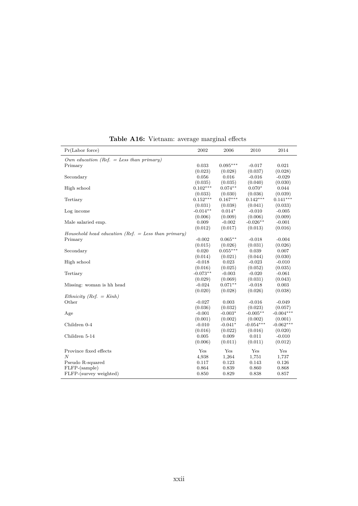| Pr(Labor force)                                       | 2002           | 2006           | 2010           | 2014           |
|-------------------------------------------------------|----------------|----------------|----------------|----------------|
| Own education (Ref. = Less than primary)              |                |                |                |                |
| Primary                                               | 0.033          | $0.095***$     | $-0.017$       | 0.021          |
|                                                       | (0.023)        | (0.028)        | (0.037)        | (0.028)        |
| Secondary                                             | 0.056          | 0.016          | $-0.016$       | $-0.029$       |
|                                                       | (0.035)        | (0.035)        | (0.040)        | (0.030)        |
| High school                                           | $0.102***$     | $0.074**$      | $0.070*$       | 0.044          |
|                                                       | (0.033)        | (0.030)        | (0.036)        | (0.039)        |
| Tertiary                                              | $0.152***$     | $0.167***$     | $0.142***$     | $0.141***$     |
|                                                       | (0.031)        | (0.038)        | (0.041)        | (0.033)        |
| Log income                                            | $-0.014**$     | $0.014*$       | $-0.010$       | $-0.005$       |
|                                                       | (0.006)        | (0.009)        | (0.006)        | (0.009)        |
| Male salaried emp.                                    | 0.009          | $-0.002$       | $-0.026**$     | $-0.001$       |
|                                                       | (0.012)        | (0.017)        | (0.013)        | (0.016)        |
| Household head education (Ref. $=$ Less than primary) |                |                |                |                |
| Primary                                               | $-0.002$       | $0.065***$     | $-0.018$       | $-0.004$       |
|                                                       | (0.015)        | (0.026)        | (0.031)        | (0.026)        |
| Secondary                                             | 0.020          | $0.055***$     | 0.039          | 0.007          |
|                                                       | (0.014)        | (0.021)        | (0.044)        | (0.030)        |
| High school                                           | $-0.018$       | 0.023          | $-0.023$       | $-0.010$       |
|                                                       | (0.016)        | (0.025)        | (0.052)        | (0.035)        |
| Tertiary                                              | $-0.073**$     | $-0.003$       | $-0.020$       | $-0.061$       |
|                                                       | (0.029)        | (0.069)        | (0.031)        | (0.043)        |
| Missing: woman is hh head                             | $-0.024$       | $0.071**$      | $-0.018$       | 0.003          |
|                                                       | (0.020)        | (0.028)        | (0.026)        | (0.038)        |
| Ethnicity (Ref. $=$ Kinh)                             |                |                |                |                |
| Other                                                 | $-0.027$       | 0.003          | $-0.016$       | $-0.049$       |
|                                                       | (0.036)        | (0.032)        | (0.023)        | (0.057)        |
| Age                                                   | $-0.001$       | $-0.003*$      | $-0.005**$     | $-0.004***$    |
|                                                       | (0.001)        | (0.002)        | (0.002)        | (0.001)        |
| Children 0-4                                          | $-0.010$       | $-0.041*$      | $-0.054***$    | $-0.062***$    |
|                                                       | (0.016)        | (0.022)        | (0.016)        | (0.020)        |
| Children 5-14                                         | 0.005          | 0.009          | 0.011          | $-0.010$       |
|                                                       | (0.006)        | (0.011)        | (0.011)        | (0.012)        |
| Province fixed effects                                | Yes            | Yes            | Yes            | Yes            |
| N                                                     |                |                | 1,751          | 1,737          |
|                                                       | 4,938          | 1,264          |                |                |
| Pseudo R-squared                                      | 0.117<br>0.864 | 0.123<br>0.839 | 0.143<br>0.860 | 0.126<br>0.868 |
| FLFP-(sample)                                         |                |                |                |                |
| FLFP-(survey weighted)                                | 0.850          | 0.829          | 0.838          | 0.857          |

**Table A16:** Vietnam: average marginal effects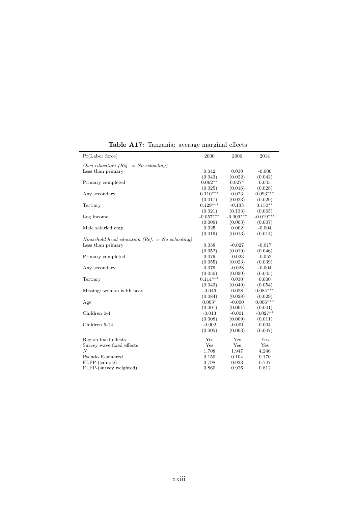| Own education (Ref. $=$ No schooling)<br>0.042<br>0.030<br>$-0.000$<br>Less than primary<br>(0.043)<br>(0.022)<br>(0.042)<br>$0.062**$<br>$0.027*$<br>0.045<br>Primary completed<br>(0.028)<br>(0.025)<br>(0.016)<br>$0.093***$<br>$0.110***$<br>0.023<br>Any secondary<br>(0.023)<br>(0.029)<br>(0.017)<br>$0.129***$<br>$0.150**$<br>$-0.133$<br>Tertiary<br>(0.021)<br>(0.133)<br>(0.065)<br>$-0.057***$<br>$-0.009***$<br>$-0.019***$<br>Log income<br>(0.009)<br>(0.003)<br>(0.007)<br>0.025<br>0.002<br>$-0.004$<br>Male salaried emp.<br>(0.019)<br>(0.013)<br>(0.014)<br>Household head education (Ref. $=$ No schooling)<br>0.038<br>$-0.027$<br>Less than primary<br>$-0.017$<br>(0.052)<br>(0.019)<br>(0.046)<br>$-0.023$<br>$-0.052$<br>0.079<br>Primary completed<br>(0.055)<br>(0.023)<br>(0.039)<br>0.079<br>$-0.028$<br>$-0.004$<br>Any secondary<br>(0.050)<br>(0.029)<br>(0.045)<br>$0.114***$<br>0.030<br>0.000<br>Tertiary<br>(0.043)<br>(0.049)<br>(0.054)<br>$0.084***$<br>$-0.046$<br>0.028<br>Missing: woman is hh head<br>(0.084)<br>(0.028)<br>(0.029)<br>$0.006***$<br>$0.003*$<br>$-0.000$<br>Age<br>(0.001)<br>(0.001)<br>(0.001)<br>$-0.027**$<br>Children 0-4<br>$-0.013$<br>$-0.001$<br>(0.008)<br>(0.009)<br>(0.011)<br>Children 5-14<br>$-0.002$<br>$-0.001$<br>0.004<br>(0.005)<br>(0.003)<br>(0.007)<br>Yes<br>Yes<br>Yes<br>Region fixed effects<br>Yes<br>Yes<br>Survey wave fixed effects<br>Yes<br>$\overline{N}$<br>1,708<br>1,947<br>4,246<br>0.104<br>Pseudo R-squared<br>0.150<br>0.170<br>FLFP-(sample)<br>0.798<br>0.923<br>0.747<br>FLFP-(survey weighted)<br>0.860<br>0.926<br>0.812 | Pr(Labor force) | 2000 | 2006 | 2014 |
|--------------------------------------------------------------------------------------------------------------------------------------------------------------------------------------------------------------------------------------------------------------------------------------------------------------------------------------------------------------------------------------------------------------------------------------------------------------------------------------------------------------------------------------------------------------------------------------------------------------------------------------------------------------------------------------------------------------------------------------------------------------------------------------------------------------------------------------------------------------------------------------------------------------------------------------------------------------------------------------------------------------------------------------------------------------------------------------------------------------------------------------------------------------------------------------------------------------------------------------------------------------------------------------------------------------------------------------------------------------------------------------------------------------------------------------------------------------------------------------------------------------------------------------------------------------------------------------------------------------------------------------|-----------------|------|------|------|
|                                                                                                                                                                                                                                                                                                                                                                                                                                                                                                                                                                                                                                                                                                                                                                                                                                                                                                                                                                                                                                                                                                                                                                                                                                                                                                                                                                                                                                                                                                                                                                                                                                      |                 |      |      |      |
|                                                                                                                                                                                                                                                                                                                                                                                                                                                                                                                                                                                                                                                                                                                                                                                                                                                                                                                                                                                                                                                                                                                                                                                                                                                                                                                                                                                                                                                                                                                                                                                                                                      |                 |      |      |      |
|                                                                                                                                                                                                                                                                                                                                                                                                                                                                                                                                                                                                                                                                                                                                                                                                                                                                                                                                                                                                                                                                                                                                                                                                                                                                                                                                                                                                                                                                                                                                                                                                                                      |                 |      |      |      |
|                                                                                                                                                                                                                                                                                                                                                                                                                                                                                                                                                                                                                                                                                                                                                                                                                                                                                                                                                                                                                                                                                                                                                                                                                                                                                                                                                                                                                                                                                                                                                                                                                                      |                 |      |      |      |
|                                                                                                                                                                                                                                                                                                                                                                                                                                                                                                                                                                                                                                                                                                                                                                                                                                                                                                                                                                                                                                                                                                                                                                                                                                                                                                                                                                                                                                                                                                                                                                                                                                      |                 |      |      |      |
|                                                                                                                                                                                                                                                                                                                                                                                                                                                                                                                                                                                                                                                                                                                                                                                                                                                                                                                                                                                                                                                                                                                                                                                                                                                                                                                                                                                                                                                                                                                                                                                                                                      |                 |      |      |      |
|                                                                                                                                                                                                                                                                                                                                                                                                                                                                                                                                                                                                                                                                                                                                                                                                                                                                                                                                                                                                                                                                                                                                                                                                                                                                                                                                                                                                                                                                                                                                                                                                                                      |                 |      |      |      |
|                                                                                                                                                                                                                                                                                                                                                                                                                                                                                                                                                                                                                                                                                                                                                                                                                                                                                                                                                                                                                                                                                                                                                                                                                                                                                                                                                                                                                                                                                                                                                                                                                                      |                 |      |      |      |
|                                                                                                                                                                                                                                                                                                                                                                                                                                                                                                                                                                                                                                                                                                                                                                                                                                                                                                                                                                                                                                                                                                                                                                                                                                                                                                                                                                                                                                                                                                                                                                                                                                      |                 |      |      |      |
|                                                                                                                                                                                                                                                                                                                                                                                                                                                                                                                                                                                                                                                                                                                                                                                                                                                                                                                                                                                                                                                                                                                                                                                                                                                                                                                                                                                                                                                                                                                                                                                                                                      |                 |      |      |      |
|                                                                                                                                                                                                                                                                                                                                                                                                                                                                                                                                                                                                                                                                                                                                                                                                                                                                                                                                                                                                                                                                                                                                                                                                                                                                                                                                                                                                                                                                                                                                                                                                                                      |                 |      |      |      |
|                                                                                                                                                                                                                                                                                                                                                                                                                                                                                                                                                                                                                                                                                                                                                                                                                                                                                                                                                                                                                                                                                                                                                                                                                                                                                                                                                                                                                                                                                                                                                                                                                                      |                 |      |      |      |
|                                                                                                                                                                                                                                                                                                                                                                                                                                                                                                                                                                                                                                                                                                                                                                                                                                                                                                                                                                                                                                                                                                                                                                                                                                                                                                                                                                                                                                                                                                                                                                                                                                      |                 |      |      |      |
|                                                                                                                                                                                                                                                                                                                                                                                                                                                                                                                                                                                                                                                                                                                                                                                                                                                                                                                                                                                                                                                                                                                                                                                                                                                                                                                                                                                                                                                                                                                                                                                                                                      |                 |      |      |      |
|                                                                                                                                                                                                                                                                                                                                                                                                                                                                                                                                                                                                                                                                                                                                                                                                                                                                                                                                                                                                                                                                                                                                                                                                                                                                                                                                                                                                                                                                                                                                                                                                                                      |                 |      |      |      |
|                                                                                                                                                                                                                                                                                                                                                                                                                                                                                                                                                                                                                                                                                                                                                                                                                                                                                                                                                                                                                                                                                                                                                                                                                                                                                                                                                                                                                                                                                                                                                                                                                                      |                 |      |      |      |
|                                                                                                                                                                                                                                                                                                                                                                                                                                                                                                                                                                                                                                                                                                                                                                                                                                                                                                                                                                                                                                                                                                                                                                                                                                                                                                                                                                                                                                                                                                                                                                                                                                      |                 |      |      |      |
|                                                                                                                                                                                                                                                                                                                                                                                                                                                                                                                                                                                                                                                                                                                                                                                                                                                                                                                                                                                                                                                                                                                                                                                                                                                                                                                                                                                                                                                                                                                                                                                                                                      |                 |      |      |      |
|                                                                                                                                                                                                                                                                                                                                                                                                                                                                                                                                                                                                                                                                                                                                                                                                                                                                                                                                                                                                                                                                                                                                                                                                                                                                                                                                                                                                                                                                                                                                                                                                                                      |                 |      |      |      |
|                                                                                                                                                                                                                                                                                                                                                                                                                                                                                                                                                                                                                                                                                                                                                                                                                                                                                                                                                                                                                                                                                                                                                                                                                                                                                                                                                                                                                                                                                                                                                                                                                                      |                 |      |      |      |
|                                                                                                                                                                                                                                                                                                                                                                                                                                                                                                                                                                                                                                                                                                                                                                                                                                                                                                                                                                                                                                                                                                                                                                                                                                                                                                                                                                                                                                                                                                                                                                                                                                      |                 |      |      |      |
|                                                                                                                                                                                                                                                                                                                                                                                                                                                                                                                                                                                                                                                                                                                                                                                                                                                                                                                                                                                                                                                                                                                                                                                                                                                                                                                                                                                                                                                                                                                                                                                                                                      |                 |      |      |      |
|                                                                                                                                                                                                                                                                                                                                                                                                                                                                                                                                                                                                                                                                                                                                                                                                                                                                                                                                                                                                                                                                                                                                                                                                                                                                                                                                                                                                                                                                                                                                                                                                                                      |                 |      |      |      |
|                                                                                                                                                                                                                                                                                                                                                                                                                                                                                                                                                                                                                                                                                                                                                                                                                                                                                                                                                                                                                                                                                                                                                                                                                                                                                                                                                                                                                                                                                                                                                                                                                                      |                 |      |      |      |
|                                                                                                                                                                                                                                                                                                                                                                                                                                                                                                                                                                                                                                                                                                                                                                                                                                                                                                                                                                                                                                                                                                                                                                                                                                                                                                                                                                                                                                                                                                                                                                                                                                      |                 |      |      |      |
|                                                                                                                                                                                                                                                                                                                                                                                                                                                                                                                                                                                                                                                                                                                                                                                                                                                                                                                                                                                                                                                                                                                                                                                                                                                                                                                                                                                                                                                                                                                                                                                                                                      |                 |      |      |      |
|                                                                                                                                                                                                                                                                                                                                                                                                                                                                                                                                                                                                                                                                                                                                                                                                                                                                                                                                                                                                                                                                                                                                                                                                                                                                                                                                                                                                                                                                                                                                                                                                                                      |                 |      |      |      |
|                                                                                                                                                                                                                                                                                                                                                                                                                                                                                                                                                                                                                                                                                                                                                                                                                                                                                                                                                                                                                                                                                                                                                                                                                                                                                                                                                                                                                                                                                                                                                                                                                                      |                 |      |      |      |
|                                                                                                                                                                                                                                                                                                                                                                                                                                                                                                                                                                                                                                                                                                                                                                                                                                                                                                                                                                                                                                                                                                                                                                                                                                                                                                                                                                                                                                                                                                                                                                                                                                      |                 |      |      |      |
|                                                                                                                                                                                                                                                                                                                                                                                                                                                                                                                                                                                                                                                                                                                                                                                                                                                                                                                                                                                                                                                                                                                                                                                                                                                                                                                                                                                                                                                                                                                                                                                                                                      |                 |      |      |      |
|                                                                                                                                                                                                                                                                                                                                                                                                                                                                                                                                                                                                                                                                                                                                                                                                                                                                                                                                                                                                                                                                                                                                                                                                                                                                                                                                                                                                                                                                                                                                                                                                                                      |                 |      |      |      |
|                                                                                                                                                                                                                                                                                                                                                                                                                                                                                                                                                                                                                                                                                                                                                                                                                                                                                                                                                                                                                                                                                                                                                                                                                                                                                                                                                                                                                                                                                                                                                                                                                                      |                 |      |      |      |
|                                                                                                                                                                                                                                                                                                                                                                                                                                                                                                                                                                                                                                                                                                                                                                                                                                                                                                                                                                                                                                                                                                                                                                                                                                                                                                                                                                                                                                                                                                                                                                                                                                      |                 |      |      |      |
|                                                                                                                                                                                                                                                                                                                                                                                                                                                                                                                                                                                                                                                                                                                                                                                                                                                                                                                                                                                                                                                                                                                                                                                                                                                                                                                                                                                                                                                                                                                                                                                                                                      |                 |      |      |      |
|                                                                                                                                                                                                                                                                                                                                                                                                                                                                                                                                                                                                                                                                                                                                                                                                                                                                                                                                                                                                                                                                                                                                                                                                                                                                                                                                                                                                                                                                                                                                                                                                                                      |                 |      |      |      |
|                                                                                                                                                                                                                                                                                                                                                                                                                                                                                                                                                                                                                                                                                                                                                                                                                                                                                                                                                                                                                                                                                                                                                                                                                                                                                                                                                                                                                                                                                                                                                                                                                                      |                 |      |      |      |

**Table A17:** Tanzania: average marginal effects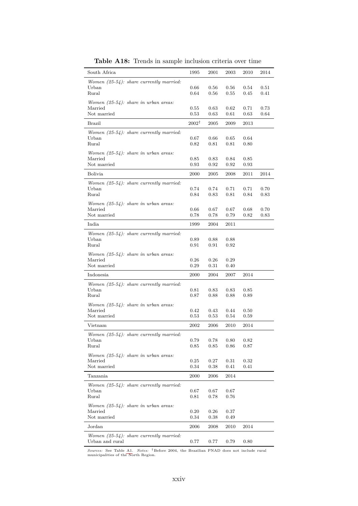| South Africa                                        | 1995             | 2001     | 2003 | 2010 | 2014 |
|-----------------------------------------------------|------------------|----------|------|------|------|
| Women $(25-54)$ : share currently married:          |                  |          |      |      |      |
| Urban                                               | 0.66             | $0.56\,$ | 0.56 | 0.54 | 0.51 |
| Rural                                               | 0.64             | 0.56     | 0.55 | 0.45 | 0.41 |
| Women $(25-54)$ : share in urban areas:             |                  |          |      |      |      |
| Married                                             | 0.55             | 0.63     | 0.62 | 0.71 | 0.73 |
| Not married                                         | 0.53             | 0.63     | 0.61 | 0.63 | 0.64 |
| Brazil                                              | $2002^{\dagger}$ | 2005     | 2009 | 2013 |      |
|                                                     |                  |          |      |      |      |
| Women $(25-54)$ : share currently married:<br>Urban | 0.67             | 0.66     | 0.65 | 0.64 |      |
| Rural                                               | 0.82             | 0.81     | 0.81 | 0.80 |      |
|                                                     |                  |          |      |      |      |
| Women $(25-54)$ : share in urban areas:<br>Married  | 0.85             | 0.83     | 0.84 | 0.85 |      |
| Not married                                         | 0.93             | 0.92     | 0.92 | 0.93 |      |
|                                                     |                  |          |      |      |      |
| Bolivia                                             | 2000             | 2005     | 2008 | 2011 | 2014 |
| Women $(25-54)$ : share currently married:          |                  |          |      |      |      |
| Urban                                               | 0.74             | 0.74     | 0.71 | 0.71 | 0.70 |
| Rural                                               | 0.84             | 0.83     | 0.81 | 0.84 | 0.83 |
| Women $(25-54)$ : share in urban areas:             |                  |          |      |      |      |
| Married                                             | 0.66             | 0.67     | 0.67 | 0.68 | 0.70 |
| Not married                                         | 0.78             | 0.78     | 0.79 | 0.82 | 0.83 |
| India                                               | 1999             | 2004     | 2011 |      |      |
| Women $(25-54)$ : share currently married:          |                  |          |      |      |      |
| Urban                                               | 0.89             | 0.88     | 0.88 |      |      |
| Rural                                               | 0.91             | 0.91     | 0.92 |      |      |
| Women $(25-54)$ : share in urban areas:             |                  |          |      |      |      |
| Married                                             | 0.26             | 0.26     | 0.29 |      |      |
| Not married                                         | 0.29             | 0.31     | 0.40 |      |      |
| Indonesia                                           | 2000             | 2004     | 2007 | 2014 |      |
| Women $(25-54)$ : share currently married:          |                  |          |      |      |      |
| Urban                                               | 0.81             | 0.83     | 0.83 | 0.85 |      |
| Rural                                               | 0.87             | 0.88     | 0.88 | 0.89 |      |
| Women $(25-54)$ : share in urban areas:             |                  |          |      |      |      |
| Married                                             | 0.42             | 0.43     | 0.44 | 0.50 |      |
| Not married                                         | 0.53             | 0.53     | 0.54 | 0.59 |      |
| Vietnam                                             | 2002             | 2006     | 2010 | 2014 |      |
| Women $(25-54)$ : share currently married:          |                  |          |      |      |      |
| Urban                                               | 0.79             | 0.78     | 0.80 | 0.82 |      |
| Rural                                               | 0.85             | 0.85     | 0.86 | 0.87 |      |
| Women $(25-54)$ : share in urban areas:             |                  |          |      |      |      |
| Married                                             | 0.25             | 0.27     | 0.31 | 0.32 |      |
| Not married                                         | 0.34             | 0.38     | 0.41 | 0.41 |      |
| Tanzania                                            | 2000             | 2006     | 2014 |      |      |
|                                                     |                  |          |      |      |      |
| Women $(25-54)$ : share currently married:<br>Urban | 0.67             | 0.67     | 0.67 |      |      |
| Rural                                               | 0.81             | 0.78     | 0.76 |      |      |
|                                                     |                  |          |      |      |      |
| Women $(25-54)$ : share in urban areas:<br>Married  | 0.20             | 0.26     | 0.37 |      |      |
| Not married                                         | 0.34             | 0.38     | 0.49 |      |      |
|                                                     |                  |          |      |      |      |
| $_{\rm Jordan}$                                     | 2006             | 2008     | 2010 | 2014 |      |
| Women $(25-54)$ : share currently married:          |                  |          |      |      |      |
| Urban and rural                                     | 0.77             | 0.77     | 0.79 | 0.80 |      |

**Table A18:** Trends in sample inclusion criteria over time

*Sources:* See Table [A1.](#page-52-0) *Notes:* †Before 2004, the Brazilian PNAD does not include rural municipalities of the North Region.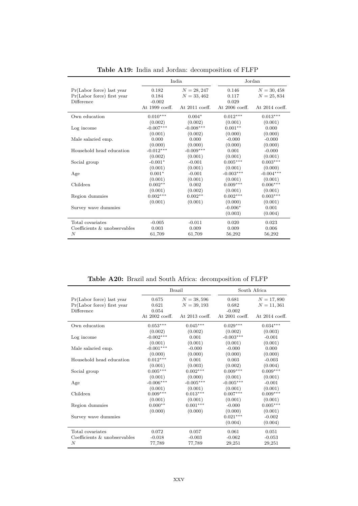|                                                                       | India                                        |                                                   |                                           | Jordan                                                   |
|-----------------------------------------------------------------------|----------------------------------------------|---------------------------------------------------|-------------------------------------------|----------------------------------------------------------|
| Pr(Labor force) last year<br>Pr(Labor force) first year<br>Difference | 0.182<br>0.184<br>$-0.002$<br>At 1999 coeff. | $N = 28, 247$<br>$N = 33,462$<br>At $2011$ coeff. | 0.146<br>0.117<br>0.029<br>At 2006 coeff. | $N = 30,458$<br>$N = 25,834$<br>At $2014 \text{ coeff.}$ |
| Own education                                                         | $0.010***$                                   | $0.004*$                                          | $0.012***$                                | $0.013***$                                               |
|                                                                       | (0.002)                                      | (0.002)                                           | (0.001)                                   | (0.001)                                                  |
| Log income                                                            | $-0.007***$                                  | $-0.008***$                                       | $0.001**$                                 | 0.000                                                    |
|                                                                       | (0.001)                                      | (0.002)                                           | (0.000)                                   | (0.000)                                                  |
| Male salaried emp.                                                    | 0.000                                        | 0.000                                             | $-0.000$                                  | $-0.000$                                                 |
|                                                                       | (0.000)                                      | (0.000)                                           | (0.000)                                   | (0.000)                                                  |
| Household head education                                              | $-0.012***$                                  | $-0.009***$                                       | 0.001                                     | $-0.000$                                                 |
|                                                                       | (0.002)                                      | (0.001)                                           | (0.001)                                   | (0.001)                                                  |
| Social group                                                          | $-0.001*$                                    | $-0.001$                                          | $0.005***$                                | $0.003***$                                               |
|                                                                       | (0.001)                                      | (0.001)                                           | (0.001)                                   | (0.000)                                                  |
| Age                                                                   | $0.001*$                                     | $-0.001$                                          | $-0.003***$                               | $-0.004***$                                              |
|                                                                       | (0.001)                                      | (0.001)                                           | (0.001)                                   | (0.001)                                                  |
| Children                                                              | $0.002**$                                    | 0.002                                             | $0.009***$                                | $0.006***$                                               |
|                                                                       | (0.001)                                      | (0.002)                                           | (0.001)                                   | (0.001)                                                  |
| Region dummies                                                        | $0.002***$                                   | $0.002**$                                         | $0.002***$                                | $0.003***$                                               |
|                                                                       | (0.001)                                      | (0.001)                                           | (0.000)                                   | (0.001)                                                  |
| Survey wave dummies                                                   |                                              |                                                   | $-0.006*$<br>(0.003)                      | 0.001<br>(0.004)                                         |
| Total covariates                                                      | $-0.005$                                     | $-0.011$                                          | 0.020                                     | 0.023                                                    |
| Coefficients & unobservables                                          | 0.003                                        | 0.009                                             | 0.009                                     | 0.006                                                    |
| $\boldsymbol{N}$                                                      | 61,709                                       | 61,709                                            | 56,292                                    | 56,292                                                   |

**Table A19:** India and Jordan: decomposition of FLFP

**Table A20:** Brazil and South Africa: decomposition of FLFP

|                              | <b>Brazil</b>  |                  | South Africa     |                  |  |
|------------------------------|----------------|------------------|------------------|------------------|--|
| $Pr(Labor force)$ last year  | 0.675          | $N = 38,596$     | 0.681            | $N = 17,890$     |  |
| Pr(Labor force) first year   | 0.621          | $N = 39, 193$    | 0.682            | $N = 11,361$     |  |
| Difference                   | 0.054          |                  | $-0.002$         |                  |  |
|                              | At 2002 coeff. | At $2013$ coeff. | At $2001$ coeff. | At $2014$ coeff. |  |
| Own education                | $0.053***$     | $0.045***$       | $0.029***$       | $0.034***$       |  |
|                              | (0.002)        | (0.002)          | (0.002)          | (0.003)          |  |
| Log income                   | $-0.002***$    | 0.001            | $-0.003***$      | $-0.001$         |  |
|                              | (0.001)        | (0.001)          | (0.001)          | (0.001)          |  |
| Male salaried emp.           | $-0.001***$    | $-0.000$         | $-0.000$         | 0.000            |  |
|                              | (0.000)        | (0.000)          | (0.000)          | (0.000)          |  |
| Household head education     | $0.012***$     | 0.001            | 0.003            | $-0.003$         |  |
|                              | (0.001)        | (0.003)          | (0.002)          | (0.004)          |  |
| Social group                 | $0.005***$     | $0.002***$       | $0.009***$       | $0.009***$       |  |
|                              | (0.001)        | (0.000)          | (0.001)          | (0.001)          |  |
| Age                          | $-0.006***$    | $-0.005***$      | $-0.005***$      | $-0.001$         |  |
|                              | (0.001)        | (0.001)          | (0.001)          | (0.001)          |  |
| Children                     | $0.009***$     | $0.013***$       | $0.007***$       | $0.009***$       |  |
|                              | (0.001)        | (0.001)          | (0.001)          | (0.001)          |  |
| Region dummies               | $0.000**$      | $0.001^{***}$    | $-0.000$         | $0.005***$       |  |
|                              | (0.000)        | (0.000)          | (0.000)          | (0.001)          |  |
| Survey wave dummies          |                |                  | $0.021***$       | $-0.002$         |  |
|                              |                |                  | (0.004)          | (0.004)          |  |
| Total covariates             | 0.072          | 0.057            | 0.061            | 0.051            |  |
| Coefficients & unobservables | $-0.018$       | $-0.003$         | $-0.062$         | $-0.053$         |  |
| N                            | 77,789         | 77,789           | 29,251           | 29,251           |  |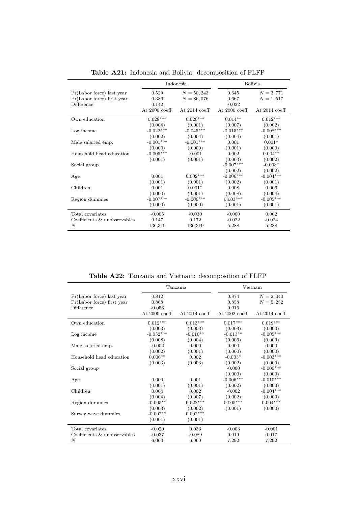|                                                                       | Indonesia                                   |                                                  |                                                | Bolivia                                        |
|-----------------------------------------------------------------------|---------------------------------------------|--------------------------------------------------|------------------------------------------------|------------------------------------------------|
| Pr(Labor force) last year<br>Pr(Labor force) first year<br>Difference | 0.529<br>0.386<br>0.142<br>At $2000$ coeff. | $N = 50,243$<br>$N = 86,076$<br>At $2014$ coeff. | 0.645<br>0.667<br>$-0.022$<br>At $2000$ coeff. | $N = 3,771$<br>$N = 1,517$<br>At $2014$ coeff. |
| Own education                                                         | $0.028***$                                  | $0.020***$                                       | $0.014**$                                      | $0.012***$                                     |
|                                                                       | (0.004)                                     | (0.001)                                          | (0.007)                                        | (0.002)                                        |
| Log income                                                            | $-0.022***$                                 | $-0.045***$                                      | $-0.015***$                                    | $-0.008***$                                    |
|                                                                       | (0.002)                                     | (0.004)                                          | (0.004)                                        | (0.001)                                        |
| Male salaried emp.                                                    | $-0.001***$                                 | $-0.001***$                                      | 0.001                                          | $0.001*$                                       |
|                                                                       | (0.000)                                     | (0.000)                                          | (0.001)                                        | (0.000)                                        |
| Household head education                                              | $-0.005***$                                 | $-0.001$                                         | 0.002                                          | $0.004**$                                      |
|                                                                       | (0.001)                                     | (0.001)                                          | (0.003)                                        | (0.002)                                        |
| Social group                                                          |                                             |                                                  | $-0.007***$<br>(0.002)                         | $-0.003*$<br>(0.002)                           |
| Age                                                                   | 0.001                                       | $0.002***$                                       | $-0.006***$                                    | $-0.004***$                                    |
|                                                                       | (0.001)                                     | (0.001)                                          | (0.002)                                        | (0.001)                                        |
| Children                                                              | 0.001                                       | $0.001*$                                         | 0.008                                          | 0.006                                          |
|                                                                       | (0.000)                                     | (0.001)                                          | (0.008)                                        | (0.004)                                        |
| Region dummies                                                        | $-0.007***$                                 | $-0.006***$                                      | $0.003***$                                     | $-0.005***$                                    |
|                                                                       | (0.000)                                     | (0.000)                                          | (0.001)                                        | (0.001)                                        |
| Total covariates                                                      | $-0.005$                                    | $-0.030$                                         | $-0.000$                                       | 0.002                                          |
| Coefficients & unobservables                                          | 0.147                                       | 0.172                                            | $-0.022$                                       | $-0.024$                                       |
| N                                                                     | 136,319                                     | 136,319                                          | 5,288                                          | 5,288                                          |

**Table A21:** Indonesia and Bolivia: decomposition of FLFP

**Table A22:** Tanzania and Vietnam: decomposition of FLFP

|                                                                         |                                                | Tanzania              |                                           | Vietnam                                        |
|-------------------------------------------------------------------------|------------------------------------------------|-----------------------|-------------------------------------------|------------------------------------------------|
| $Pr(Labor force)$ last year<br>Pr(Labor force) first year<br>Difference | 0.812<br>0.868<br>$-0.056$<br>At $2000$ coeff. | At $2014$ coeff.      | 0.874<br>0.858<br>0.016<br>At 2002 coeff. | $N = 2,040$<br>$N = 5,252$<br>At $2014$ coeff. |
| Own education                                                           | $0.012***$                                     | $0.013***$            | $0.017***$                                | $0.019***$                                     |
| Log income                                                              | (0.003)                                        | (0.003)               | (0.003)                                   | (0.000)                                        |
|                                                                         | $-0.032***$                                    | $-0.010**$            | $-0.013**$                                | $-0.005***$                                    |
|                                                                         | (0.008)                                        | (0.004)               | (0.006)                                   | (0.000)                                        |
| Male salaried emp.                                                      | $-0.002$                                       | 0.000                 | 0.000                                     | 0.000                                          |
|                                                                         | (0.002)                                        | (0.001)               | (0.000)                                   | (0.000)                                        |
| Household head education                                                | $0.006**$                                      | 0.002                 | $-0.003*$                                 | $-0.003***$                                    |
|                                                                         | (0.003)                                        | (0.003)               | (0.002)                                   | (0.000)                                        |
| Social group                                                            |                                                |                       | $-0.000$<br>(0.000)                       | $-0.000***$<br>(0.000)                         |
| Age                                                                     | 0.000                                          | 0.001                 | $-0.006***$                               | $-0.010***$                                    |
|                                                                         | (0.001)                                        | (0.001)               | (0.002)                                   | (0.000)                                        |
| Children                                                                | 0.004                                          | 0.002                 | $-0.002$                                  | $-0.004***$                                    |
|                                                                         | (0.004)                                        | (0.007)               | (0.002)                                   | (0.000)                                        |
| Region dummies                                                          | $-0.005**$                                     | $0.022***$            | $0.005***$                                | $0.004***$                                     |
|                                                                         | (0.003)                                        | (0.002)               | (0.001)                                   | (0.000)                                        |
| Survey wave dummies                                                     | $-0.002**$<br>(0.001)                          | $0.002***$<br>(0.001) |                                           |                                                |
| Total covariates                                                        | $-0.020$                                       | 0.033                 | $-0.003$                                  | $-0.001$                                       |
| Coefficients & unobservables                                            | $-0.037$                                       | $-0.089$              | 0.019                                     | 0.017                                          |
| N                                                                       | 6,060                                          | 6,060                 | 7,292                                     | 7,292                                          |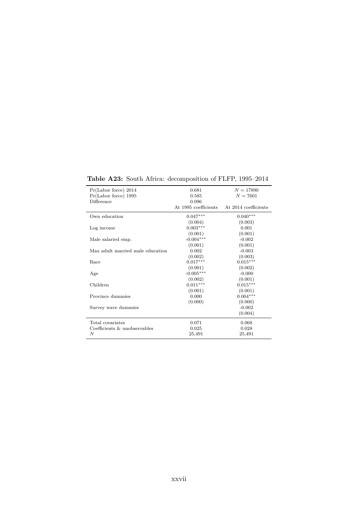| Pr(Labor force) 2014             | 0.681                | $N = 17890$          |
|----------------------------------|----------------------|----------------------|
| Pr(Labor force) 1995             | 0.585                | $N = 7601$           |
| Difference                       | 0.096                |                      |
|                                  | At 1995 coefficients | At 2014 coefficients |
| Own education                    | $0.047***$           | $0.040***$           |
|                                  | (0.004)              | (0.003)              |
| Log income                       | $0.003***$           | 0.001                |
|                                  | (0.001)              | (0.001)              |
| Male salaried emp.               | $-0.004***$          | $-0.002$             |
|                                  | (0.001)              | (0.001)              |
| Max adult married male education | 0.002                | $-0.003$             |
|                                  | (0.002)              | (0.003)              |
| Race                             | $0.017***$           | $0.015***$           |
|                                  | (0.001)              | (0.002)              |
| Age                              | $-0.005***$          | $-0.000$             |
|                                  | (0.002)              | (0.001)              |
| Children                         | $0.011***$           | $0.015***$           |
|                                  | (0.001)              | (0.001)              |
| Province dummies                 | 0.000                | $0.004***$           |
|                                  | (0.000)              | (0.000)              |
| Survey wave dummies              |                      | $-0.002$             |
|                                  |                      | (0.004)              |
| Total covariates                 | 0.071                | 0.068                |
| Coefficients & unobservables     | 0.025                | 0.028                |
| N                                | 25,491               | 25,491               |

**Table A23:** South Africa: decomposition of FLFP, 1995–2014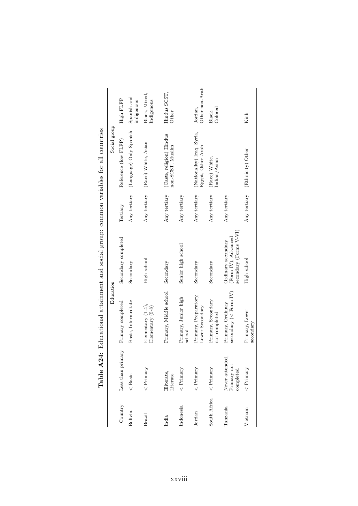|              |                                            |                                                 |                                                                                   |              | TGDIE HYSTER: Entre General General General Richt, communication version version du de la distribucion |                             |
|--------------|--------------------------------------------|-------------------------------------------------|-----------------------------------------------------------------------------------|--------------|--------------------------------------------------------------------------------------------------------|-----------------------------|
|              |                                            | Education                                       |                                                                                   |              | Social group                                                                                           |                             |
| Country      | Less than primary                          | Primary completed                               | Secondary completed                                                               | Tertiary     | Reference (low FLFP)                                                                                   | High FLFP                   |
| Bolivia      | $<$ Basic                                  | Basic, Intermediate                             | Secondary                                                                         | Any tertiary | (Language) Only Spanish                                                                                | Spanish and<br>indigenous   |
| Brazil       | $\langle$ Primary                          | Elementary $(1-4)$ ,<br>Elementary (5-8)        | High school                                                                       | Any tertiary | (Race) White, Asian                                                                                    | Black, Mixed,<br>Indigenous |
| India        | lliterate,<br>Literate                     | Primary, Middle school                          | Secondary                                                                         | Any tertiary | (Caste, religion) Hindus<br>non-SCST, Muslim                                                           | Hindus SCST,<br>Other       |
| Indonesia    | $\langle$ Primary                          | Primary, Junior high<br>school                  | Senior high school                                                                | Any tertiary |                                                                                                        |                             |
| Jordan       | $\langle$ Primary                          | Primary, Preparatory,<br>Lower Secondary        | Secondary                                                                         | Any tertiary | (Nationality) Iraq, Syria,<br>Egypt, Other Arab                                                        | Other non-Arab<br>Jordan,   |
| South Africa | $\langle$ Primary                          | Primary, Secondary<br>not completed             | Secondary                                                                         | Any tertiary | (Race) White,<br>Indian/Asian                                                                          | Colored<br>Black,           |
| Tanzania     | Never attended<br>Primary not<br>completed | secondary ( $\lt$ Form IV)<br>Primary, Ordinary | $\frac{1}{2}$ secondary (Forms V-VI)<br>(Form IV), Advanced<br>Ordinary secondary | Any tertiary |                                                                                                        |                             |
| Vietnam      | $\langle$ Primary                          | Primary, Lower<br>secondary                     | High school                                                                       |              | Any tertiary (Ethnicity) Other                                                                         | Kinh                        |

**Table A24:** Educational attainment and social group: common variables for all countries **Table A24:** Educational attainment and social group: common variables for all countries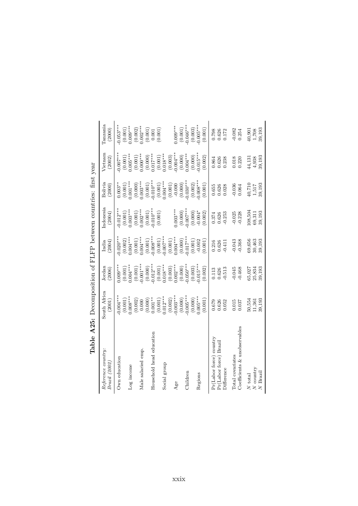|                                                                 | <b>Table A25:</b> Decomposition of FLFP between countries: first year |                                                                                  |                                   |                             |                                                      |                                                                                                                          |                                                            |
|-----------------------------------------------------------------|-----------------------------------------------------------------------|----------------------------------------------------------------------------------|-----------------------------------|-----------------------------|------------------------------------------------------|--------------------------------------------------------------------------------------------------------------------------|------------------------------------------------------------|
| Reference country:<br>Brazil (2002)                             | South Africa<br>(2001)                                                | Jordan<br>(2006)                                                                 | India<br>(2004)                   | Indonesia<br>(2004)         | Bolivia<br>(2000)                                    | Vietnam<br>(2002)                                                                                                        | Tanzania<br>(2000)                                         |
| Own education                                                   | $0.004***$                                                            | $0.009**$                                                                        | $0.020**$                         | $0.012**$                   | $0.003**$                                            | $0.007$ **                                                                                                               | $0.053***$                                                 |
| Log income                                                      | $0.008***$<br>(0.001)                                                 | $(0.001)$<br>$0.004***$                                                          | $(0.002)$<br>$0.004***$           | $(0.001)$<br>$0.003***$     | $(0.001)$<br>$0.001***$                              | $(0.001)$<br>$0.005***$                                                                                                  | $(0.001)$<br>0.009***                                      |
| Male salaried emp.                                              | (0.002)<br>0.000                                                      | $(0.001)$<br>-0.001***                                                           | $(0.001)$<br>$0.004***$           | $(0.001)$<br>$0.002***$     | $(0.000)$<br>$0.003***$                              | $(0.001)$<br>0.000***                                                                                                    | $(0.002)$<br>$0.002***$                                    |
|                                                                 | $(0.000)$<br>$0.001***$                                               | $\begin{array}{c} (0.000) \\ -0.012^{***} \\ (0.001) \\ 0.018^{***} \end{array}$ | $(0.001)$<br>$0.008***$           | $(0.001)$<br>$0.010***$     | $(0.001)$<br>$-0.010***$<br>$(0.001)$<br>$(0.004***$ | $\begin{array}{c} (0.000) \\ 0.017^{***} \\ (0.001) \\ (0.001) \\ 0.018^{***} \\ (0.003) \\ (0.004^{***} \\ \end{array}$ |                                                            |
| Household head education                                        |                                                                       |                                                                                  |                                   | (0.001)                     |                                                      |                                                                                                                          | $\begin{array}{c} (0.001) \\ 0.001 \\ (0.001) \end{array}$ |
| Social group                                                    | $(0.001)$<br>$0.012***$                                               |                                                                                  | $(0.001)$<br>0.007***             |                             |                                                      |                                                                                                                          |                                                            |
|                                                                 | $(0.002)$<br>0.003***                                                 | $(0.003)$<br>$0.002***$                                                          | $(0.001)$<br>$0.004***$           |                             | (0.001)                                              |                                                                                                                          |                                                            |
| Age                                                             |                                                                       |                                                                                  |                                   | $0.003***$                  |                                                      |                                                                                                                          | $0.009***$                                                 |
| Children                                                        | $0.005***$<br>(0.000)                                                 | $0.050***$<br>(0.000)                                                            | $0.017***$<br>(0.000)             | $0.007***$<br>(0.000)       | $0.030**$<br>(0.000)                                 | $(0.000)$<br>$0.004***$                                                                                                  | $0.046***$<br>(0.001)                                      |
|                                                                 | (0.000)                                                               | (0.003)                                                                          |                                   |                             |                                                      |                                                                                                                          | (0.003)                                                    |
| Regions                                                         | $0.005***$                                                            | $0.015***$                                                                       | $(0.001)$<br>-0.002               | (0.000)                     | $(0.002)$<br>$0.008***$                              | $(0.000)$<br>$0.015***$                                                                                                  | $-0.005***$                                                |
|                                                                 | (0.001)                                                               | (0.002)                                                                          | (0.001)                           | (0.002)                     | (0.001)                                              | (0.002)                                                                                                                  | (0.001)                                                    |
| Pr(Labor force) country<br>Pr(Labor force) Brazil<br>Difference | 0.679<br>0.626<br>0.052                                               | $-0.513$<br>0.113<br>0.626                                                       | $\frac{0.216}{0.626}$<br>$-0.411$ | $-0.253$<br>0.374<br>0.626  | 0.655<br>0.626<br>0.028                              | 0.864<br>0.626<br>0.238                                                                                                  | 0.798<br>0.626<br>0.172                                    |
| Coefficients & unobservables<br>Total covariates                | 0.015<br>0.037                                                        | $-0.045$<br>$-0.468$                                                             | 0.043<br>$-0.368$                 | $-0.025$<br>$-0.228$        | 0.036<br>0.064                                       | $0.018\,$<br>0.220                                                                                                       | $-0.082$<br>0.254                                          |
| $\boldsymbol{N}$ country<br>$N$ Brazil<br>N total               | 50,554<br>39,193<br>11,361                                            | 65,027<br>39,193<br>25,834                                                       | 69,656<br>30,463<br>39,193        | 108,504<br>39,193<br>69,311 | $40,710$<br>$1,517$<br>39,193                        | 39,193<br>4,938<br>44,131                                                                                                | 1,708<br>39,193<br>40,901                                  |

 $\frac{1}{2}$  $\overrightarrow{c}$  $\overline{E}$